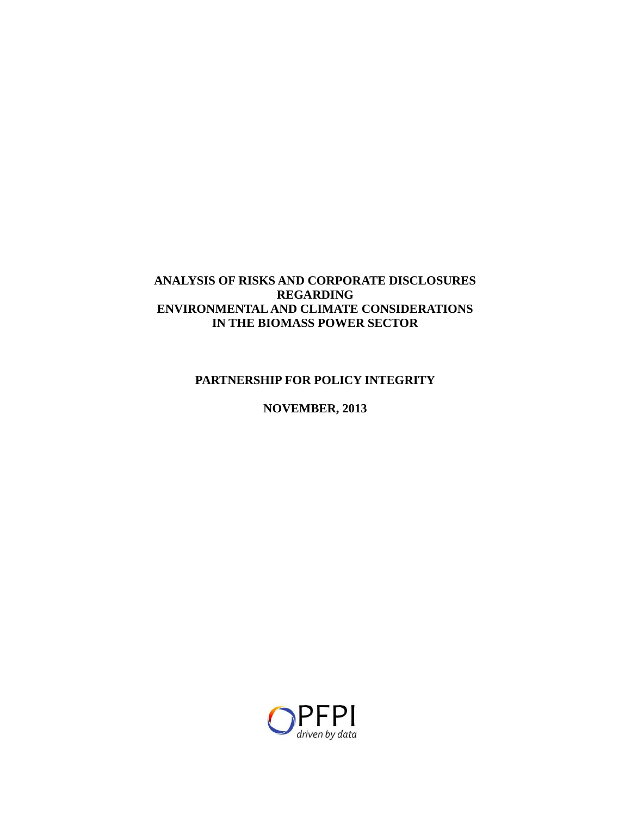## **ANALYSIS OF RISKS AND CORPORATE DISCLOSURES REGARDING ENVIRONMENTAL AND CLIMATE CONSIDERATIONS IN THE BIOMASS POWER SECTOR**

## **PARTNERSHIP FOR POLICY INTEGRITY**

## **NOVEMBER, 2013**

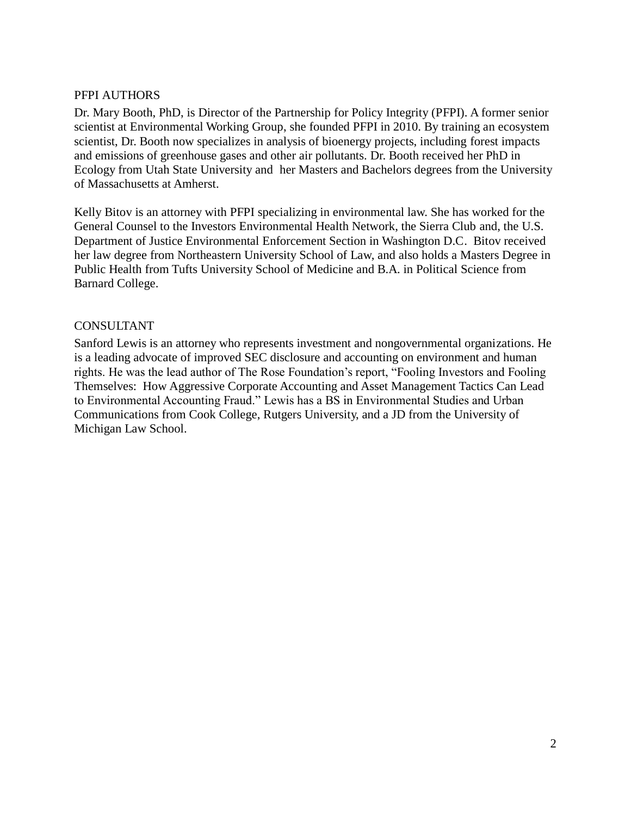#### PFPI AUTHORS

Dr. Mary Booth, PhD, is Director of the Partnership for Policy Integrity (PFPI). A former senior scientist at Environmental Working Group, she founded PFPI in 2010. By training an ecosystem scientist, Dr. Booth now specializes in analysis of bioenergy projects, including forest impacts and emissions of greenhouse gases and other air pollutants. Dr. Booth received her PhD in Ecology from Utah State University and her Masters and Bachelors degrees from the University of Massachusetts at Amherst.

Kelly Bitov is an attorney with PFPI specializing in environmental law. She has worked for the General Counsel to the Investors Environmental Health Network, the Sierra Club and, the U.S. Department of Justice Environmental Enforcement Section in Washington D.C. Bitov received her law degree from Northeastern University School of Law, and also holds a Masters Degree in Public Health from Tufts University School of Medicine and B.A. in Political Science from Barnard College.

### CONSULTANT

Sanford Lewis is an attorney who represents investment and nongovernmental organizations. He is a leading advocate of improved SEC disclosure and accounting on environment and human rights. He was the lead author of The Rose Foundation's report, "Fooling Investors and Fooling Themselves: How Aggressive Corporate Accounting and Asset Management Tactics Can Lead to Environmental Accounting Fraud." Lewis has a BS in Environmental Studies and Urban Communications from Cook College, Rutgers University, and a JD from the University of Michigan Law School.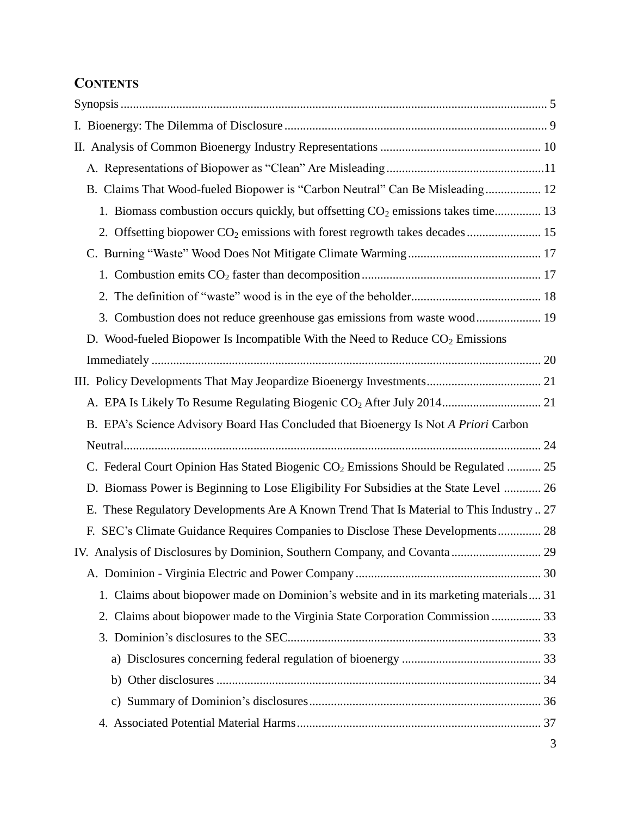# **CONTENTS**

| B. Claims That Wood-fueled Biopower is "Carbon Neutral" Can Be Misleading 12                   |  |
|------------------------------------------------------------------------------------------------|--|
| 1. Biomass combustion occurs quickly, but offsetting $CO2$ emissions takes time 13             |  |
| 2. Offsetting biopower CO <sub>2</sub> emissions with forest regrowth takes decades  15        |  |
|                                                                                                |  |
|                                                                                                |  |
|                                                                                                |  |
| 3. Combustion does not reduce greenhouse gas emissions from waste wood 19                      |  |
| D. Wood-fueled Biopower Is Incompatible With the Need to Reduce $CO2$ Emissions                |  |
|                                                                                                |  |
|                                                                                                |  |
|                                                                                                |  |
| B. EPA's Science Advisory Board Has Concluded that Bioenergy Is Not A Priori Carbon            |  |
|                                                                                                |  |
| C. Federal Court Opinion Has Stated Biogenic CO <sub>2</sub> Emissions Should be Regulated  25 |  |
| D. Biomass Power is Beginning to Lose Eligibility For Subsidies at the State Level  26         |  |
| E. These Regulatory Developments Are A Known Trend That Is Material to This Industry  27       |  |
| F. SEC's Climate Guidance Requires Companies to Disclose These Developments 28                 |  |
|                                                                                                |  |
|                                                                                                |  |
| 1. Claims about biopower made on Dominion's website and in its marketing materials 31          |  |
| 2. Claims about biopower made to the Virginia State Corporation Commission  33                 |  |
|                                                                                                |  |
|                                                                                                |  |
|                                                                                                |  |
|                                                                                                |  |
|                                                                                                |  |
|                                                                                                |  |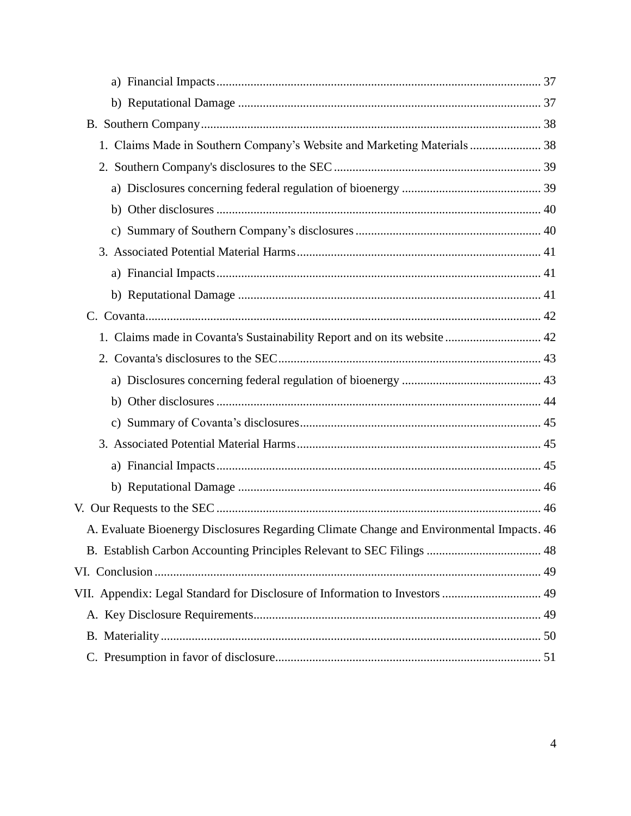| 1. Claims Made in Southern Company's Website and Marketing Materials 38                  |  |
|------------------------------------------------------------------------------------------|--|
|                                                                                          |  |
|                                                                                          |  |
|                                                                                          |  |
|                                                                                          |  |
|                                                                                          |  |
|                                                                                          |  |
|                                                                                          |  |
| C.                                                                                       |  |
| 1. Claims made in Covanta's Sustainability Report and on its website  42                 |  |
|                                                                                          |  |
|                                                                                          |  |
|                                                                                          |  |
|                                                                                          |  |
|                                                                                          |  |
|                                                                                          |  |
|                                                                                          |  |
|                                                                                          |  |
| A. Evaluate Bioenergy Disclosures Regarding Climate Change and Environmental Impacts. 46 |  |
|                                                                                          |  |
|                                                                                          |  |
| VII. Appendix: Legal Standard for Disclosure of Information to Investors  49             |  |
|                                                                                          |  |
|                                                                                          |  |
|                                                                                          |  |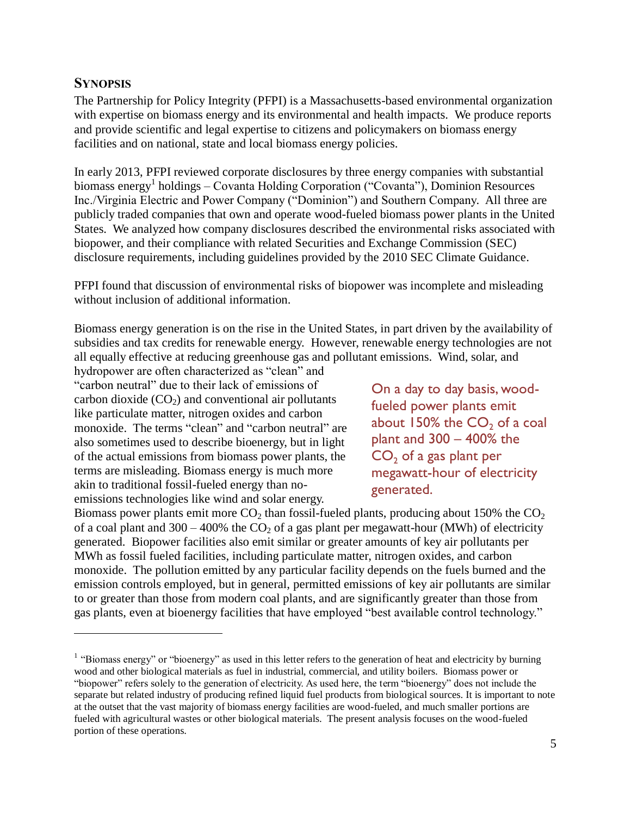### <span id="page-4-0"></span>**SYNOPSIS**

 $\overline{a}$ 

The Partnership for Policy Integrity (PFPI) is a Massachusetts-based environmental organization with expertise on biomass energy and its environmental and health impacts. We produce reports and provide scientific and legal expertise to citizens and policymakers on biomass energy facilities and on national, state and local biomass energy policies.

In early 2013, PFPI reviewed corporate disclosures by three energy companies with substantial biomass energy<sup>1</sup> holdings – Covanta Holding Corporation ("Covanta"), Dominion Resources Inc./Virginia Electric and Power Company ("Dominion") and Southern Company. All three are publicly traded companies that own and operate wood-fueled biomass power plants in the United States. We analyzed how company disclosures described the environmental risks associated with biopower, and their compliance with related Securities and Exchange Commission (SEC) disclosure requirements, including guidelines provided by the 2010 SEC Climate Guidance.

PFPI found that discussion of environmental risks of biopower was incomplete and misleading without inclusion of additional information.

Biomass energy generation is on the rise in the United States, in part driven by the availability of subsidies and tax credits for renewable energy. However, renewable energy technologies are not all equally effective at reducing greenhouse gas and pollutant emissions. Wind, solar, and

hydropower are often characterized as "clean" and "carbon neutral" due to their lack of emissions of carbon dioxide  $(CO<sub>2</sub>)$  and conventional air pollutants like particulate matter, nitrogen oxides and carbon monoxide. The terms "clean" and "carbon neutral" are also sometimes used to describe bioenergy, but in light of the actual emissions from biomass power plants, the terms are misleading. Biomass energy is much more akin to traditional fossil-fueled energy than noemissions technologies like wind and solar energy.

On a day to day basis, woodfueled power plants emit about 150% the  $CO<sub>2</sub>$  of a coal plant and 300 – 400% the  $CO<sub>2</sub>$  of a gas plant per megawatt-hour of electricity generated.

Biomass power plants emit more  $CO<sub>2</sub>$  than fossil-fueled plants, producing about 150% the  $CO<sub>2</sub>$ of a coal plant and 300 – 400% the  $CO<sub>2</sub>$  of a gas plant per megawatt-hour (MWh) of electricity generated. Biopower facilities also emit similar or greater amounts of key air pollutants per MWh as fossil fueled facilities, including particulate matter, nitrogen oxides, and carbon monoxide. The pollution emitted by any particular facility depends on the fuels burned and the emission controls employed, but in general, permitted emissions of key air pollutants are similar to or greater than those from modern coal plants, and are significantly greater than those from gas plants, even at bioenergy facilities that have employed "best available control technology."

 $<sup>1</sup>$  "Biomass energy" or "bioenergy" as used in this letter refers to the generation of heat and electricity by burning</sup> wood and other biological materials as fuel in industrial, commercial, and utility boilers. Biomass power or "biopower" refers solely to the generation of electricity. As used here, the term "bioenergy" does not include the separate but related industry of producing refined liquid fuel products from biological sources. It is important to note at the outset that the vast majority of biomass energy facilities are wood-fueled, and much smaller portions are fueled with agricultural wastes or other biological materials. The present analysis focuses on the wood-fueled portion of these operations.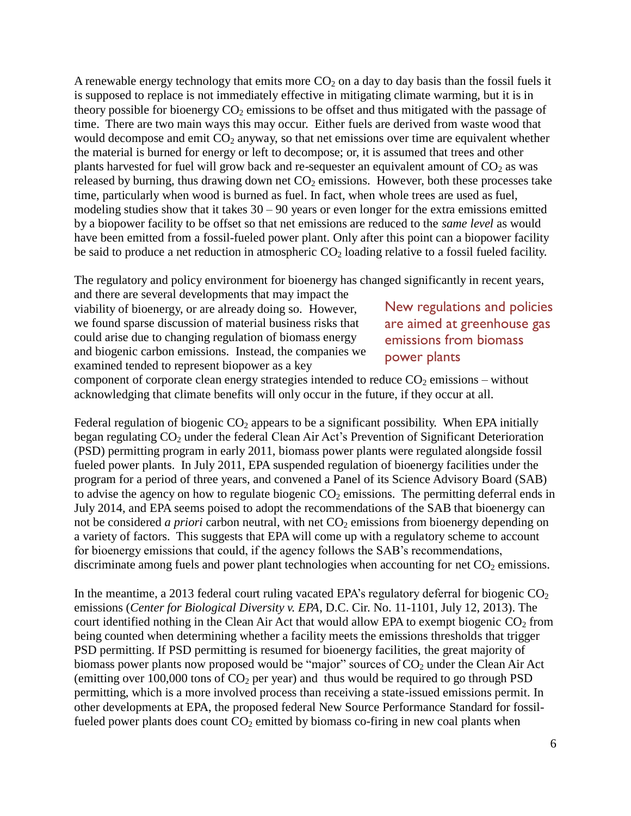A renewable energy technology that emits more  $CO<sub>2</sub>$  on a day to day basis than the fossil fuels it is supposed to replace is not immediately effective in mitigating climate warming, but it is in theory possible for bioenergy  $CO<sub>2</sub>$  emissions to be offset and thus mitigated with the passage of time. There are two main ways this may occur. Either fuels are derived from waste wood that would decompose and emit  $CO<sub>2</sub>$  anyway, so that net emissions over time are equivalent whether the material is burned for energy or left to decompose; or, it is assumed that trees and other plants harvested for fuel will grow back and re-sequester an equivalent amount of  $CO<sub>2</sub>$  as was released by burning, thus drawing down net  $CO<sub>2</sub>$  emissions. However, both these processes take time, particularly when wood is burned as fuel. In fact, when whole trees are used as fuel, modeling studies show that it takes  $30 - 90$  years or even longer for the extra emissions emitted by a biopower facility to be offset so that net emissions are reduced to the *same level* as would have been emitted from a fossil-fueled power plant. Only after this point can a biopower facility be said to produce a net reduction in atmospheric  $CO<sub>2</sub>$  loading relative to a fossil fueled facility.

The regulatory and policy environment for bioenergy has changed significantly in recent years,

and there are several developments that may impact the viability of bioenergy, or are already doing so. However, we found sparse discussion of material business risks that could arise due to changing regulation of biomass energy and biogenic carbon emissions. Instead, the companies we examined tended to represent biopower as a key

New regulations and policies are aimed at greenhouse gas emissions from biomass power plants

component of corporate clean energy strategies intended to reduce  $CO<sub>2</sub>$  emissions – without acknowledging that climate benefits will only occur in the future, if they occur at all.

Federal regulation of biogenic  $CO<sub>2</sub>$  appears to be a significant possibility. When EPA initially began regulating  $CO<sub>2</sub>$  under the federal Clean Air Act's Prevention of Significant Deterioration (PSD) permitting program in early 2011, biomass power plants were regulated alongside fossil fueled power plants. In July 2011, EPA suspended regulation of bioenergy facilities under the program for a period of three years, and convened a Panel of its Science Advisory Board (SAB) to advise the agency on how to regulate biogenic  $CO<sub>2</sub>$  emissions. The permitting deferral ends in July 2014, and EPA seems poised to adopt the recommendations of the SAB that bioenergy can not be considered *a priori* carbon neutral, with net CO<sub>2</sub> emissions from bioenergy depending on a variety of factors. This suggests that EPA will come up with a regulatory scheme to account for bioenergy emissions that could, if the agency follows the SAB's recommendations, discriminate among fuels and power plant technologies when accounting for net  $CO<sub>2</sub>$  emissions.

In the meantime, a 2013 federal court ruling vacated EPA's regulatory deferral for biogenic  $CO<sub>2</sub>$ emissions (*Center for Biological Diversity v. EPA*, D.C. Cir. No. 11-1101, July 12, 2013). The court identified nothing in the Clean Air Act that would allow EPA to exempt biogenic  $CO<sub>2</sub>$  from being counted when determining whether a facility meets the emissions thresholds that trigger PSD permitting. If PSD permitting is resumed for bioenergy facilities, the great majority of biomass power plants now proposed would be "major" sources of  $CO<sub>2</sub>$  under the Clean Air Act (emitting over 100,000 tons of  $CO<sub>2</sub>$  per year) and thus would be required to go through PSD permitting, which is a more involved process than receiving a state-issued emissions permit. In other developments at EPA, the proposed federal New Source Performance Standard for fossilfueled power plants does count  $CO<sub>2</sub>$  emitted by biomass co-firing in new coal plants when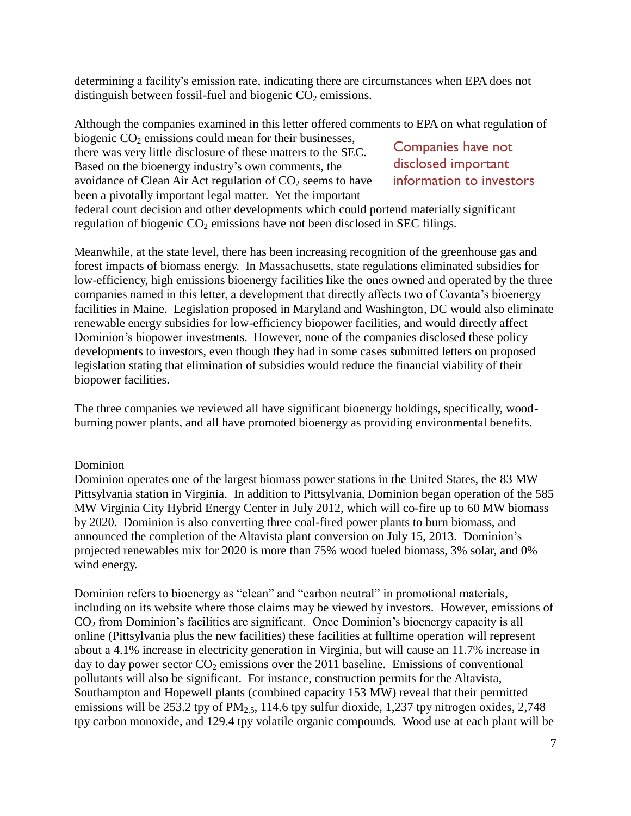determining a facility's emission rate, indicating there are circumstances when EPA does not distinguish between fossil-fuel and biogenic  $CO<sub>2</sub>$  emissions.

Although the companies examined in this letter offered comments to EPA on what regulation of biogenic  $CO<sub>2</sub>$  emissions could mean for their businesses,

there was very little disclosure of these matters to the SEC. Based on the bioenergy industry's own comments, the avoidance of Clean Air Act regulation of  $CO<sub>2</sub>$  seems to have been a pivotally important legal matter. Yet the important

Companies have not disclosed important information to investors

federal court decision and other developments which could portend materially significant regulation of biogenic  $CO<sub>2</sub>$  emissions have not been disclosed in SEC filings.

Meanwhile, at the state level, there has been increasing recognition of the greenhouse gas and forest impacts of biomass energy. In Massachusetts, state regulations eliminated subsidies for low-efficiency, high emissions bioenergy facilities like the ones owned and operated by the three companies named in this letter, a development that directly affects two of Covanta's bioenergy facilities in Maine. Legislation proposed in Maryland and Washington, DC would also eliminate renewable energy subsidies for low-efficiency biopower facilities, and would directly affect Dominion's biopower investments. However, none of the companies disclosed these policy developments to investors, even though they had in some cases submitted letters on proposed legislation stating that elimination of subsidies would reduce the financial viability of their biopower facilities.

The three companies we reviewed all have significant bioenergy holdings, specifically, woodburning power plants, and all have promoted bioenergy as providing environmental benefits.

#### Dominion

Dominion operates one of the largest biomass power stations in the United States, the 83 MW Pittsylvania station in Virginia. In addition to Pittsylvania, Dominion began operation of the 585 MW Virginia City Hybrid Energy Center in July 2012, which will co-fire up to 60 MW biomass by 2020. Dominion is also converting three coal-fired power plants to burn biomass, and announced the completion of the Altavista plant conversion on July 15, 2013. Dominion's projected renewables mix for 2020 is more than 75% wood fueled biomass, 3% solar, and 0% wind energy.

Dominion refers to bioenergy as "clean" and "carbon neutral" in promotional materials, including on its website where those claims may be viewed by investors. However, emissions of  $CO<sub>2</sub>$  from Dominion's facilities are significant. Once Dominion's bioenergy capacity is all online (Pittsylvania plus the new facilities) these facilities at fulltime operation will represent about a 4.1% increase in electricity generation in Virginia, but will cause an 11.7% increase in day to day power sector  $CO<sub>2</sub>$  emissions over the 2011 baseline. Emissions of conventional pollutants will also be significant. For instance, construction permits for the Altavista, Southampton and Hopewell plants (combined capacity 153 MW) reveal that their permitted emissions will be 253.2 tpy of  $PM_{2.5}$ , 114.6 tpy sulfur dioxide, 1,237 tpy nitrogen oxides, 2,748 tpy carbon monoxide, and 129.4 tpy volatile organic compounds. Wood use at each plant will be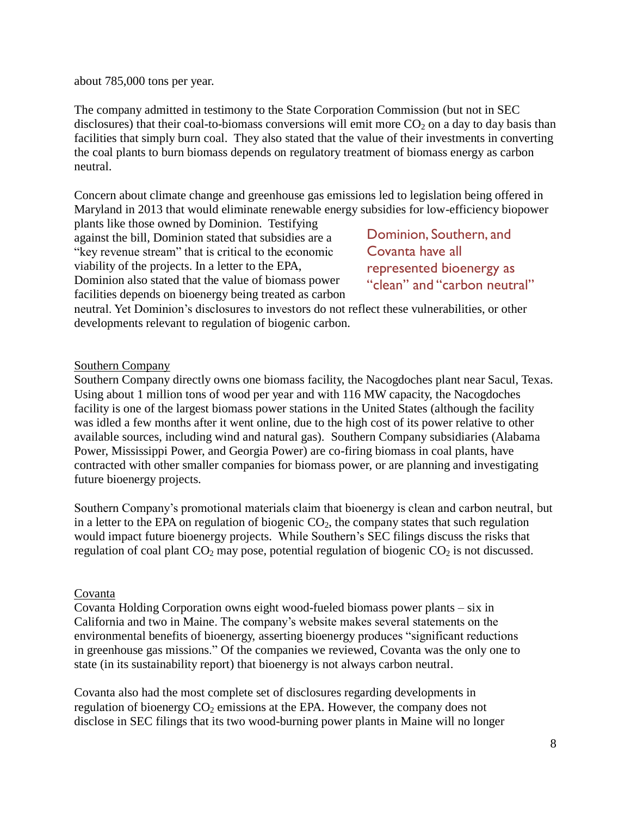about 785,000 tons per year.

The company admitted in testimony to the State Corporation Commission (but not in SEC disclosures) that their coal-to-biomass conversions will emit more  $CO<sub>2</sub>$  on a day to day basis than facilities that simply burn coal. They also stated that the value of their investments in converting the coal plants to burn biomass depends on regulatory treatment of biomass energy as carbon neutral.

Concern about climate change and greenhouse gas emissions led to legislation being offered in Maryland in 2013 that would eliminate renewable energy subsidies for low-efficiency biopower

plants like those owned by Dominion. Testifying against the bill, Dominion stated that subsidies are a "key revenue stream" that is critical to the economic viability of the projects. In a letter to the EPA, Dominion also stated that the value of biomass power facilities depends on bioenergy being treated as carbon

Dominion, Southern, and Covanta have all represented bioenergy as "clean" and "carbon neutral"

neutral. Yet Dominion's disclosures to investors do not reflect these vulnerabilities, or other developments relevant to regulation of biogenic carbon.

#### Southern Company

Southern Company directly owns one biomass facility, the Nacogdoches plant near Sacul, Texas. Using about 1 million tons of wood per year and with 116 MW capacity, the Nacogdoches facility is one of the largest biomass power stations in the United States (although the facility was idled a few months after it went online, due to the high cost of its power relative to other available sources, including wind and natural gas). Southern Company subsidiaries (Alabama Power, Mississippi Power, and Georgia Power) are co-firing biomass in coal plants, have contracted with other smaller companies for biomass power, or are planning and investigating future bioenergy projects.

Southern Company's promotional materials claim that bioenergy is clean and carbon neutral, but in a letter to the EPA on regulation of biogenic  $CO<sub>2</sub>$ , the company states that such regulation would impact future bioenergy projects. While Southern's SEC filings discuss the risks that regulation of coal plant  $CO<sub>2</sub>$  may pose, potential regulation of biogenic  $CO<sub>2</sub>$  is not discussed.

#### Covanta

Covanta Holding Corporation owns eight wood-fueled biomass power plants – six in California and two in Maine. The company's website makes several statements on the environmental benefits of bioenergy, asserting bioenergy produces "significant reductions in greenhouse gas missions." Of the companies we reviewed, Covanta was the only one to state (in its sustainability report) that bioenergy is not always carbon neutral.

Covanta also had the most complete set of disclosures regarding developments in regulation of bioenergy  $CO<sub>2</sub>$  emissions at the EPA. However, the company does not disclose in SEC filings that its two wood-burning power plants in Maine will no longer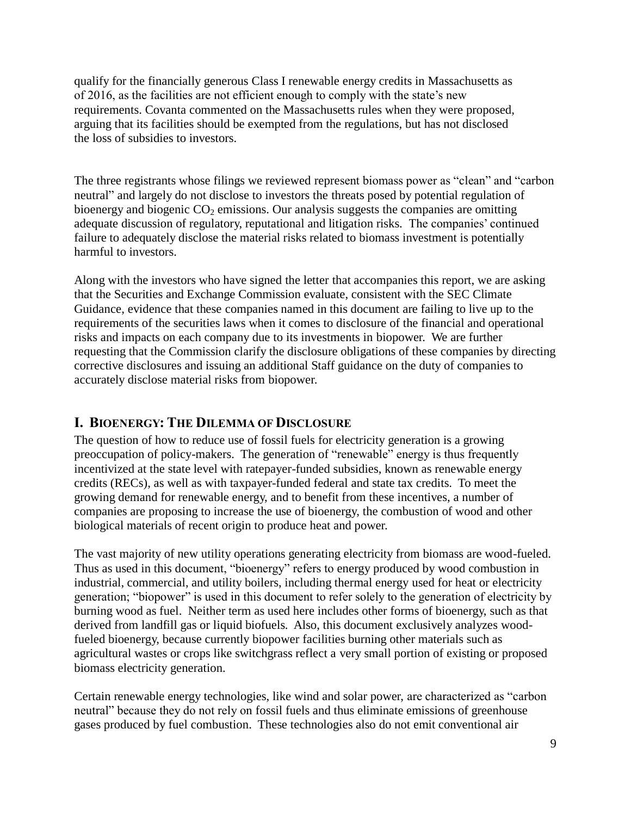qualify for the financially generous Class I renewable energy credits in Massachusetts as of 2016, as the facilities are not efficient enough to comply with the state's new requirements. Covanta commented on the Massachusetts rules when they were proposed, arguing that its facilities should be exempted from the regulations, but has not disclosed the loss of subsidies to investors.

The three registrants whose filings we reviewed represent biomass power as "clean" and "carbon neutral" and largely do not disclose to investors the threats posed by potential regulation of bioenergy and biogenic  $CO<sub>2</sub>$  emissions. Our analysis suggests the companies are omitting adequate discussion of regulatory, reputational and litigation risks. The companies' continued failure to adequately disclose the material risks related to biomass investment is potentially harmful to investors.

Along with the investors who have signed the letter that accompanies this report, we are asking that the Securities and Exchange Commission evaluate, consistent with the SEC Climate Guidance, evidence that these companies named in this document are failing to live up to the requirements of the securities laws when it comes to disclosure of the financial and operational risks and impacts on each company due to its investments in biopower. We are further requesting that the Commission clarify the disclosure obligations of these companies by directing corrective disclosures and issuing an additional Staff guidance on the duty of companies to accurately disclose material risks from biopower.

## <span id="page-8-0"></span>**I. BIOENERGY: THE DILEMMA OF DISCLOSURE**

The question of how to reduce use of fossil fuels for electricity generation is a growing preoccupation of policy-makers. The generation of "renewable" energy is thus frequently incentivized at the state level with ratepayer-funded subsidies, known as renewable energy credits (RECs), as well as with taxpayer-funded federal and state tax credits. To meet the growing demand for renewable energy, and to benefit from these incentives, a number of companies are proposing to increase the use of bioenergy, the combustion of wood and other biological materials of recent origin to produce heat and power.

The vast majority of new utility operations generating electricity from biomass are wood-fueled. Thus as used in this document, "bioenergy" refers to energy produced by wood combustion in industrial, commercial, and utility boilers, including thermal energy used for heat or electricity generation; "biopower" is used in this document to refer solely to the generation of electricity by burning wood as fuel. Neither term as used here includes other forms of bioenergy, such as that derived from landfill gas or liquid biofuels. Also, this document exclusively analyzes woodfueled bioenergy, because currently biopower facilities burning other materials such as agricultural wastes or crops like switchgrass reflect a very small portion of existing or proposed biomass electricity generation.

Certain renewable energy technologies, like wind and solar power, are characterized as "carbon neutral" because they do not rely on fossil fuels and thus eliminate emissions of greenhouse gases produced by fuel combustion. These technologies also do not emit conventional air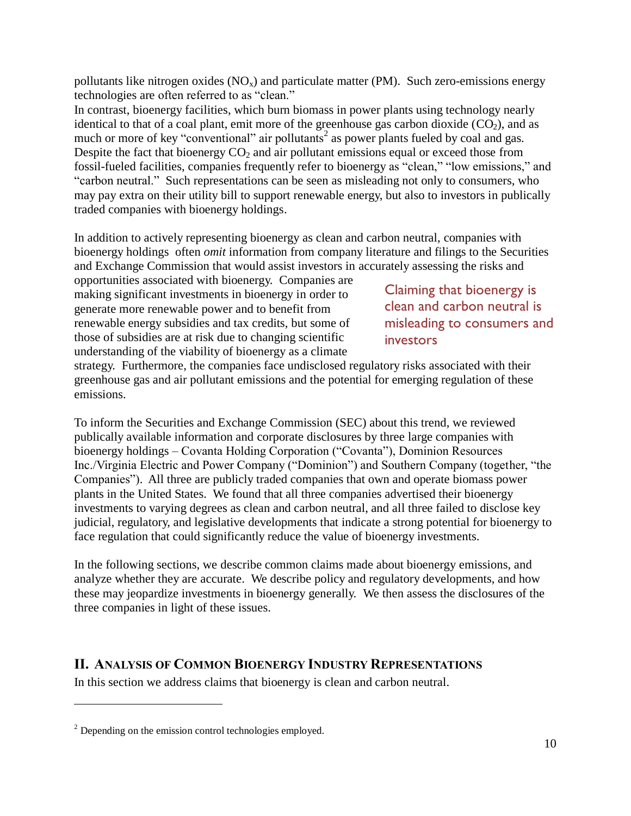pollutants like nitrogen oxides  $(NO_x)$  and particulate matter (PM). Such zero-emissions energy technologies are often referred to as "clean."

In contrast, bioenergy facilities, which burn biomass in power plants using technology nearly identical to that of a coal plant, emit more of the greenhouse gas carbon dioxide  $(CO<sub>2</sub>)$ , and as much or more of key "conventional" air pollutants<sup>2</sup> as power plants fueled by coal and gas. Despite the fact that bioenergy  $CO<sub>2</sub>$  and air pollutant emissions equal or exceed those from fossil-fueled facilities, companies frequently refer to bioenergy as "clean," "low emissions," and "carbon neutral." Such representations can be seen as misleading not only to consumers, who may pay extra on their utility bill to support renewable energy, but also to investors in publically traded companies with bioenergy holdings.

In addition to actively representing bioenergy as clean and carbon neutral, companies with bioenergy holdings often *omit* information from company literature and filings to the Securities and Exchange Commission that would assist investors in accurately assessing the risks and

opportunities associated with bioenergy. Companies are making significant investments in bioenergy in order to generate more renewable power and to benefit from renewable energy subsidies and tax credits, but some of those of subsidies are at risk due to changing scientific understanding of the viability of bioenergy as a climate

Claiming that bioenergy is clean and carbon neutral is misleading to consumers and **investors** 

strategy. Furthermore, the companies face undisclosed regulatory risks associated with their greenhouse gas and air pollutant emissions and the potential for emerging regulation of these emissions.

To inform the Securities and Exchange Commission (SEC) about this trend, we reviewed publically available information and corporate disclosures by three large companies with bioenergy holdings – Covanta Holding Corporation ("Covanta"), Dominion Resources Inc./Virginia Electric and Power Company ("Dominion") and Southern Company (together, "the Companies"). All three are publicly traded companies that own and operate biomass power plants in the United States. We found that all three companies advertised their bioenergy investments to varying degrees as clean and carbon neutral, and all three failed to disclose key judicial, regulatory, and legislative developments that indicate a strong potential for bioenergy to face regulation that could significantly reduce the value of bioenergy investments.

In the following sections, we describe common claims made about bioenergy emissions, and analyze whether they are accurate. We describe policy and regulatory developments, and how these may jeopardize investments in bioenergy generally. We then assess the disclosures of the three companies in light of these issues.

## <span id="page-9-0"></span>**II. ANALYSIS OF COMMON BIOENERGY INDUSTRY REPRESENTATIONS**

In this section we address claims that bioenergy is clean and carbon neutral.

<sup>&</sup>lt;sup>2</sup> Depending on the emission control technologies employed.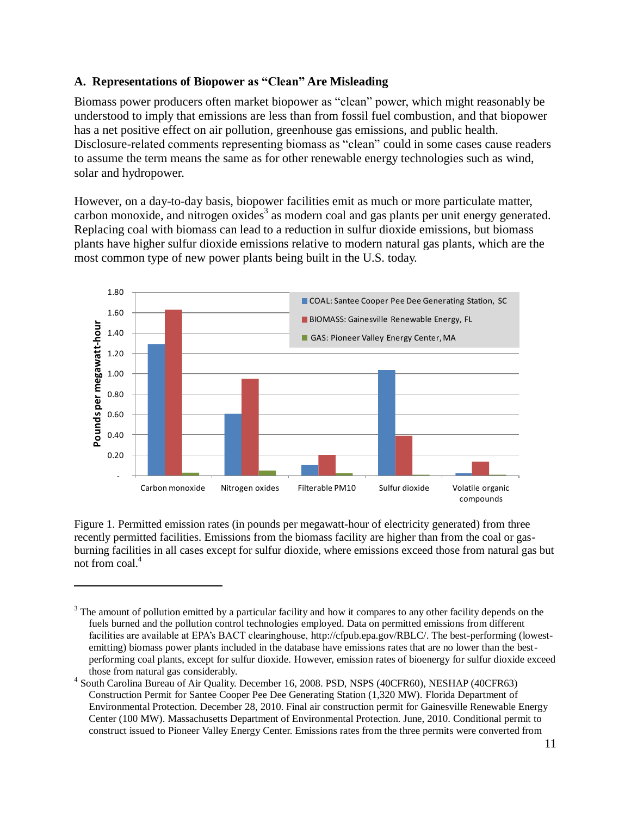## <span id="page-10-0"></span>**A. Representations of Biopower as "Clean" Are Misleading**

Biomass power producers often market biopower as "clean" power, which might reasonably be understood to imply that emissions are less than from fossil fuel combustion, and that biopower has a net positive effect on air pollution, greenhouse gas emissions, and public health. Disclosure-related comments representing biomass as "clean" could in some cases cause readers to assume the term means the same as for other renewable energy technologies such as wind, solar and hydropower.

However, on a day-to-day basis, biopower facilities emit as much or more particulate matter, carbon monoxide, and nitrogen oxides<sup>3</sup> as modern coal and gas plants per unit energy generated. Replacing coal with biomass can lead to a reduction in sulfur dioxide emissions, but biomass plants have higher sulfur dioxide emissions relative to modern natural gas plants, which are the most common type of new power plants being built in the U.S. today.



Figure 1. Permitted emission rates (in pounds per megawatt-hour of electricity generated) from three recently permitted facilities. Emissions from the biomass facility are higher than from the coal or gasburning facilities in all cases except for sulfur dioxide, where emissions exceed those from natural gas but not from coal.<sup>4</sup>

 $3$  The amount of pollution emitted by a particular facility and how it compares to any other facility depends on the fuels burned and the pollution control technologies employed. Data on permitted emissions from different facilities are available at EPA's BACT clearinghouse, [http://cfpub.epa.gov/RBLC/.](http://cfpub.epa.gov/RBLC/) The best-performing (lowestemitting) biomass power plants included in the database have emissions rates that are no lower than the bestperforming coal plants, except for sulfur dioxide. However, emission rates of bioenergy for sulfur dioxide exceed those from natural gas considerably.

<sup>4</sup> South Carolina Bureau of Air Quality. December 16, 2008. PSD, NSPS (40CFR60), NESHAP (40CFR63) Construction Permit for Santee Cooper Pee Dee Generating Station (1,320 MW). Florida Department of Environmental Protection. December 28, 2010. Final air construction permit for Gainesville Renewable Energy Center (100 MW). Massachusetts Department of Environmental Protection. June, 2010. Conditional permit to construct issued to Pioneer Valley Energy Center. Emissions rates from the three permits were converted from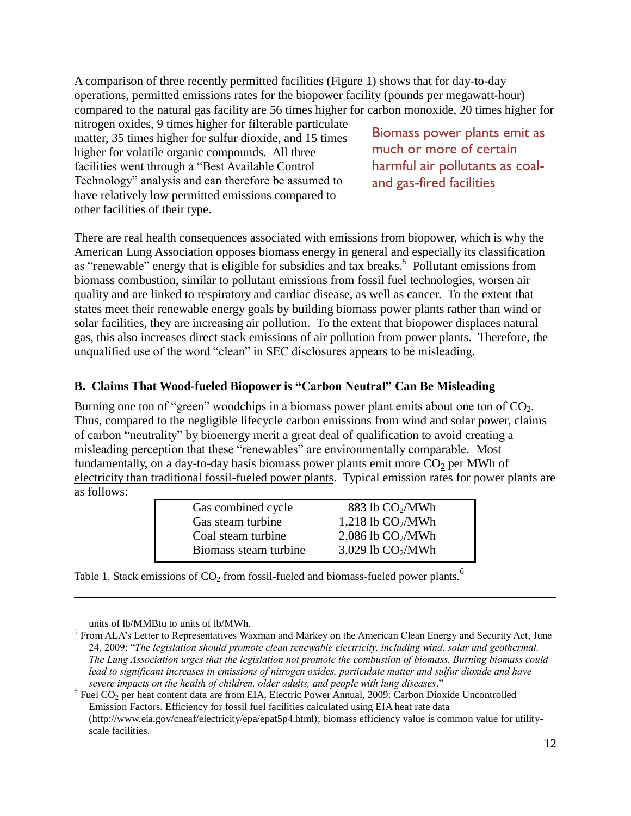A comparison of three recently permitted facilities (Figure 1) shows that for day-to-day operations, permitted emissions rates for the biopower facility (pounds per megawatt-hour) compared to the natural gas facility are 56 times higher for carbon monoxide, 20 times higher for

nitrogen oxides, 9 times higher for filterable particulate matter, 35 times higher for sulfur dioxide, and 15 times higher for volatile organic compounds. All three facilities went through a "Best Available Control Technology" analysis and can therefore be assumed to have relatively low permitted emissions compared to other facilities of their type.

Biomass power plants emit as much or more of certain harmful air pollutants as coaland gas-fired facilities

There are real health consequences associated with emissions from biopower, which is why the American Lung Association opposes biomass energy in general and especially its classification as "renewable" energy that is eligible for subsidies and tax breaks.<sup>5</sup> Pollutant emissions from biomass combustion, similar to pollutant emissions from fossil fuel technologies, worsen air quality and are linked to respiratory and cardiac disease, as well as cancer. To the extent that states meet their renewable energy goals by building biomass power plants rather than wind or solar facilities, they are increasing air pollution. To the extent that biopower displaces natural gas, this also increases direct stack emissions of air pollution from power plants. Therefore, the unqualified use of the word "clean" in SEC disclosures appears to be misleading.

### <span id="page-11-0"></span>**B. Claims That Wood-fueled Biopower is "Carbon Neutral" Can Be Misleading**

Burning one ton of "green" woodchips in a biomass power plant emits about one ton of  $CO<sub>2</sub>$ . Thus, compared to the negligible lifecycle carbon emissions from wind and solar power, claims of carbon "neutrality" by bioenergy merit a great deal of qualification to avoid creating a misleading perception that these "renewables" are environmentally comparable. Most fundamentally, on a day-to-day basis biomass power plants emit more  $CO<sub>2</sub>$  per MWh of electricity than traditional fossil-fueled power plants. Typical emission rates for power plants are as follows:

| Gas combined cycle    | 883 lb CO <sub>2</sub> /MWh |
|-----------------------|-----------------------------|
| Gas steam turbine     | 1,218 lb $CO2/MWh$          |
| Coal steam turbine    | $2,086$ lb $CO2/MWh$        |
| Biomass steam turbine | 3,029 lb $CO2/MWh$          |
|                       |                             |

Table 1. Stack emissions of  $CO<sub>2</sub>$  from fossil-fueled and biomass-fueled power plants.<sup>6</sup>

units of lb/MMBtu to units of lb/MWh.

<sup>&</sup>lt;sup>5</sup> From ALA's Letter to Representatives Waxman and Markey on the American Clean Energy and Security Act, June 24, 2009: "*The legislation should promote clean renewable electricity, including wind, solar and geothermal. The Lung Association urges that the legislation not promote the combustion of biomass. Burning biomass could lead to significant increases in emissions of nitrogen oxides, particulate matter and sulfur dioxide and have severe impacts on the health of children, older adults, and people with lung diseases*."

 $6$  Fuel CO<sub>2</sub> per heat content data are from EIA, Electric Power Annual, 2009: Carbon Dioxide Uncontrolled Emission Factors. Efficiency for fossil fuel facilities calculated using EIA heat rate data (http://www.eia.gov/cneaf/electricity/epa/epat5p4.html); biomass efficiency value is common value for utilityscale facilities.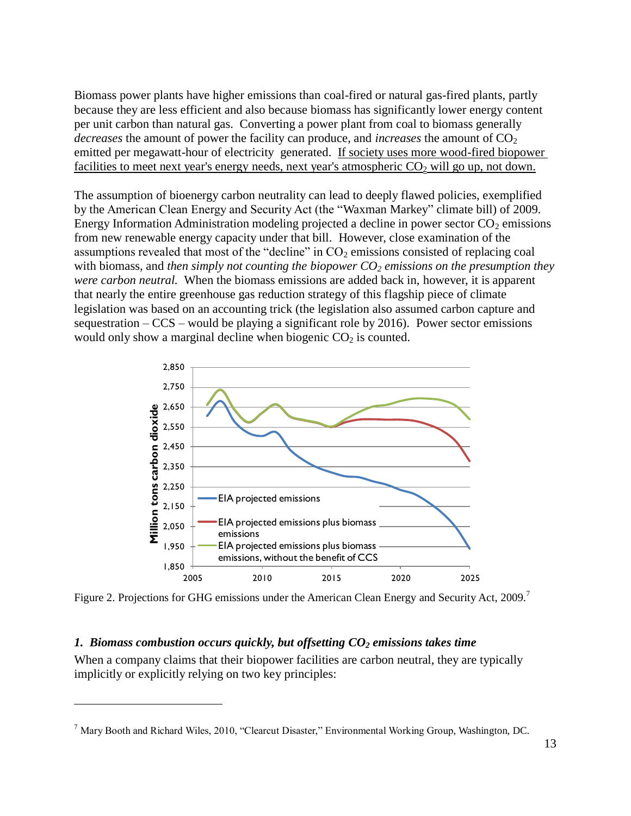Biomass power plants have higher emissions than coal-fired or natural gas-fired plants, partly because they are less efficient and also because biomass has significantly lower energy content per unit carbon than natural gas. Converting a power plant from coal to biomass generally *decreases* the amount of power the facility can produce, and *increases* the amount of CO<sub>2</sub> emitted per megawatt-hour of electricity generated. If society uses more wood-fired biopower facilities to meet next year's energy needs, next year's atmospheric  $CO<sub>2</sub>$  will go up, not down.

The assumption of bioenergy carbon neutrality can lead to deeply flawed policies, exemplified by the American Clean Energy and Security Act (the "Waxman Markey" climate bill) of 2009. Energy Information Administration modeling projected a decline in power sector  $CO<sub>2</sub>$  emissions from new renewable energy capacity under that bill. However, close examination of the assumptions revealed that most of the "decline" in  $CO<sub>2</sub>$  emissions consisted of replacing coal with biomass, and *then simply not counting the biopower CO<sup>2</sup> emissions on the presumption they were carbon neutral.* When the biomass emissions are added back in, however, it is apparent that nearly the entire greenhouse gas reduction strategy of this flagship piece of climate legislation was based on an accounting trick (the legislation also assumed carbon capture and sequestration  $-CCS$  – would be playing a significant role by 2016). Power sector emissions would only show a marginal decline when biogenic  $CO<sub>2</sub>$  is counted.



Figure 2. Projections for GHG emissions under the American Clean Energy and Security Act, 2009.<sup>7</sup>

## <span id="page-12-0"></span>*1. Biomass combustion occurs quickly, but offsetting CO<sup>2</sup> emissions takes time*

 $\overline{a}$ 

When a company claims that their biopower facilities are carbon neutral, they are typically implicitly or explicitly relying on two key principles:

 $<sup>7</sup>$  Mary Booth and Richard Wiles, 2010, "Clearcut Disaster," Environmental Working Group, Washington, DC.</sup>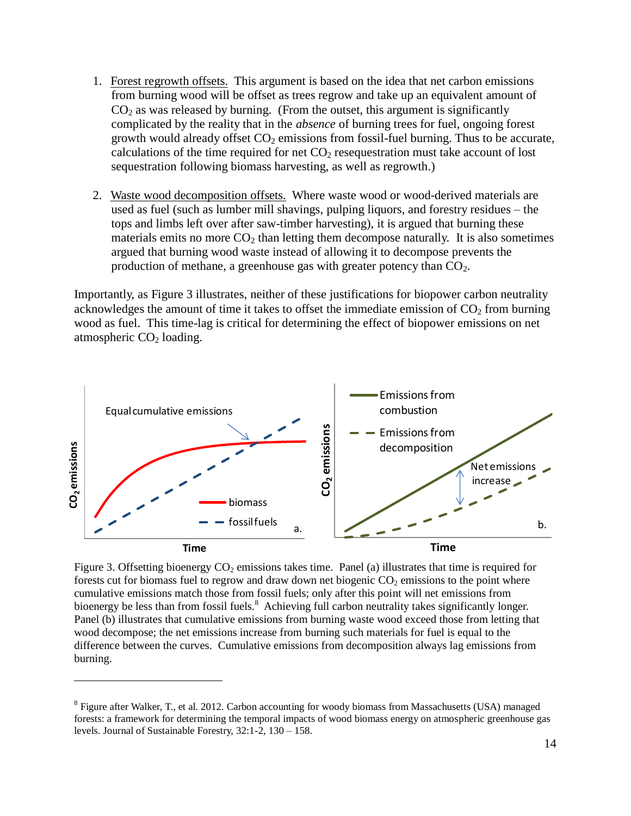- 1. Forest regrowth offsets. This argument is based on the idea that net carbon emissions from burning wood will be offset as trees regrow and take up an equivalent amount of  $CO<sub>2</sub>$  as was released by burning. (From the outset, this argument is significantly complicated by the reality that in the *absence* of burning trees for fuel, ongoing forest growth would already offset  $CO<sub>2</sub>$  emissions from fossil-fuel burning. Thus to be accurate, calculations of the time required for net  $CO<sub>2</sub>$  resequestration must take account of lost sequestration following biomass harvesting, as well as regrowth.)
- 2. Waste wood decomposition offsets. Where waste wood or wood-derived materials are used as fuel (such as lumber mill shavings, pulping liquors, and forestry residues – the tops and limbs left over after saw-timber harvesting), it is argued that burning these materials emits no more  $CO<sub>2</sub>$  than letting them decompose naturally. It is also sometimes argued that burning wood waste instead of allowing it to decompose prevents the production of methane, a greenhouse gas with greater potency than  $CO<sub>2</sub>$ .

Importantly, as Figure 3 illustrates, neither of these justifications for biopower carbon neutrality acknowledges the amount of time it takes to offset the immediate emission of  $CO<sub>2</sub>$  from burning wood as fuel. This time-lag is critical for determining the effect of biopower emissions on net atmospheric  $CO<sub>2</sub>$  loading.



Figure 3. Offsetting bioenergy  $CO<sub>2</sub>$  emissions takes time. Panel (a) illustrates that time is required for forests cut for biomass fuel to regrow and draw down net biogenic  $CO<sub>2</sub>$  emissions to the point where cumulative emissions match those from fossil fuels; only after this point will net emissions from bioenergy be less than from fossil fuels.<sup>8</sup> Achieving full carbon neutrality takes significantly longer. Panel (b) illustrates that cumulative emissions from burning waste wood exceed those from letting that wood decompose; the net emissions increase from burning such materials for fuel is equal to the difference between the curves. Cumulative emissions from decomposition always lag emissions from burning.

<sup>&</sup>lt;sup>8</sup> Figure after Walker, T., et al. 2012. Carbon accounting for woody biomass from Massachusetts (USA) managed forests: a framework for determining the temporal impacts of wood biomass energy on atmospheric greenhouse gas levels. Journal of Sustainable Forestry, 32:1-2, 130 – 158.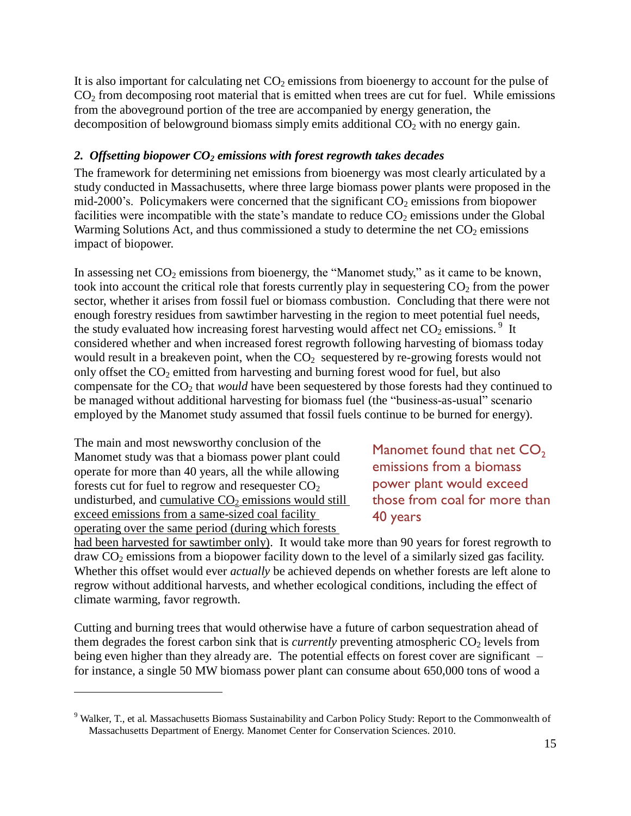It is also important for calculating net  $CO<sub>2</sub>$  emissions from bioenergy to account for the pulse of  $CO<sub>2</sub>$  from decomposing root material that is emitted when trees are cut for fuel. While emissions from the aboveground portion of the tree are accompanied by energy generation, the decomposition of belowground biomass simply emits additional  $CO<sub>2</sub>$  with no energy gain.

### <span id="page-14-0"></span>*2. Offsetting biopower CO<sup>2</sup> emissions with forest regrowth takes decades*

The framework for determining net emissions from bioenergy was most clearly articulated by a study conducted in Massachusetts, where three large biomass power plants were proposed in the mid-2000's. Policymakers were concerned that the significant  $CO<sub>2</sub>$  emissions from biopower facilities were incompatible with the state's mandate to reduce  $CO<sub>2</sub>$  emissions under the Global Warming Solutions Act, and thus commissioned a study to determine the net  $CO<sub>2</sub>$  emissions impact of biopower.

In assessing net  $CO<sub>2</sub>$  emissions from bioenergy, the "Manomet study," as it came to be known, took into account the critical role that forests currently play in sequestering  $CO<sub>2</sub>$  from the power sector, whether it arises from fossil fuel or biomass combustion. Concluding that there were not enough forestry residues from sawtimber harvesting in the region to meet potential fuel needs, the study evaluated how increasing forest harvesting would affect net  $CO_2$  emissions.<sup>9</sup> It considered whether and when increased forest regrowth following harvesting of biomass today would result in a breakeven point, when the  $CO<sub>2</sub>$  sequestered by re-growing forests would not only offset the  $CO<sub>2</sub>$  emitted from harvesting and burning forest wood for fuel, but also compensate for the CO<sub>2</sub> that *would* have been sequestered by those forests had they continued to be managed without additional harvesting for biomass fuel (the "business-as-usual" scenario employed by the Manomet study assumed that fossil fuels continue to be burned for energy).

The main and most newsworthy conclusion of the Manomet study was that a biomass power plant could operate for more than 40 years, all the while allowing forests cut for fuel to regrow and resequester  $CO<sub>2</sub>$ undisturbed, and cumulative  $CO<sub>2</sub>$  emissions would still exceed emissions from a same-sized coal facility operating over the same period (during which forests

 $\overline{a}$ 

Manomet found that net  $CO<sub>2</sub>$ emissions from a biomass power plant would exceed those from coal for more than 40 years

had been harvested for sawtimber only). It would take more than 90 years for forest regrowth to  $d$ raw  $CO<sub>2</sub>$  emissions from a biopower facility down to the level of a similarly sized gas facility. Whether this offset would ever *actually* be achieved depends on whether forests are left alone to regrow without additional harvests, and whether ecological conditions, including the effect of climate warming, favor regrowth.

Cutting and burning trees that would otherwise have a future of carbon sequestration ahead of them degrades the forest carbon sink that is *currently* preventing atmospheric  $CO<sub>2</sub>$  levels from being even higher than they already are. The potential effects on forest cover are significant – for instance, a single 50 MW biomass power plant can consume about 650,000 tons of wood a

<sup>&</sup>lt;sup>9</sup> Walker. T., et al. Massachusetts Biomass Sustainability and Carbon Policy Study: Report to the Commonwealth of Massachusetts Department of Energy. Manomet Center for Conservation Sciences. 2010.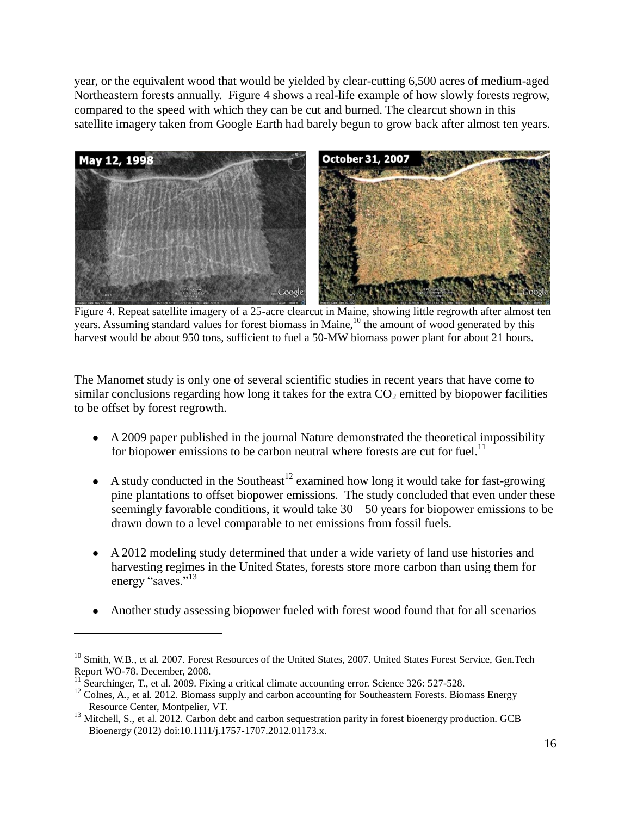year, or the equivalent wood that would be yielded by clear-cutting 6,500 acres of medium-aged Northeastern forests annually. Figure 4 shows a real-life example of how slowly forests regrow, compared to the speed with which they can be cut and burned. The clearcut shown in this satellite imagery taken from Google Earth had barely begun to grow back after almost ten years.



Figure 4. Repeat satellite imagery of a 25-acre clearcut in Maine, showing little regrowth after almost ten years. Assuming standard values for forest biomass in Maine,<sup>10</sup> the amount of wood generated by this harvest would be about 950 tons, sufficient to fuel a 50-MW biomass power plant for about 21 hours.

The Manomet study is only one of several scientific studies in recent years that have come to similar conclusions regarding how long it takes for the extra  $CO<sub>2</sub>$  emitted by biopower facilities to be offset by forest regrowth.

- A 2009 paper published in the journal Nature demonstrated the theoretical impossibility for biopower emissions to be carbon neutral where forests are cut for fuel.<sup>11</sup>
- A study conducted in the Southeast<sup>12</sup> examined how long it would take for fast-growing pine plantations to offset biopower emissions. The study concluded that even under these seemingly favorable conditions, it would take  $30 - 50$  years for biopower emissions to be drawn down to a level comparable to net emissions from fossil fuels.
- A 2012 modeling study determined that under a wide variety of land use histories and harvesting regimes in the United States, forests store more carbon than using them for energy "saves."<sup>13</sup>
- Another study assessing biopower fueled with forest wood found that for all scenarios

<sup>&</sup>lt;sup>10</sup> Smith, W.B., et al. 2007. Forest Resources of the United States, 2007. United States Forest Service, Gen.Tech Report WO-78. December, 2008.

<sup>&</sup>lt;sup>11</sup> Searchinger, T., et al. 2009. Fixing a critical climate accounting error. Science 326: 527-528.

 $12$  Colnes, A., et al. 2012. Biomass supply and carbon accounting for Southeastern Forests. Biomass Energy Resource Center, Montpelier, VT.

<sup>&</sup>lt;sup>13</sup> Mitchell, S., et al. 2012. Carbon debt and carbon sequestration parity in forest bioenergy production. GCB Bioenergy (2012) doi:10.1111/j.1757-1707.2012.01173.x.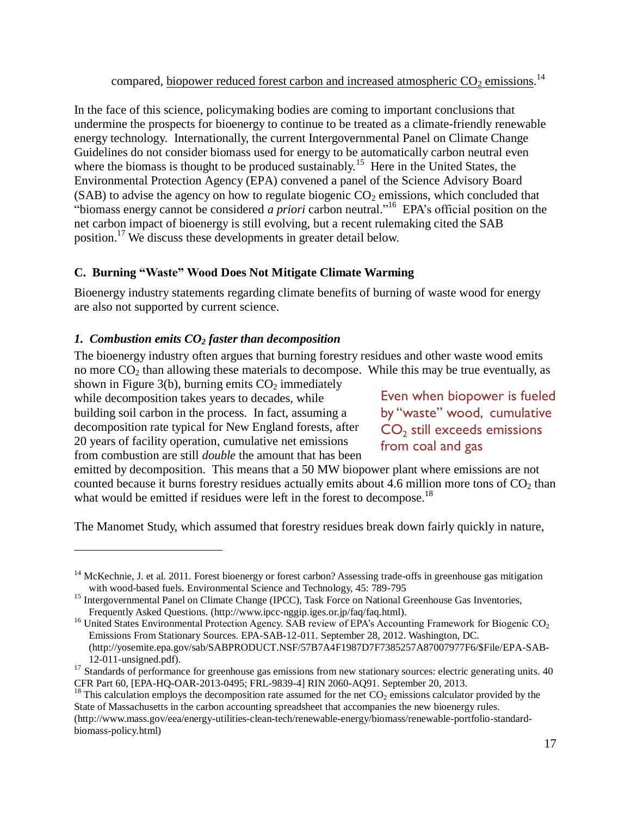compared, biopower reduced forest carbon and increased atmospheric  $CO_2$  emissions.<sup>14</sup>

In the face of this science, policymaking bodies are coming to important conclusions that undermine the prospects for bioenergy to continue to be treated as a climate-friendly renewable energy technology. Internationally, the current Intergovernmental Panel on Climate Change Guidelines do not consider biomass used for energy to be automatically carbon neutral even where the biomass is thought to be produced sustainably.<sup>15</sup> Here in the United States, the Environmental Protection Agency (EPA) convened a panel of the Science Advisory Board (SAB) to advise the agency on how to regulate biogenic  $CO<sub>2</sub>$  emissions, which concluded that "biomass energy cannot be considered *a priori* carbon neutral." <sup>16</sup> EPA's official position on the net carbon impact of bioenergy is still evolving, but a recent rulemaking cited the SAB position.<sup>17</sup> We discuss these developments in greater detail below.

## <span id="page-16-0"></span>**C. Burning "Waste" Wood Does Not Mitigate Climate Warming**

Bioenergy industry statements regarding climate benefits of burning of waste wood for energy are also not supported by current science.

## <span id="page-16-1"></span>*1. Combustion emits CO<sup>2</sup> faster than decomposition*

The bioenergy industry often argues that burning forestry residues and other waste wood emits no more  $CO<sub>2</sub>$  than allowing these materials to decompose. While this may be true eventually, as

shown in Figure 3(b), burning emits  $CO<sub>2</sub>$  immediately while decomposition takes years to decades, while building soil carbon in the process. In fact, assuming a decomposition rate typical for New England forests, after 20 years of facility operation, cumulative net emissions from combustion are still *double* the amount that has been

 $\overline{a}$ 

Even when biopower is fueled by "waste" wood, cumulative  $CO<sub>2</sub>$  still exceeds emissions from coal and gas

emitted by decomposition. This means that a 50 MW biopower plant where emissions are not counted because it burns forestry residues actually emits about 4.6 million more tons of CO<sub>2</sub> than what would be emitted if residues were left in the forest to decompose.<sup>18</sup>

The Manomet Study, which assumed that forestry residues break down fairly quickly in nature,

[\(http://www.mass.gov/eea/energy-utilities-clean-tech/renewable-energy/biomass/renewable-portfolio-standard](http://www.mass.gov/eea/energy-utilities-clean-tech/renewable-energy/biomass/renewable-portfolio-standard-biomass-policy.html)[biomass-policy.html\)](http://www.mass.gov/eea/energy-utilities-clean-tech/renewable-energy/biomass/renewable-portfolio-standard-biomass-policy.html)

<sup>&</sup>lt;sup>14</sup> McKechnie, J. et al. 2011. Forest bioenergy or forest carbon? Assessing trade-offs in greenhouse gas mitigation with wood-based fuels. Environmental Science and Technology, 45: 789-795

<sup>&</sup>lt;sup>15</sup> Intergovernmental Panel on Climate Change (IPCC), Task Force on National Greenhouse Gas Inventories, Frequently Asked Questions. [\(http://www.ipcc-nggip.iges.or.jp/faq/faq.html\)](http://www.ipcc-nggip.iges.or.jp/faq/faq.html).

<sup>&</sup>lt;sup>16</sup> United States Environmental Protection Agency. SAB review of EPA's Accounting Framework for Biogenic CO<sub>2</sub> Emissions From Stationary Sources. EPA-SAB-12-011. September 28, 2012. Washington, DC. [\(http://yosemite.epa.gov/sab/SABPRODUCT.NSF/57B7A4F1987D7F7385257A87007977F6/\\$File/EPA-SAB-](http://yosemite.epa.gov/sab/SABPRODUCT.NSF/57B7A4F1987D7F7385257A87007977F6/$File/EPA-SAB-12-011-unsigned.pdf)[12-011-unsigned.pdf\)](http://yosemite.epa.gov/sab/SABPRODUCT.NSF/57B7A4F1987D7F7385257A87007977F6/$File/EPA-SAB-12-011-unsigned.pdf).

<sup>&</sup>lt;sup>17</sup> Standards of performance for greenhouse gas emissions from new stationary sources: electric generating units. 40 CFR Part 60, [EPA-HQ-OAR-2013-0495; FRL-9839-4] RIN 2060-AQ91. September 20, 2013.

<sup>&</sup>lt;sup>18</sup> This calculation employs the decomposition rate assumed for the net  $CO_2$  emissions calculator provided by the State of Massachusetts in the carbon accounting spreadsheet that accompanies the new bioenergy rules.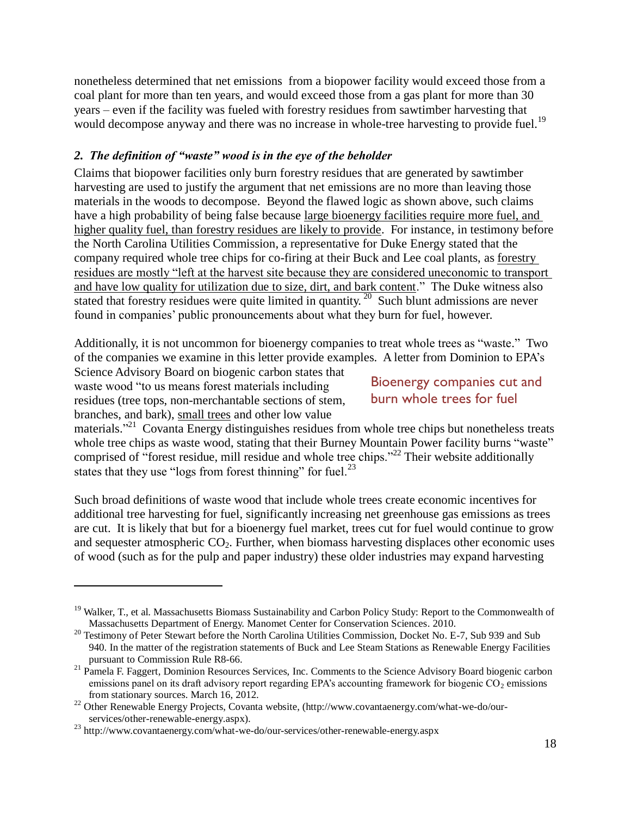nonetheless determined that net emissions from a biopower facility would exceed those from a coal plant for more than ten years, and would exceed those from a gas plant for more than 30 years – even if the facility was fueled with forestry residues from sawtimber harvesting that would decompose anyway and there was no increase in whole-tree harvesting to provide fuel.<sup>19</sup>

## <span id="page-17-0"></span>*2. The definition of "waste" wood is in the eye of the beholder*

Claims that biopower facilities only burn forestry residues that are generated by sawtimber harvesting are used to justify the argument that net emissions are no more than leaving those materials in the woods to decompose. Beyond the flawed logic as shown above, such claims have a high probability of being false because large bioenergy facilities require more fuel, and higher quality fuel, than forestry residues are likely to provide. For instance, in testimony before the North Carolina Utilities Commission, a representative for Duke Energy stated that the company required whole tree chips for co-firing at their Buck and Lee coal plants, as forestry residues are mostly "left at the harvest site because they are considered uneconomic to transport and have low quality for utilization due to size, dirt, and bark content." The Duke witness also stated that forestry residues were quite limited in quantity.<sup>20</sup> Such blunt admissions are never found in companies' public pronouncements about what they burn for fuel, however.

Additionally, it is not uncommon for bioenergy companies to treat whole trees as "waste." Two of the companies we examine in this letter provide examples. A letter from Dominion to EPA's

Science Advisory Board on biogenic carbon states that waste wood "to us means forest materials including residues (tree tops, non-merchantable sections of stem, branches, and bark), small trees and other low value

 $\overline{a}$ 

# Bioenergy companies cut and burn whole trees for fuel

materials."<sup>21</sup> Covanta Energy distinguishes residues from whole tree chips but nonetheless treats whole tree chips as waste wood, stating that their Burney Mountain Power facility burns "waste" comprised of "forest residue, mill residue and whole tree chips."<sup>22</sup> Their website additionally states that they use "logs from forest thinning" for fuel. $^{23}$ 

Such broad definitions of waste wood that include whole trees create economic incentives for additional tree harvesting for fuel, significantly increasing net greenhouse gas emissions as trees are cut. It is likely that but for a bioenergy fuel market, trees cut for fuel would continue to grow and sequester atmospheric  $CO<sub>2</sub>$ . Further, when biomass harvesting displaces other economic uses of wood (such as for the pulp and paper industry) these older industries may expand harvesting

 $19$  Walker, T., et al. Massachusetts Biomass Sustainability and Carbon Policy Study: Report to the Commonwealth of Massachusetts Department of Energy. Manomet Center for Conservation Sciences. 2010.

<sup>&</sup>lt;sup>20</sup> Testimony of Peter Stewart before the North Carolina Utilities Commission, Docket No. E-7, Sub 939 and Sub 940. In the matter of the registration statements of Buck and Lee Steam Stations as Renewable Energy Facilities pursuant to Commission Rule R8-66.

<sup>&</sup>lt;sup>21</sup> Pamela F. Faggert, Dominion Resources Services, Inc. Comments to the Science Advisory Board biogenic carbon emissions panel on its draft advisory report regarding EPA's accounting framework for biogenic  $CO<sub>2</sub>$  emissions from stationary sources. March 16, 2012.

<sup>&</sup>lt;sup>22</sup> Other Renewable Energy Projects, Covanta website, [\(http://www.covantaenergy.com/what-we-do/our](http://www.covantaenergy.com/what-we-do/our-services/other-renewable-energy.aspx)[services/other-renewable-energy.aspx\)](http://www.covantaenergy.com/what-we-do/our-services/other-renewable-energy.aspx).

<sup>23</sup> <http://www.covantaenergy.com/what-we-do/our-services/other-renewable-energy.aspx>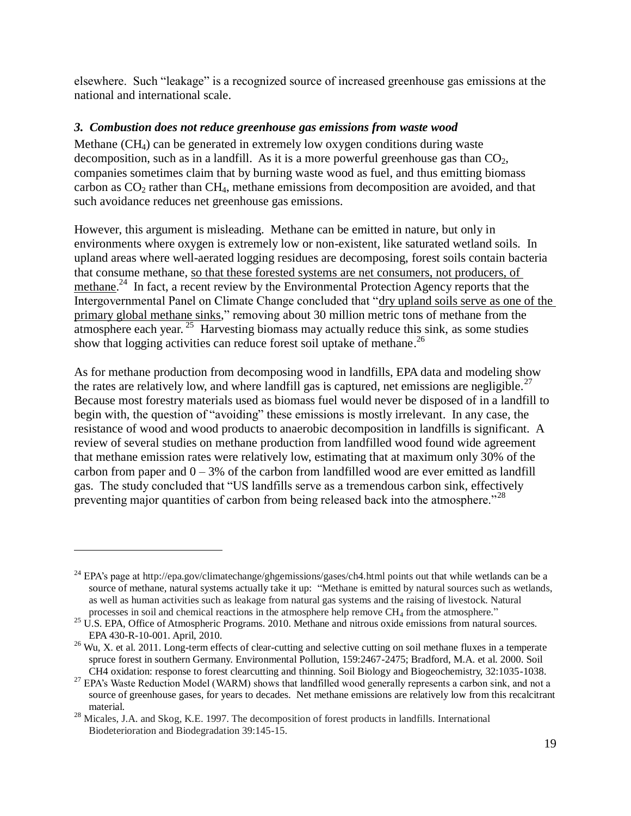elsewhere. Such "leakage" is a recognized source of increased greenhouse gas emissions at the national and international scale.

### <span id="page-18-0"></span>*3. Combustion does not reduce greenhouse gas emissions from waste wood*

Methane  $(CH_4)$  can be generated in extremely low oxygen conditions during waste decomposition, such as in a landfill. As it is a more powerful greenhouse gas than  $CO<sub>2</sub>$ , companies sometimes claim that by burning waste wood as fuel, and thus emitting biomass carbon as  $CO<sub>2</sub>$  rather than  $CH<sub>4</sub>$ , methane emissions from decomposition are avoided, and that such avoidance reduces net greenhouse gas emissions.

However, this argument is misleading. Methane can be emitted in nature, but only in environments where oxygen is extremely low or non-existent, like saturated wetland soils. In upland areas where well-aerated logging residues are decomposing, forest soils contain bacteria that consume methane, so that these forested systems are net consumers, not producers, of methane.<sup>24</sup> In fact, a recent review by the Environmental Protection Agency reports that the Intergovernmental Panel on Climate Change concluded that "dry upland soils serve as one of the primary global methane sinks," removing about 30 million metric tons of methane from the atmosphere each year.  $25$  Harvesting biomass may actually reduce this sink, as some studies show that logging activities can reduce forest soil uptake of methane.<sup>26</sup>

As for methane production from decomposing wood in landfills, EPA data and modeling show the rates are relatively low, and where landfill gas is captured, net emissions are negligible.<sup>27</sup> Because most forestry materials used as biomass fuel would never be disposed of in a landfill to begin with, the question of "avoiding" these emissions is mostly irrelevant. In any case, the resistance of wood and wood products to anaerobic decomposition in landfills is significant. A review of several studies on methane production from landfilled wood found wide agreement that methane emission rates were relatively low, estimating that at maximum only 30% of the carbon from paper and  $0 - 3\%$  of the carbon from landfilled wood are ever emitted as landfill gas. The study concluded that "US landfills serve as a tremendous carbon sink, effectively preventing major quantities of carbon from being released back into the atmosphere.<sup>"28</sup>

<sup>&</sup>lt;sup>24</sup> EPA's page at<http://epa.gov/climatechange/ghgemissions/gases/ch4.html> points out that while wetlands can be a source of methane, natural systems actually take it up: "Methane is emitted by natural sources such as wetlands, as well as human activities such as leakage from natural gas systems and the raising of livestock. Natural processes in soil and chemical reactions in the atmosphere help remove CH<sub>4</sub> from the atmosphere."

<sup>&</sup>lt;sup>25</sup> U.S. EPA, Office of Atmospheric Programs. 2010. Methane and nitrous oxide emissions from natural sources. EPA 430-R-10-001. April, 2010.

 $26$  Wu. X. et al. 2011. Long-term effects of clear-cutting and selective cutting on soil methane fluxes in a temperate spruce forest in southern Germany. Environmental Pollution, 159:2467-2475; Bradford, M.A. et al. 2000. Soil CH4 oxidation: response to forest clearcutting and thinning. Soil Biology and Biogeochemistry, 32:1035-1038.

<sup>&</sup>lt;sup>27</sup> EPA's Waste Reduction Model (WARM) shows that landfilled wood generally represents a carbon sink, and not a source of greenhouse gases, for years to decades. Net methane emissions are relatively low from this recalcitrant material.

<sup>&</sup>lt;sup>28</sup> Micales, J.A. and Skog, K.E. 1997. The decomposition of forest products in landfills. International Biodeterioration and Biodegradation 39:145-15.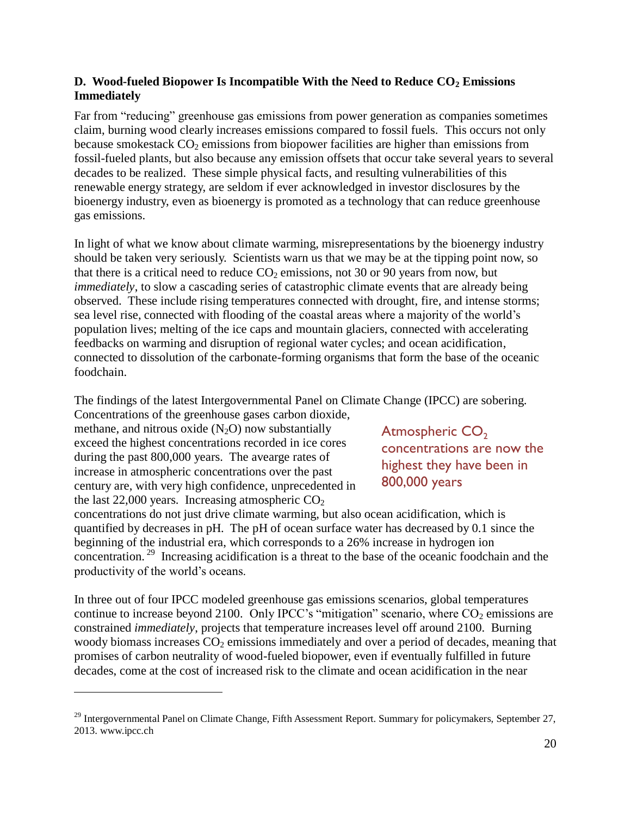## <span id="page-19-0"></span>**D. Wood-fueled Biopower Is Incompatible With the Need to Reduce CO<sup>2</sup> Emissions Immediately**

Far from "reducing" greenhouse gas emissions from power generation as companies sometimes claim, burning wood clearly increases emissions compared to fossil fuels. This occurs not only because smokestack  $CO<sub>2</sub>$  emissions from biopower facilities are higher than emissions from fossil-fueled plants, but also because any emission offsets that occur take several years to several decades to be realized. These simple physical facts, and resulting vulnerabilities of this renewable energy strategy, are seldom if ever acknowledged in investor disclosures by the bioenergy industry, even as bioenergy is promoted as a technology that can reduce greenhouse gas emissions.

In light of what we know about climate warming, misrepresentations by the bioenergy industry should be taken very seriously. Scientists warn us that we may be at the tipping point now, so that there is a critical need to reduce  $CO<sub>2</sub>$  emissions, not 30 or 90 years from now, but *immediately*, to slow a cascading series of catastrophic climate events that are already being observed. These include rising temperatures connected with drought, fire, and intense storms; sea level rise, connected with flooding of the coastal areas where a majority of the world's population lives; melting of the ice caps and mountain glaciers, connected with accelerating feedbacks on warming and disruption of regional water cycles; and ocean acidification, connected to dissolution of the carbonate-forming organisms that form the base of the oceanic foodchain.

The findings of the latest Intergovernmental Panel on Climate Change (IPCC) are sobering.

Concentrations of the greenhouse gases carbon dioxide, methane, and nitrous oxide  $(N_2O)$  now substantially exceed the highest concentrations recorded in ice cores during the past 800,000 years. The avearge rates of increase in atmospheric concentrations over the past century are, with very high confidence, unprecedented in the last  $22,000$  years. Increasing atmospheric  $CO<sub>2</sub>$ 

 $\overline{a}$ 

concentrations do not just drive climate warming, but also ocean acidification, which is quantified by decreases in pH. The pH of ocean surface water has decreased by 0.1 since the beginning of the industrial era, which corresponds to a 26% increase in hydrogen ion concentration.<sup>29</sup> Increasing acidification is a threat to the base of the oceanic foodchain and the productivity of the world's oceans.

In three out of four IPCC modeled greenhouse gas emissions scenarios, global temperatures continue to increase beyond 2100. Only IPCC's "mitigation" scenario, where  $CO<sub>2</sub>$  emissions are constrained *immediately*, projects that temperature increases level off around 2100. Burning woody biomass increases  $CO<sub>2</sub>$  emissions immediately and over a period of decades, meaning that promises of carbon neutrality of wood-fueled biopower, even if eventually fulfilled in future decades, come at the cost of increased risk to the climate and ocean acidification in the near

Atmospheric CO<sub>2</sub> concentrations are now the highest they have been in 800,000 years

<sup>&</sup>lt;sup>29</sup> Intergovernmental Panel on Climate Change, Fifth Assessment Report. Summary for policymakers, September 27, 2013. www.ipcc.ch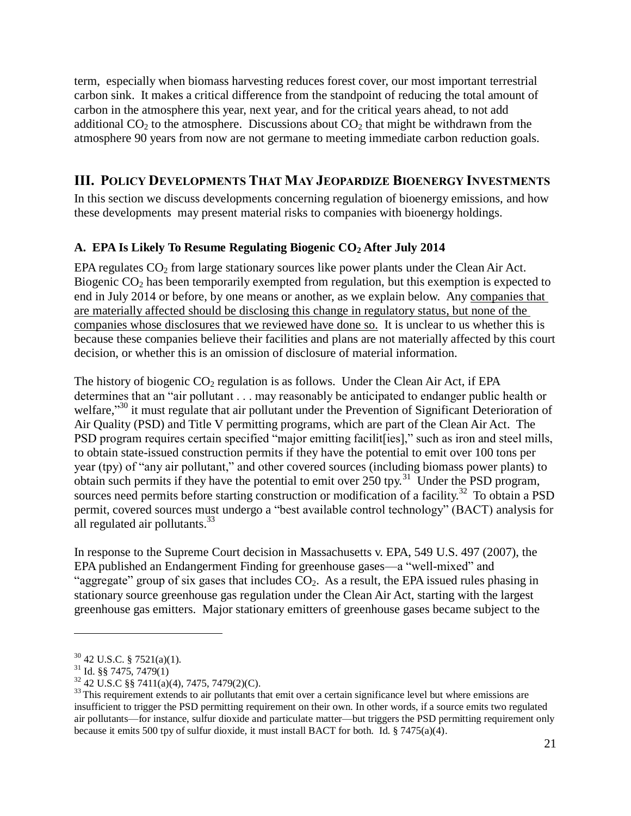term, especially when biomass harvesting reduces forest cover, our most important terrestrial carbon sink. It makes a critical difference from the standpoint of reducing the total amount of carbon in the atmosphere this year, next year, and for the critical years ahead, to not add additional  $CO<sub>2</sub>$  to the atmosphere. Discussions about  $CO<sub>2</sub>$  that might be withdrawn from the atmosphere 90 years from now are not germane to meeting immediate carbon reduction goals.

## <span id="page-20-0"></span>**III. POLICY DEVELOPMENTS THAT MAY JEOPARDIZE BIOENERGY INVESTMENTS**

In this section we discuss developments concerning regulation of bioenergy emissions, and how these developments may present material risks to companies with bioenergy holdings.

## <span id="page-20-1"></span>**A. EPA Is Likely To Resume Regulating Biogenic CO<sup>2</sup> After July 2014**

EPA regulates  $CO<sub>2</sub>$  from large stationary sources like power plants under the Clean Air Act. Biogenic  $CO<sub>2</sub>$  has been temporarily exempted from regulation, but this exemption is expected to end in July 2014 or before, by one means or another, as we explain below. Any companies that are materially affected should be disclosing this change in regulatory status, but none of the companies whose disclosures that we reviewed have done so. It is unclear to us whether this is because these companies believe their facilities and plans are not materially affected by this court decision, or whether this is an omission of disclosure of material information.

The history of biogenic  $CO<sub>2</sub>$  regulation is as follows. Under the Clean Air Act, if EPA determines that an "air pollutant . . . may reasonably be anticipated to endanger public health or welfare,"<sup>30</sup> it must regulate that air pollutant under the Prevention of Significant Deterioration of Air Quality (PSD) and Title V permitting programs, which are part of the Clean Air Act. The PSD program requires certain specified "major emitting facilit [ies]," such as iron and steel mills, to obtain state-issued construction permits if they have the potential to emit over 100 tons per year (tpy) of "any air pollutant," and other covered sources (including biomass power plants) to obtain such permits if they have the potential to emit over  $250$  tpy.<sup>31</sup> Under the PSD program, sources need permits before starting construction or modification of a facility.<sup>32</sup> To obtain a PSD permit, covered sources must undergo a "best available control technology" (BACT) analysis for all regulated air pollutants.<sup>33</sup>

In response to the Supreme Court decision in Massachusetts v. EPA, 549 U.S. 497 (2007), the EPA published an Endangerment Finding for greenhouse gases—a "well-mixed" and "aggregate" group of six gases that includes  $CO<sub>2</sub>$ . As a result, the EPA issued rules phasing in stationary source greenhouse gas regulation under the Clean Air Act, starting with the largest greenhouse gas emitters. Major stationary emitters of greenhouse gases became subject to the

 $30$  42 U.S.C. § 7521(a)(1).

 $31$  Id. §§ 7475, 7479(1)

 $32$  42 U.S.C §§ 7411(a)(4), 7475, 7479(2)(C).

 $33$  This requirement extends to air pollutants that emit over a certain significance level but where emissions are insufficient to trigger the PSD permitting requirement on their own. In other words, if a source emits two regulated air pollutants—for instance, sulfur dioxide and particulate matter—but triggers the PSD permitting requirement only because it emits 500 tpy of sulfur dioxide, it must install BACT for both. Id. § 7475(a)(4).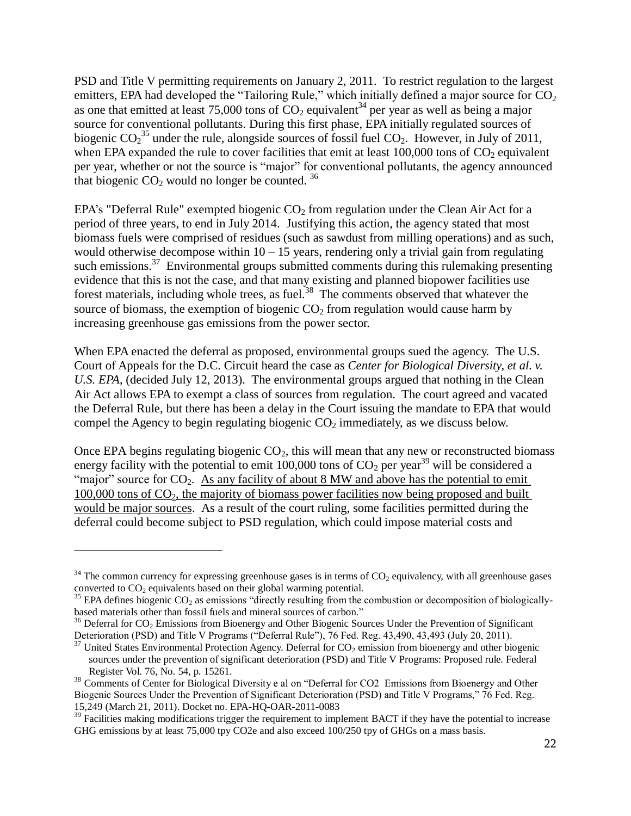PSD and Title V permitting requirements on January 2, 2011. To restrict regulation to the largest emitters, EPA had developed the "Tailoring Rule," which initially defined a major source for  $CO<sub>2</sub>$ as one that emitted at least 75,000 tons of  $CO<sub>2</sub>$  equivalent<sup>34</sup> per year as well as being a major source for conventional pollutants. During this first phase, EPA initially regulated sources of biogenic  $CO_2^{35}$  under the rule, alongside sources of fossil fuel  $CO_2$ . However, in July of 2011, when EPA expanded the rule to cover facilities that emit at least  $100,000$  tons of  $CO<sub>2</sub>$  equivalent per year, whether or not the source is "major" for conventional pollutants, the agency announced that biogenic  $CO<sub>2</sub>$  would no longer be counted.  $36$ 

EPA's "Deferral Rule" exempted biogenic  $CO<sub>2</sub>$  from regulation under the Clean Air Act for a period of three years, to end in July 2014. Justifying this action, the agency stated that most biomass fuels were comprised of residues (such as sawdust from milling operations) and as such, would otherwise decompose within  $10 - 15$  years, rendering only a trivial gain from regulating such emissions.<sup>37</sup> Environmental groups submitted comments during this rulemaking presenting evidence that this is not the case, and that many existing and planned biopower facilities use forest materials, including whole trees, as fuel.<sup>38</sup> The comments observed that whatever the source of biomass, the exemption of biogenic  $CO<sub>2</sub>$  from regulation would cause harm by increasing greenhouse gas emissions from the power sector.

When EPA enacted the deferral as proposed, environmental groups sued the agency. The U.S. Court of Appeals for the D.C. Circuit heard the case as *Center for Biological Diversity, et al. v. U.S. EPA*, (decided July 12, 2013). The environmental groups argued that nothing in the Clean Air Act allows EPA to exempt a class of sources from regulation. The court agreed and vacated the Deferral Rule, but there has been a delay in the Court issuing the mandate to EPA that would compel the Agency to begin regulating biogenic  $CO<sub>2</sub>$  immediately, as we discuss below.

Once EPA begins regulating biogenic  $CO<sub>2</sub>$ , this will mean that any new or reconstructed biomass energy facility with the potential to emit 100,000 tons of  $CO_2$  per year<sup>39</sup> will be considered a "major" source for  $CO<sub>2</sub>$ . As any facility of about 8 MW and above has the potential to emit  $100,000$  tons of  $CO<sub>2</sub>$ , the majority of biomass power facilities now being proposed and built would be major sources. As a result of the court ruling, some facilities permitted during the deferral could become subject to PSD regulation, which could impose material costs and

 $34$  The common currency for expressing greenhouse gases is in terms of CO<sub>2</sub> equivalency, with all greenhouse gases converted to  $CO<sub>2</sub>$  equivalents based on their global warming potential.

 $35$  EPA defines biogenic CO<sub>2</sub> as emissions "directly resulting from the combustion or decomposition of biologicallybased materials other than fossil fuels and mineral sources of carbon."

 $36$  Deferral for CO<sub>2</sub> Emissions from Bioenergy and Other Biogenic Sources Under the Prevention of Significant Deterioration (PSD) and Title V Programs ("Deferral Rule"), 76 Fed. Reg. 43,490, 43,493 (July 20, 2011).

 $37$  United States Environmental Protection Agency. Deferral for  $CO_2$  emission from bioenergy and other biogenic sources under the prevention of significant deterioration (PSD) and Title V Programs: Proposed rule. Federal Register Vol. 76, No. 54, p. 15261.

<sup>&</sup>lt;sup>38</sup> Comments of Center for Biological Diversity e al on "Deferral for CO2 Emissions from Bioenergy and Other Biogenic Sources Under the Prevention of Significant Deterioration (PSD) and Title V Programs," 76 Fed. Reg. 15,249 (March 21, 2011). Docket no. EPA-HQ-OAR-2011-0083

<sup>&</sup>lt;sup>39</sup> Facilities making modifications trigger the requirement to implement BACT if they have the potential to increase GHG emissions by at least 75,000 tpy CO2e and also exceed 100/250 tpy of GHGs on a mass basis.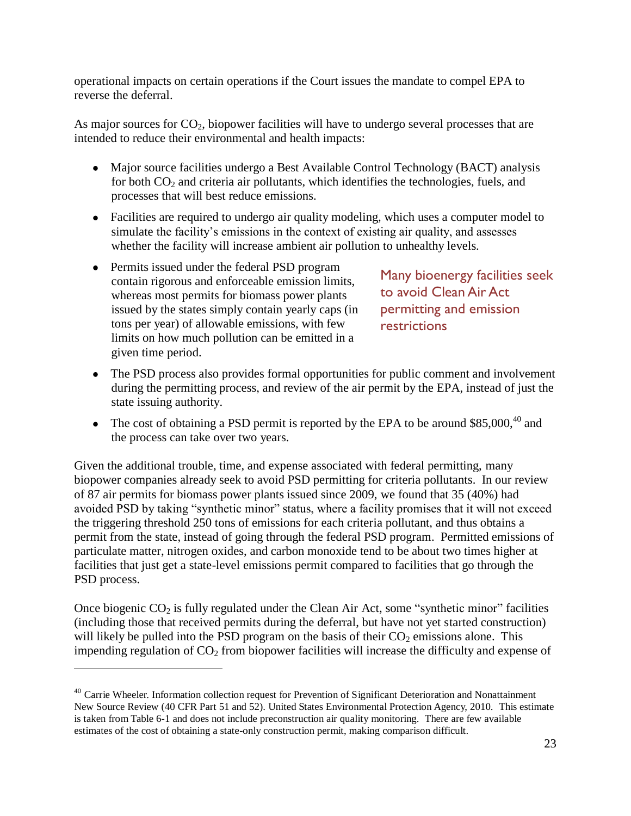operational impacts on certain operations if the Court issues the mandate to compel EPA to reverse the deferral.

As major sources for  $CO<sub>2</sub>$ , biopower facilities will have to undergo several processes that are intended to reduce their environmental and health impacts:

- Major source facilities undergo a Best Available Control Technology (BACT) analysis for both  $CO<sub>2</sub>$  and criteria air pollutants, which identifies the technologies, fuels, and processes that will best reduce emissions.
- Facilities are required to undergo air quality modeling, which uses a computer model to simulate the facility's emissions in the context of existing air quality, and assesses whether the facility will increase ambient air pollution to unhealthy levels.
- Permits issued under the federal PSD program contain rigorous and enforceable emission limits, whereas most permits for biomass power plants issued by the states simply contain yearly caps (in tons per year) of allowable emissions, with few limits on how much pollution can be emitted in a given time period.

 $\overline{a}$ 

Many bioenergy facilities seek to avoid Clean Air Act permitting and emission restrictions

- The PSD process also provides formal opportunities for public comment and involvement during the permitting process, and review of the air permit by the EPA, instead of just the state issuing authority.
- The cost of obtaining a PSD permit is reported by the EPA to be around  $$85,000,40$  and the process can take over two years.

Given the additional trouble, time, and expense associated with federal permitting, many biopower companies already seek to avoid PSD permitting for criteria pollutants. In our review of 87 air permits for biomass power plants issued since 2009, we found that 35 (40%) had avoided PSD by taking "synthetic minor" status, where a facility promises that it will not exceed the triggering threshold 250 tons of emissions for each criteria pollutant, and thus obtains a permit from the state, instead of going through the federal PSD program. Permitted emissions of particulate matter, nitrogen oxides, and carbon monoxide tend to be about two times higher at facilities that just get a state-level emissions permit compared to facilities that go through the PSD process.

Once biogenic  $CO<sub>2</sub>$  is fully regulated under the Clean Air Act, some "synthetic minor" facilities (including those that received permits during the deferral, but have not yet started construction) will likely be pulled into the PSD program on the basis of their  $CO<sub>2</sub>$  emissions alone. This impending regulation of  $CO<sub>2</sub>$  from biopower facilities will increase the difficulty and expense of

<sup>&</sup>lt;sup>40</sup> Carrie Wheeler. Information collection request for Prevention of Significant Deterioration and Nonattainment New Source Review (40 CFR Part 51 and 52). United States Environmental Protection Agency, 2010. This estimate is taken from Table 6-1 and does not include preconstruction air quality monitoring. There are few available estimates of the cost of obtaining a state-only construction permit, making comparison difficult.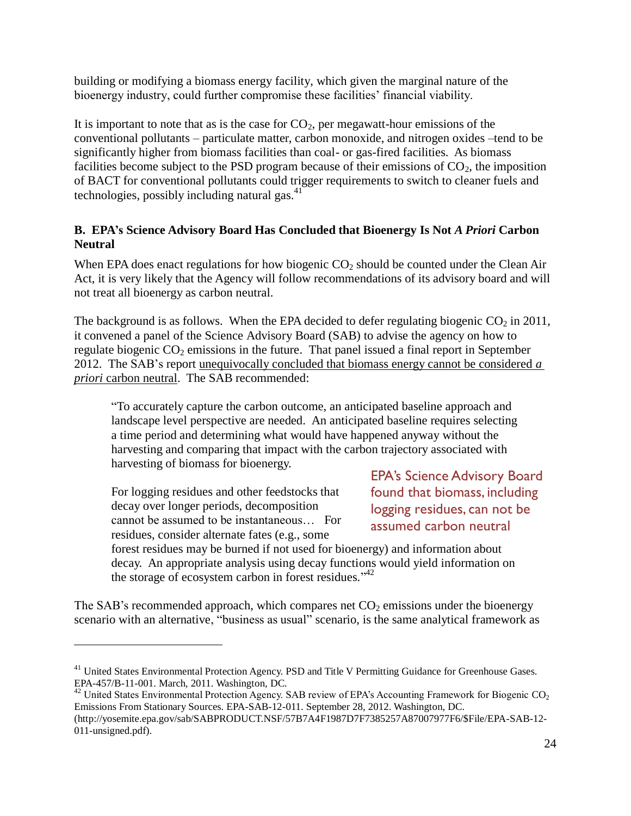building or modifying a biomass energy facility, which given the marginal nature of the bioenergy industry, could further compromise these facilities' financial viability.

It is important to note that as is the case for  $CO<sub>2</sub>$ , per megawatt-hour emissions of the conventional pollutants – particulate matter, carbon monoxide, and nitrogen oxides –tend to be significantly higher from biomass facilities than coal- or gas-fired facilities. As biomass facilities become subject to the PSD program because of their emissions of  $CO<sub>2</sub>$ , the imposition of BACT for conventional pollutants could trigger requirements to switch to cleaner fuels and technologies, possibly including natural gas.<sup>41</sup>

## <span id="page-23-0"></span>**B. EPA's Science Advisory Board Has Concluded that Bioenergy Is Not** *A Priori* **Carbon Neutral**

When EPA does enact regulations for how biogenic  $CO<sub>2</sub>$  should be counted under the Clean Air Act, it is very likely that the Agency will follow recommendations of its advisory board and will not treat all bioenergy as carbon neutral.

The background is as follows. When the EPA decided to defer regulating biogenic  $CO<sub>2</sub>$  in 2011, it convened a panel of the Science Advisory Board (SAB) to advise the agency on how to regulate biogenic  $CO_2$  emissions in the future. That panel issued a final report in September 2012. The SAB's report unequivocally concluded that biomass energy cannot be considered *a priori* carbon neutral. The SAB recommended:

"To accurately capture the carbon outcome, an anticipated baseline approach and landscape level perspective are needed. An anticipated baseline requires selecting a time period and determining what would have happened anyway without the harvesting and comparing that impact with the carbon trajectory associated with harvesting of biomass for bioenergy.

For logging residues and other feedstocks that decay over longer periods, decomposition cannot be assumed to be instantaneous… For residues, consider alternate fates (e.g., some

 $\overline{a}$ 

EPA's Science Advisory Board found that biomass, including logging residues, can not be assumed carbon neutral

forest residues may be burned if not used for bioenergy) and information about decay. An appropriate analysis using decay functions would yield information on the storage of ecosystem carbon in forest residues."<sup>42</sup>

The SAB's recommended approach, which compares net  $CO<sub>2</sub>$  emissions under the bioenergy scenario with an alternative, "business as usual" scenario, is the same analytical framework as

<sup>&</sup>lt;sup>41</sup> United States Environmental Protection Agency. PSD and Title V Permitting Guidance for Greenhouse Gases. EPA-457/B-11-001. March, 2011. Washington, DC.

 $42$  United States Environmental Protection Agency. SAB review of EPA's Accounting Framework for Biogenic CO<sub>2</sub> Emissions From Stationary Sources. EPA-SAB-12-011. September 28, 2012. Washington, DC.

[<sup>\(</sup>http://yosemite.epa.gov/sab/SABPRODUCT.NSF/57B7A4F1987D7F7385257A87007977F6/\\$File/EPA-SAB-12-](http://yosemite.epa.gov/sab/SABPRODUCT.NSF/57B7A4F1987D7F7385257A87007977F6/$File/EPA-SAB-12-011-unsigned.pdf) [011-unsigned.pdf\)](http://yosemite.epa.gov/sab/SABPRODUCT.NSF/57B7A4F1987D7F7385257A87007977F6/$File/EPA-SAB-12-011-unsigned.pdf).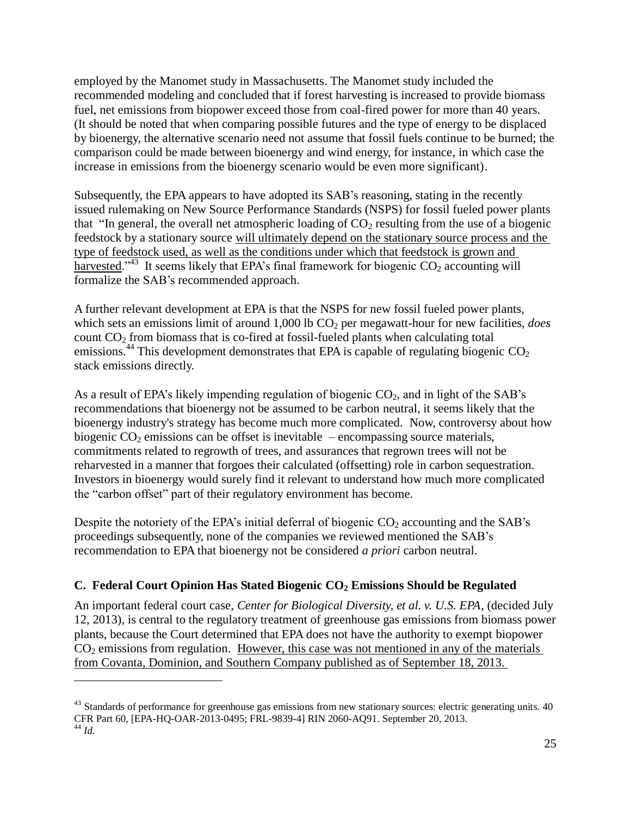employed by the Manomet study in Massachusetts. The Manomet study included the recommended modeling and concluded that if forest harvesting is increased to provide biomass fuel, net emissions from biopower exceed those from coal-fired power for more than 40 years. (It should be noted that when comparing possible futures and the type of energy to be displaced by bioenergy, the alternative scenario need not assume that fossil fuels continue to be burned; the comparison could be made between bioenergy and wind energy, for instance, in which case the increase in emissions from the bioenergy scenario would be even more significant).

Subsequently, the EPA appears to have adopted its SAB's reasoning, stating in the recently issued rulemaking on New Source Performance Standards (NSPS) for fossil fueled power plants that "In general, the overall net atmospheric loading of  $CO<sub>2</sub>$  resulting from the use of a biogenic feedstock by a stationary source will ultimately depend on the stationary source process and the type of feedstock used, as well as the conditions under which that feedstock is grown and harvested."<sup>43</sup> It seems likely that EPA's final framework for biogenic  $CO_2$  accounting will formalize the SAB's recommended approach.

A further relevant development at EPA is that the NSPS for new fossil fueled power plants, which sets an emissions limit of around 1,000 lb CO<sub>2</sub> per megawatt-hour for new facilities, *does* count  $CO<sub>2</sub>$  from biomass that is co-fired at fossil-fueled plants when calculating total emissions.<sup>44</sup> This development demonstrates that EPA is capable of regulating biogenic  $CO<sub>2</sub>$ stack emissions directly.

As a result of EPA's likely impending regulation of biogenic  $CO<sub>2</sub>$ , and in light of the SAB's recommendations that bioenergy not be assumed to be carbon neutral, it seems likely that the bioenergy industry's strategy has become much more complicated. Now, controversy about how biogenic  $CO_2$  emissions can be offset is inevitable – encompassing source materials, commitments related to regrowth of trees, and assurances that regrown trees will not be reharvested in a manner that forgoes their calculated (offsetting) role in carbon sequestration. Investors in bioenergy would surely find it relevant to understand how much more complicated the "carbon offset" part of their regulatory environment has become.

Despite the notoriety of the EPA's initial deferral of biogenic  $CO<sub>2</sub>$  accounting and the SAB's proceedings subsequently, none of the companies we reviewed mentioned the SAB's recommendation to EPA that bioenergy not be considered *a priori* carbon neutral.

## <span id="page-24-0"></span>**C. Federal Court Opinion Has Stated Biogenic CO<sup>2</sup> Emissions Should be Regulated**

 $\overline{a}$ 

An important federal court case, *Center for Biological Diversity, et al. v. U.S. EPA*, (decided July 12, 2013), is central to the regulatory treatment of greenhouse gas emissions from biomass power plants, because the Court determined that EPA does not have the authority to exempt biopower  $CO<sub>2</sub>$  emissions from regulation. However, this case was not mentioned in any of the materials from Covanta, Dominion, and Southern Company published as of September 18, 2013.

 $43$  Standards of performance for greenhouse gas emissions from new stationary sources: electric generating units.  $40$ CFR Part 60, [EPA-HQ-OAR-2013-0495; FRL-9839-4] RIN 2060-AQ91. September 20, 2013. <sup>44</sup> *Id.*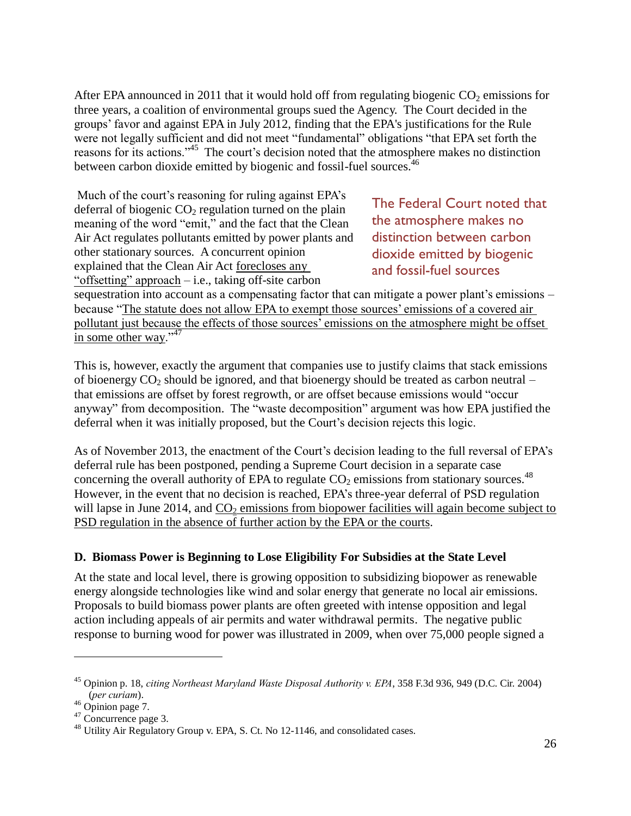After EPA announced in 2011 that it would hold off from regulating biogenic  $CO<sub>2</sub>$  emissions for three years, a coalition of environmental groups sued the Agency. The Court decided in the groups' favor and against EPA in July 2012, finding that the EPA's justifications for the Rule were not legally sufficient and did not meet "fundamental" obligations "that EPA set forth the reasons for its actions."<sup>45</sup> The court's decision noted that the atmosphere makes no distinction between carbon dioxide emitted by biogenic and fossil-fuel sources.<sup>46</sup>

Much of the court's reasoning for ruling against EPA's deferral of biogenic  $CO<sub>2</sub>$  regulation turned on the plain meaning of the word "emit," and the fact that the Clean Air Act regulates pollutants emitted by power plants and other stationary sources. A concurrent opinion explained that the Clean Air Act forecloses any "offsetting" approach  $-$  i.e., taking off-site carbon

The Federal Court noted that the atmosphere makes no distinction between carbon dioxide emitted by biogenic and fossil-fuel sources

sequestration into account as a compensating factor that can mitigate a power plant's emissions – because "The statute does not allow EPA to exempt those sources' emissions of a covered air pollutant just because the effects of those sources' emissions on the atmosphere might be offset in some other way." $47$ 

This is, however, exactly the argument that companies use to justify claims that stack emissions of bioenergy  $CO_2$  should be ignored, and that bioenergy should be treated as carbon neutral – that emissions are offset by forest regrowth, or are offset because emissions would "occur anyway" from decomposition. The "waste decomposition" argument was how EPA justified the deferral when it was initially proposed, but the Court's decision rejects this logic.

As of November 2013, the enactment of the Court's decision leading to the full reversal of EPA's deferral rule has been postponed, pending a Supreme Court decision in a separate case concerning the overall authority of EPA to regulate  $CO<sub>2</sub>$  emissions from stationary sources.<sup>48</sup> However, in the event that no decision is reached, EPA's three-year deferral of PSD regulation will lapse in June 2014, and  $CO<sub>2</sub>$  emissions from biopower facilities will again become subject to PSD regulation in the absence of further action by the EPA or the courts.

## <span id="page-25-0"></span>**D. Biomass Power is Beginning to Lose Eligibility For Subsidies at the State Level**

At the state and local level, there is growing opposition to subsidizing biopower as renewable energy alongside technologies like wind and solar energy that generate no local air emissions. Proposals to build biomass power plants are often greeted with intense opposition and legal action including appeals of air permits and water withdrawal permits. The negative public response to burning wood for power was illustrated in 2009, when over 75,000 people signed a

<sup>45</sup> Opinion p. 18, *citing Northeast Maryland Waste Disposal Authority v. EPA*, 358 F.3d 936, 949 (D.C. Cir. 2004) (*per curiam*).

 $46$  Opinion page 7.

<sup>47</sup> Concurrence page 3.

<sup>&</sup>lt;sup>48</sup> Utility Air Regulatory Group v. EPA, S. Ct. No 12-1146, and consolidated cases.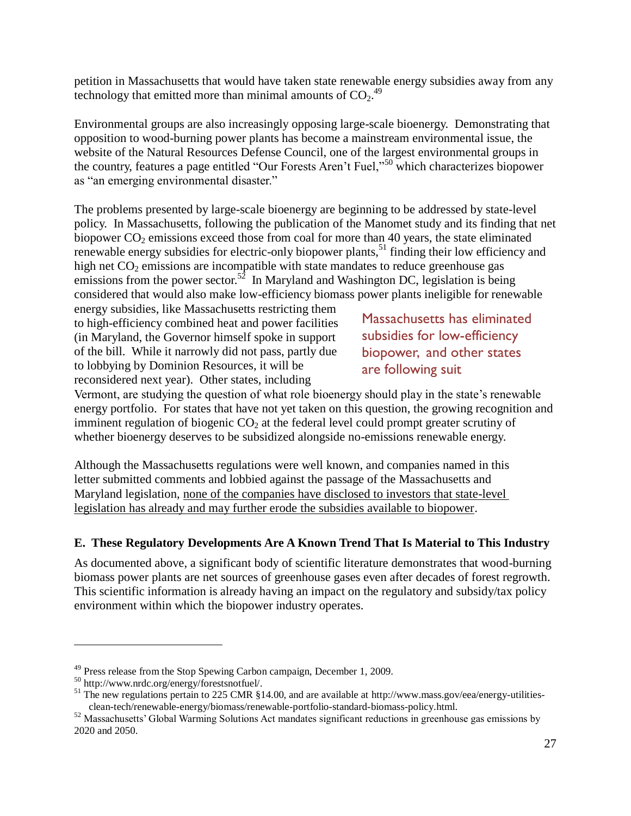petition in Massachusetts that would have taken state renewable energy subsidies away from any technology that emitted more than minimal amounts of  $CO<sub>2</sub>$ .<sup>49</sup>

Environmental groups are also increasingly opposing large-scale bioenergy. Demonstrating that opposition to wood-burning power plants has become a mainstream environmental issue, the website of the Natural Resources Defense Council, one of the largest environmental groups in the country, features a page entitled "Our Forests Aren't Fuel,"<sup>50</sup> which characterizes biopower as "an emerging environmental disaster."

The problems presented by large-scale bioenergy are beginning to be addressed by state-level policy. In Massachusetts, following the publication of the Manomet study and its finding that net biopower  $CO<sub>2</sub>$  emissions exceed those from coal for more than 40 years, the state eliminated renewable energy subsidies for electric-only biopower plants,<sup>51</sup> finding their low efficiency and high net  $CO<sub>2</sub>$  emissions are incompatible with state mandates to reduce greenhouse gas emissions from the power sector.<sup>52</sup> In Maryland and Washington DC, legislation is being considered that would also make low-efficiency biomass power plants ineligible for renewable

energy subsidies, like Massachusetts restricting them to high-efficiency combined heat and power facilities (in Maryland, the Governor himself spoke in support of the bill. While it narrowly did not pass, partly due to lobbying by Dominion Resources, it will be reconsidered next year). Other states, including

Massachusetts has eliminated subsidies for low-efficiency biopower, and other states are following suit

Vermont, are studying the question of what role bioenergy should play in the state's renewable energy portfolio. For states that have not yet taken on this question, the growing recognition and imminent regulation of biogenic  $CO<sub>2</sub>$  at the federal level could prompt greater scrutiny of whether bioenergy deserves to be subsidized alongside no-emissions renewable energy.

Although the Massachusetts regulations were well known, and companies named in this letter submitted comments and lobbied against the passage of the Massachusetts and Maryland legislation, none of the companies have disclosed to investors that state-level legislation has already and may further erode the subsidies available to biopower.

## <span id="page-26-0"></span>**E. These Regulatory Developments Are A Known Trend That Is Material to This Industry**

As documented above, a significant body of scientific literature demonstrates that wood-burning biomass power plants are net sources of greenhouse gases even after decades of forest regrowth. This scientific information is already having an impact on the regulatory and subsidy/tax policy environment within which the biopower industry operates.

<sup>&</sup>lt;sup>49</sup> Press release from the Stop Spewing Carbon campaign, December 1, 2009.

<sup>50</sup> [http://www.nrdc.org/energy/forestsnotfuel/.](http://www.nrdc.org/energy/forestsnotfuel/)

<sup>&</sup>lt;sup>51</sup> The new regulations pertain to 225 CMR §14.00, and are available at [http://www.mass.gov/eea/energy-utilities](http://www.mass.gov/eea/energy-utilities-clean-tech/renewable-energy/biomass/renewable-portfolio-standard-biomass-policy.html)[clean-tech/renewable-energy/biomass/renewable-portfolio-standard-biomass-policy.html.](http://www.mass.gov/eea/energy-utilities-clean-tech/renewable-energy/biomass/renewable-portfolio-standard-biomass-policy.html)

<sup>&</sup>lt;sup>52</sup> Massachusetts' Global Warming Solutions Act mandates significant reductions in greenhouse gas emissions by 2020 and 2050.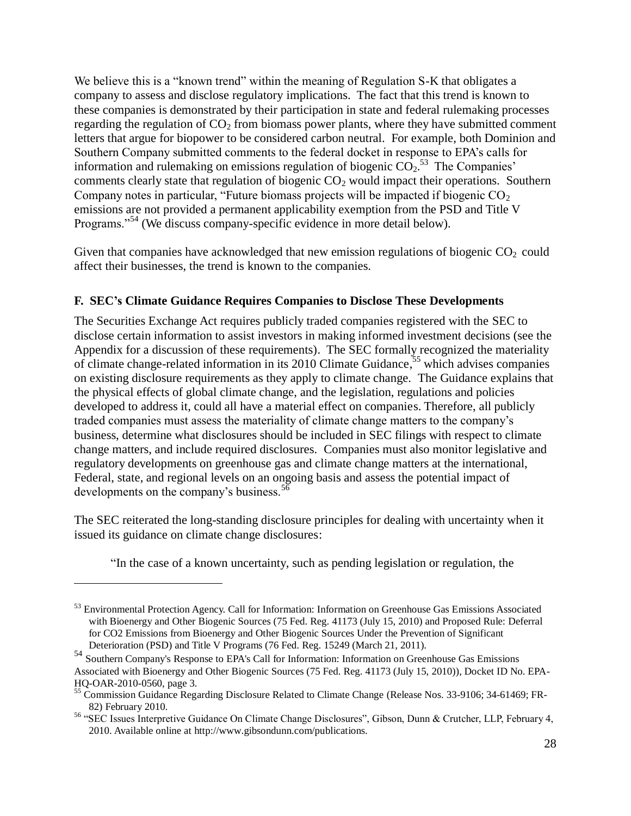We believe this is a "known trend" within the meaning of Regulation S-K that obligates a company to assess and disclose regulatory implications. The fact that this trend is known to these companies is demonstrated by their participation in state and federal rulemaking processes regarding the regulation of  $CO<sub>2</sub>$  from biomass power plants, where they have submitted comment letters that argue for biopower to be considered carbon neutral. For example, both Dominion and Southern Company submitted comments to the federal docket in response to EPA's calls for information and rulemaking on emissions regulation of biogenic  $CO_2$ <sup>53</sup>. The Companies' comments clearly state that regulation of biogenic  $CO<sub>2</sub>$  would impact their operations. Southern Company notes in particular, "Future biomass projects will be impacted if biogenic CO<sub>2</sub> emissions are not provided a permanent applicability exemption from the PSD and Title V Programs."<sup>54</sup> (We discuss company-specific evidence in more detail below).

Given that companies have acknowledged that new emission regulations of biogenic  $CO<sub>2</sub>$  could affect their businesses, the trend is known to the companies.

## <span id="page-27-0"></span>**F. SEC's Climate Guidance Requires Companies to Disclose These Developments**

The Securities Exchange Act requires publicly traded companies registered with the SEC to disclose certain information to assist investors in making informed investment decisions (see the Appendix for a discussion of these requirements). The SEC formally recognized the materiality of climate change-related information in its 2010 Climate Guidance,<sup>55</sup> which advises companies on existing disclosure requirements as they apply to climate change. The Guidance explains that the physical effects of global climate change, and the legislation, regulations and policies developed to address it, could all have a material effect on companies. Therefore, all publicly traded companies must assess the materiality of climate change matters to the company's business, determine what disclosures should be included in SEC filings with respect to climate change matters, and include required disclosures. Companies must also monitor legislative and regulatory developments on greenhouse gas and climate change matters at the international, Federal, state, and regional levels on an ongoing basis and assess the potential impact of developments on the company's business.<sup>56</sup>

The SEC reiterated the long-standing disclosure principles for dealing with uncertainty when it issued its guidance on climate change disclosures:

"In the case of a known uncertainty, such as pending legislation or regulation, the

<sup>&</sup>lt;sup>53</sup> Environmental Protection Agency. Call for Information: Information on Greenhouse Gas Emissions Associated with Bioenergy and Other Biogenic Sources (75 Fed. Reg. 41173 (July 15, 2010) and Proposed Rule: Deferral for CO2 Emissions from Bioenergy and Other Biogenic Sources Under the Prevention of Significant Deterioration (PSD) and Title V Programs (76 Fed. Reg. 15249 (March 21, 2011).

<sup>54</sup> Southern Company's Response to EPA's Call for Information: Information on Greenhouse Gas Emissions Associated with Bioenergy and Other Biogenic Sources (75 Fed. Reg. 41173 (July 15, 2010)), Docket ID No. EPA-HQ-OAR-2010-0560, page 3.

<sup>&</sup>lt;sup>55</sup> Commission Guidance Regarding Disclosure Related to Climate Change (Release Nos. 33-9106; 34-61469; FR-82) February 2010.

<sup>56</sup> "SEC Issues Interpretive Guidance On Climate Change Disclosures", Gibson, Dunn & Crutcher, LLP, February 4, 2010. Available online at http://www.gibsondunn.com/publications.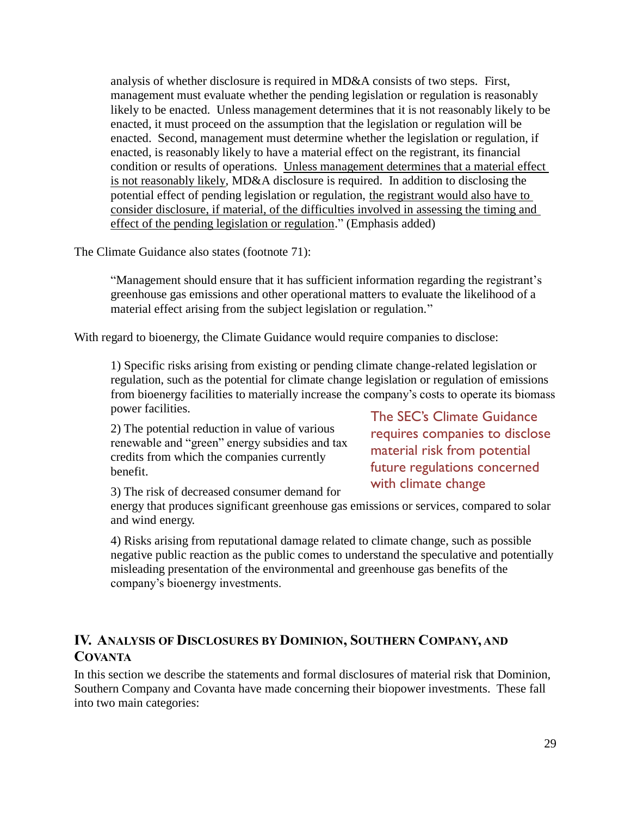analysis of whether disclosure is required in MD&A consists of two steps. First, management must evaluate whether the pending legislation or regulation is reasonably likely to be enacted. Unless management determines that it is not reasonably likely to be enacted, it must proceed on the assumption that the legislation or regulation will be enacted. Second, management must determine whether the legislation or regulation, if enacted, is reasonably likely to have a material effect on the registrant, its financial condition or results of operations. Unless management determines that a material effect is not reasonably likely, MD&A disclosure is required. In addition to disclosing the potential effect of pending legislation or regulation, the registrant would also have to consider disclosure, if material, of the difficulties involved in assessing the timing and effect of the pending legislation or regulation." (Emphasis added)

The Climate Guidance also states (footnote 71):

"Management should ensure that it has sufficient information regarding the registrant's greenhouse gas emissions and other operational matters to evaluate the likelihood of a material effect arising from the subject legislation or regulation."

With regard to bioenergy, the Climate Guidance would require companies to disclose:

1) Specific risks arising from existing or pending climate change-related legislation or regulation, such as the potential for climate change legislation or regulation of emissions from bioenergy facilities to materially increase the company's costs to operate its biomass power facilities.

2) The potential reduction in value of various renewable and "green" energy subsidies and tax credits from which the companies currently benefit.

3) The risk of decreased consumer demand for

energy that produces significant greenhouse gas emissions or services, compared to solar and wind energy.

4) Risks arising from reputational damage related to climate change, such as possible negative public reaction as the public comes to understand the speculative and potentially misleading presentation of the environmental and greenhouse gas benefits of the company's bioenergy investments.

## <span id="page-28-0"></span>**IV. ANALYSIS OF DISCLOSURES BY DOMINION, SOUTHERN COMPANY, AND COVANTA**

In this section we describe the statements and formal disclosures of material risk that Dominion, Southern Company and Covanta have made concerning their biopower investments. These fall into two main categories:

The SEC's Climate Guidance requires companies to disclose material risk from potential future regulations concerned with climate change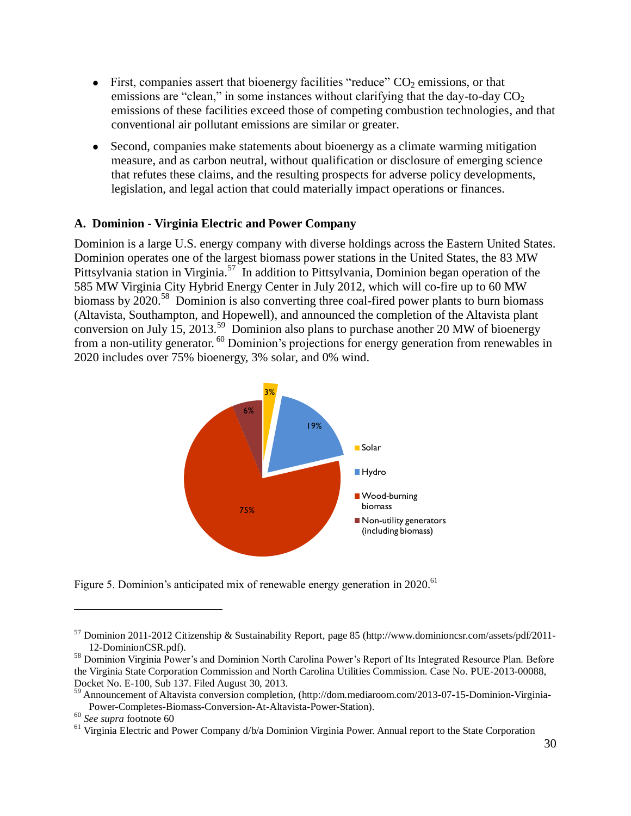- First, companies assert that bioenergy facilities "reduce"  $CO<sub>2</sub>$  emissions, or that emissions are "clean," in some instances without clarifying that the day-to-day  $CO<sub>2</sub>$ emissions of these facilities exceed those of competing combustion technologies, and that conventional air pollutant emissions are similar or greater.
- Second, companies make statements about bioenergy as a climate warming mitigation measure, and as carbon neutral, without qualification or disclosure of emerging science that refutes these claims, and the resulting prospects for adverse policy developments, legislation, and legal action that could materially impact operations or finances.

## <span id="page-29-0"></span>**A. Dominion - Virginia Electric and Power Company**

Dominion is a large U.S. energy company with diverse holdings across the Eastern United States. Dominion operates one of the largest biomass power stations in the United States, the 83 MW Pittsylvania station in Virginia.<sup>57</sup> In addition to Pittsylvania, Dominion began operation of the 585 MW Virginia City Hybrid Energy Center in July 2012, which will co-fire up to 60 MW biomass by 2020.<sup>58</sup> Dominion is also converting three coal-fired power plants to burn biomass (Altavista, Southampton, and Hopewell), and announced the completion of the Altavista plant conversion on July 15, 2013.<sup>59</sup> Dominion also plans to purchase another 20 MW of bioenergy from a non-utility generator. <sup>60</sup> Dominion's projections for energy generation from renewables in



Figure 5. Dominion's anticipated mix of renewable energy generation in 2020.<sup>61</sup>

<sup>57</sup> Dominion [2011-2012 Citizenship & Sustainability Report,](http://www.dominioncsr.com/assets/pdf/2011-12-DominionCSR.pdf) page 85 [\(http://www.dominioncsr.com/assets/pdf/2011-](http://www.dominioncsr.com/assets/pdf/2011-12-DominionCSR.pdf) [12-DominionCSR.pdf\)](http://www.dominioncsr.com/assets/pdf/2011-12-DominionCSR.pdf).

<sup>&</sup>lt;sup>58</sup> Dominion Virginia Power's and Dominion North Carolina Power's Report of Its Integrated Resource Plan. Before the Virginia State Corporation Commission and North Carolina Utilities Commission. Case No. PUE-2013-00088, Docket No. E-100, Sub 137. Filed August 30, 2013.

<sup>&</sup>lt;sup>59</sup> Announcement of Altavista conversion completion, [\(http://dom.mediaroom.com/2013-07-15-Dominion-Virginia-](http://dom.mediaroom.com/2013-07-15-Dominion-Virginia-Power-Completes-Biomass-Conversion-At-Altavista-Power-Station)[Power-Completes-Biomass-Conversion-At-Altavista-Power-Station\)](http://dom.mediaroom.com/2013-07-15-Dominion-Virginia-Power-Completes-Biomass-Conversion-At-Altavista-Power-Station).

<sup>60</sup> *See supra* footnote 60

<sup>&</sup>lt;sup>61</sup> Virginia Electric and Power Company d/b/a Dominion Virginia Power. Annual report to the State Corporation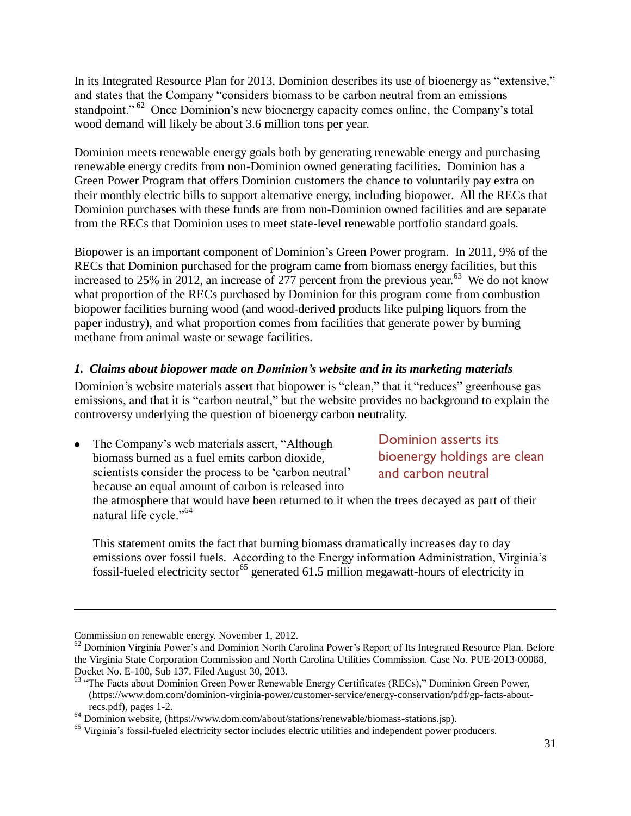In its Integrated Resource Plan for 2013, Dominion describes its use of bioenergy as "extensive," and states that the Company "considers biomass to be carbon neutral from an emissions standpoint."<sup>62</sup> Once Dominion's new bioenergy capacity comes online, the Company's total wood demand will likely be about 3.6 million tons per year.

Dominion meets renewable energy goals both by generating renewable energy and purchasing renewable energy credits from non-Dominion owned generating facilities. Dominion has a Green Power Program that offers Dominion customers the chance to voluntarily pay extra on their monthly electric bills to support alternative energy, including biopower. All the RECs that Dominion purchases with these funds are from non-Dominion owned facilities and are separate from the RECs that Dominion uses to meet state-level renewable portfolio standard goals.

Biopower is an important component of Dominion's Green Power program. In 2011, 9% of the RECs that Dominion purchased for the program came from biomass energy facilities, but this increased to 25% in 2012, an increase of 277 percent from the previous year.<sup>63</sup> We do not know what proportion of the RECs purchased by Dominion for this program come from combustion biopower facilities burning wood (and wood-derived products like pulping liquors from the paper industry), and what proportion comes from facilities that generate power by burning methane from animal waste or sewage facilities.

## <span id="page-30-0"></span>*1. Claims about biopower made on Dominion's website and in its marketing materials*

Dominion's website materials assert that biopower is "clean," that it "reduces" greenhouse gas emissions, and that it is "carbon neutral," but the website provides no background to explain the controversy underlying the question of bioenergy carbon neutrality.

The Company's web materials assert, "Although biomass burned as a fuel emits carbon dioxide, scientists consider the process to be 'carbon neutral' because an equal amount of carbon is released into

Dominion asserts its bioenergy holdings are clean and carbon neutral

the atmosphere that would have been returned to it when the trees decayed as part of their natural life cycle."<sup>64</sup>

This statement omits the fact that burning biomass dramatically increases day to day emissions over fossil fuels. According to the Energy information Administration, Virginia's fossil-fueled electricity sector<sup>65</sup> generated 61.5 million megawatt-hours of electricity in

Commission on renewable energy. November 1, 2012.

 $62$  Dominion Virginia Power's and Dominion North Carolina Power's Report of Its Integrated Resource Plan. Before the Virginia State Corporation Commission and North Carolina Utilities Commission. Case No. PUE-2013-00088, Docket No. E-100, Sub 137. Filed August 30, 2013.

<sup>&</sup>lt;sup>63</sup> "The Facts about Dominion Green Power Renewable Energy Certificates (RECs)," Dominion Green Power, [\(https://www.dom.com/dominion-virginia-power/customer-service/energy-conservation/pdf/gp-facts-about](https://www.dom.com/dominion-virginia-power/customer-service/energy-conservation/pdf/gp-facts-about-recs.pdf)[recs.pdf\)](https://www.dom.com/dominion-virginia-power/customer-service/energy-conservation/pdf/gp-facts-about-recs.pdf), pages 1-2.

<sup>64</sup> Dominion website, (https://www.dom.com/about/stations/renewable/biomass-stations.jsp).

<sup>&</sup>lt;sup>65</sup> Virginia's fossil-fueled electricity sector includes electric utilities and independent power producers.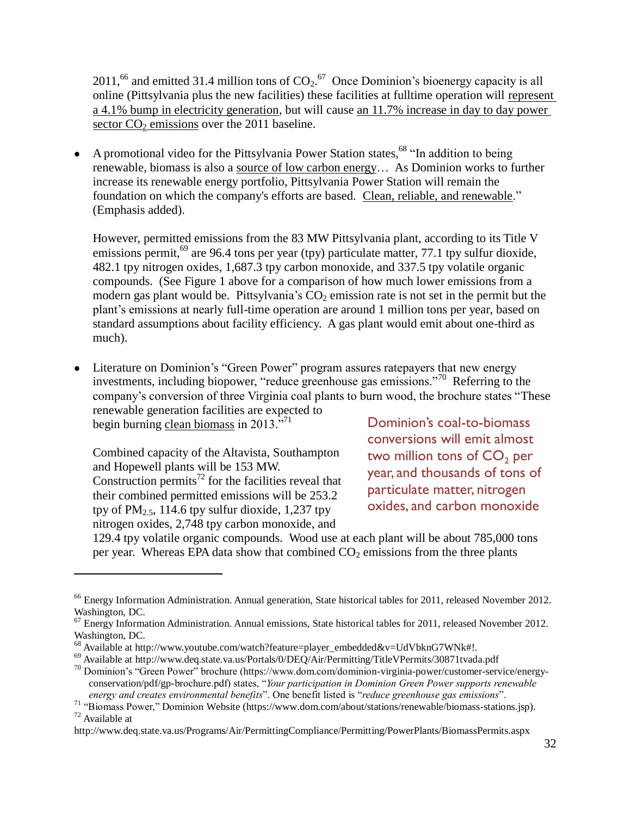2011,<sup>66</sup> and emitted 31.4 million tons of  $CO_2$ .<sup>67</sup> Once Dominion's bioenergy capacity is all online (Pittsylvania plus the new facilities) these facilities at fulltime operation will represent a 4.1% bump in electricity generation, but will cause an 11.7% increase in day to day power sector  $CO<sub>2</sub>$  emissions over the 2011 baseline.

A promotional video for the Pittsylvania Power Station states,<sup>68</sup> "In addition to being renewable, biomass is also a source of low carbon energy… As Dominion works to further increase its renewable energy portfolio, Pittsylvania Power Station will remain the foundation on which the company's efforts are based. Clean, reliable, and renewable." (Emphasis added).

However, permitted emissions from the 83 MW Pittsylvania plant, according to its Title V emissions permit,<sup>69</sup> are 96.4 tons per year (tpy) particulate matter, 77.1 tpy sulfur dioxide, 482.1 tpy nitrogen oxides, 1,687.3 tpy carbon monoxide, and 337.5 tpy volatile organic compounds. (See Figure 1 above for a comparison of how much lower emissions from a modern gas plant would be. Pittsylvania's  $CO<sub>2</sub>$  emission rate is not set in the permit but the plant's emissions at nearly full-time operation are around 1 million tons per year, based on standard assumptions about facility efficiency. A gas plant would emit about one-third as much).

Literature on Dominion's "Green Power" program assures ratepayers that new energy investments, including biopower, "reduce greenhouse gas emissions."<sup>70</sup> Referring to the company's conversion of three Virginia coal plants to burn wood, the brochure states "These renewable generation facilities are expected to

begin burning clean biomass in 2013."<sup>71</sup>

 $\overline{a}$ 

Combined capacity of the Altavista, Southampton and Hopewell plants will be 153 MW. Construction permits<sup> $72$ </sup> for the facilities reveal that their combined permitted emissions will be 253.2 tpy of  $PM_{2.5}$ , 114.6 tpy sulfur dioxide, 1,237 tpy nitrogen oxides, 2,748 tpy carbon monoxide, and

Dominion's coal-to-biomass conversions will emit almost two million tons of  $CO<sub>2</sub>$  per year, and thousands of tons of particulate matter, nitrogen oxides, and carbon monoxide

129.4 tpy volatile organic compounds. Wood use at each plant will be about 785,000 tons per year. Whereas EPA data show that combined  $CO<sub>2</sub>$  emissions from the three plants

<sup>&</sup>lt;sup>66</sup> Energy Information Administration. Annual generation, State historical tables for 2011, released November 2012. Washington, DC.

 $67$  Energy Information Administration. Annual emissions, State historical tables for 2011, released November 2012. Washington, DC.

<sup>68</sup> Available at http://www.youtube.com/watch?feature=player\_embedded&v=UdVbknG7WNk#!.

<sup>69</sup> Available at<http://www.deq.state.va.us/Portals/0/DEQ/Air/Permitting/TitleVPermits/30871tvada.pdf>

 $^{70}$  Dominion's "Green Power" brochure (https://www.dom.com/dominion-virginia-power/customer-service/energyconservation/pdf/gp-brochure.pdf) states, "*Your participation in Dominion Green Power supports renewable energy and creates environmental benefits*". One benefit listed is "*reduce greenhouse gas emissions*".

<sup>71</sup> "Biomass Power," Dominion Website [\(https://www.dom.com/about/stations/renewable/biomass-stations.jsp\)](https://www.dom.com/about/stations/renewable/biomass-stations.jsp). <sup>72</sup> Available at

<http://www.deq.state.va.us/Programs/Air/PermittingCompliance/Permitting/PowerPlants/BiomassPermits.aspx>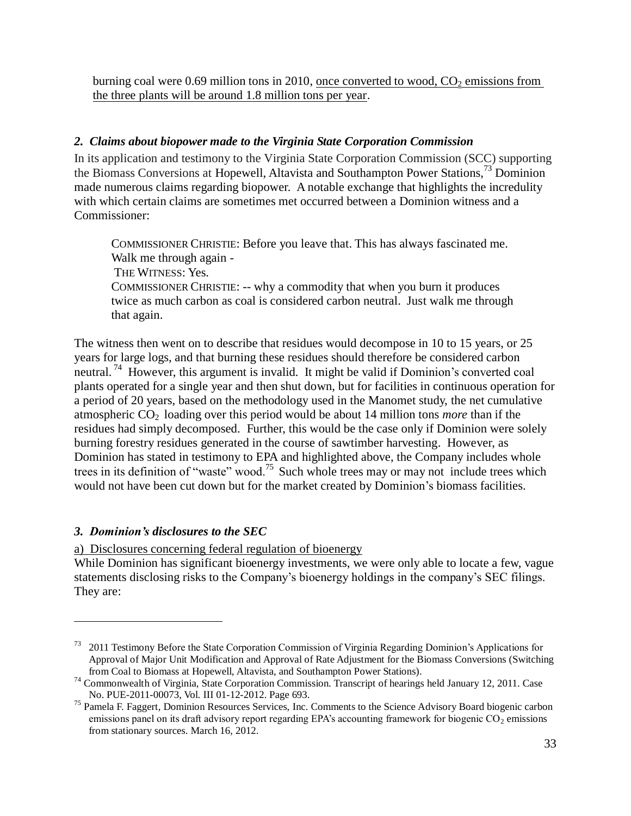burning coal were 0.69 million tons in 2010, once converted to wood,  $CO<sub>2</sub>$  emissions from the three plants will be around 1.8 million tons per year.

## <span id="page-32-0"></span>*2. Claims about biopower made to the Virginia State Corporation Commission*

In its application and testimony to the Virginia State Corporation Commission (SCC) supporting the Biomass Conversions at Hopewell, Altavista and Southampton Power Stations,<sup>73</sup> Dominion made numerous claims regarding biopower. A notable exchange that highlights the incredulity with which certain claims are sometimes met occurred between a Dominion witness and a Commissioner:

COMMISSIONER CHRISTIE: Before you leave that. This has always fascinated me. Walk me through again - THE WITNESS: Yes. COMMISSIONER CHRISTIE: -- why a commodity that when you burn it produces twice as much carbon as coal is considered carbon neutral. Just walk me through that again.

The witness then went on to describe that residues would decompose in 10 to 15 years, or 25 years for large logs, and that burning these residues should therefore be considered carbon neutral.<sup>74</sup> However, this argument is invalid. It might be valid if Dominion's converted coal plants operated for a single year and then shut down, but for facilities in continuous operation for a period of 20 years, based on the methodology used in the Manomet study, the net cumulative atmospheric  $CO<sub>2</sub>$  loading over this period would be about 14 million tons *more* than if the residues had simply decomposed. Further, this would be the case only if Dominion were solely burning forestry residues generated in the course of sawtimber harvesting. However, as Dominion has stated in testimony to EPA and highlighted above, the Company includes whole trees in its definition of "waste" wood.<sup>75</sup> Such whole trees may or may not include trees which would not have been cut down but for the market created by Dominion's biomass facilities.

## <span id="page-32-1"></span>*3. Dominion's disclosures to the SEC*

 $\overline{a}$ 

<span id="page-32-2"></span>a) Disclosures concerning federal regulation of bioenergy

While Dominion has significant bioenergy investments, we were only able to locate a few, vague statements disclosing risks to the Company's bioenergy holdings in the company's SEC filings. They are:

<sup>&</sup>lt;sup>73</sup> 2011 Testimony Before the State Corporation Commission of Virginia Regarding Dominion's Applications for Approval of Major Unit Modification and Approval of Rate Adjustment for the Biomass Conversions (Switching from Coal to Biomass at Hopewell, Altavista, and Southampton Power Stations).

<sup>74</sup> Commonwealth of Virginia, State Corporation Commission. Transcript of hearings held January 12, 2011. Case No. PUE-2011-00073, Vol. III 01-12-2012. Page 693.

<sup>&</sup>lt;sup>75</sup> Pamela F. Faggert, Dominion Resources Services, Inc. Comments to the Science Advisory Board biogenic carbon emissions panel on its draft advisory report regarding EPA's accounting framework for biogenic  $CO<sub>2</sub>$  emissions from stationary sources. March 16, 2012.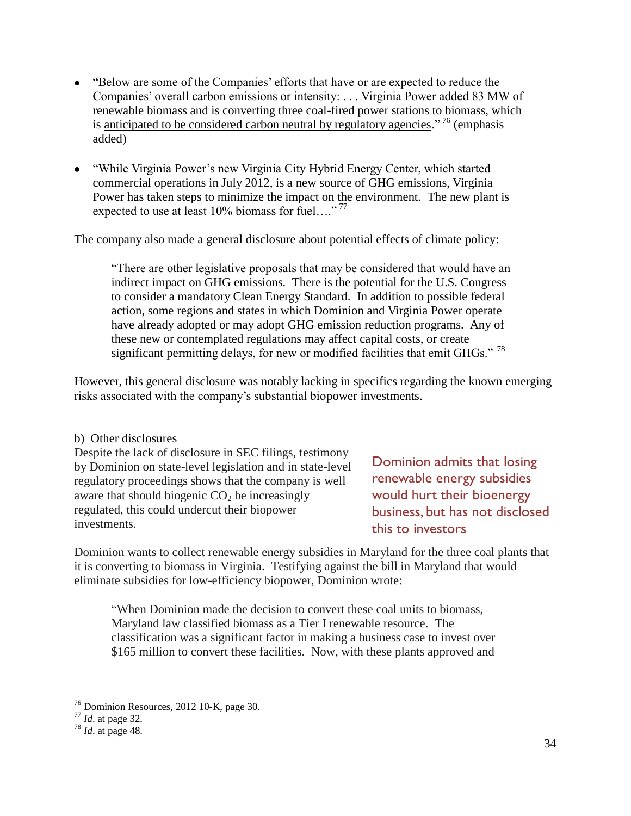- "Below are some of the Companies' efforts that have or are expected to reduce the Companies' overall carbon emissions or intensity: . . . Virginia Power added 83 MW of renewable biomass and is converting three coal-fired power stations to biomass, which is anticipated to be considered carbon neutral by regulatory agencies." <sup>76</sup> (emphasis added)
- "While Virginia Power's new Virginia City Hybrid Energy Center, which started commercial operations in July 2012, is a new source of GHG emissions, Virginia Power has taken steps to minimize the impact on the environment. The new plant is expected to use at least  $10\%$  biomass for fuel...."<sup>77</sup>

The company also made a general disclosure about potential effects of climate policy:

"There are other legislative proposals that may be considered that would have an indirect impact on GHG emissions. There is the potential for the U.S. Congress to consider a mandatory Clean Energy Standard. In addition to possible federal action, some regions and states in which Dominion and Virginia Power operate have already adopted or may adopt GHG emission reduction programs. Any of these new or contemplated regulations may affect capital costs, or create significant permitting delays, for new or modified facilities that emit GHGs."  $^{78}$ 

However, this general disclosure was notably lacking in specifics regarding the known emerging risks associated with the company's substantial biopower investments.

#### <span id="page-33-0"></span>b) Other disclosures

Despite the lack of disclosure in SEC filings, testimony by Dominion on state-level legislation and in state-level regulatory proceedings shows that the company is well aware that should biogenic  $CO<sub>2</sub>$  be increasingly regulated, this could undercut their biopower investments.

Dominion admits that losing renewable energy subsidies would hurt their bioenergy business, but has not disclosed this to investors

Dominion wants to collect renewable energy subsidies in Maryland for the three coal plants that it is converting to biomass in Virginia. Testifying against the bill in Maryland that would eliminate subsidies for low-efficiency biopower, Dominion wrote:

"When Dominion made the decision to convert these coal units to biomass, Maryland law classified biomass as a Tier I renewable resource. The classification was a significant factor in making a business case to invest over \$165 million to convert these facilities. Now, with these plants approved and

<sup>76</sup> Dominion Resources, 2012 10-K, page 30.

<sup>77</sup> *Id*. at page 32.

<sup>78</sup> *Id*. at page 48.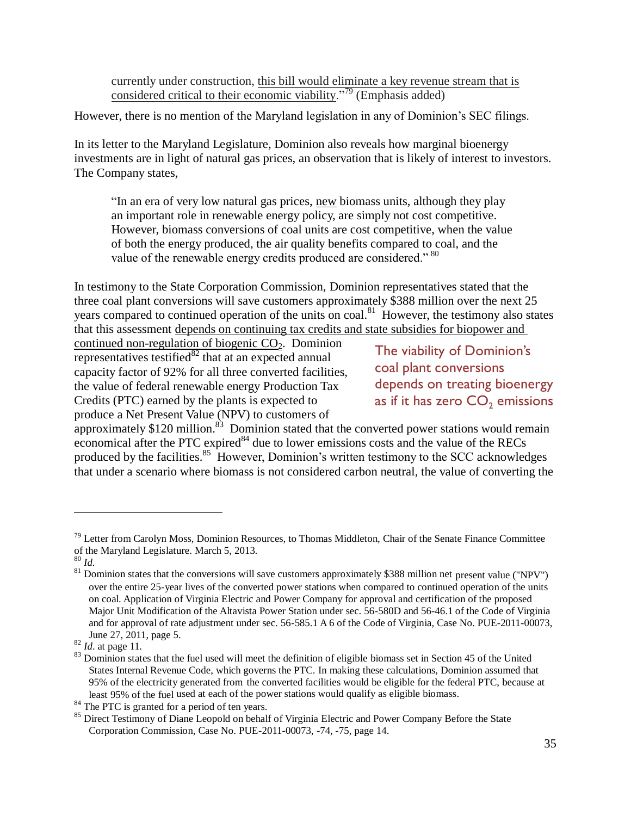currently under construction, this bill would eliminate a key revenue stream that is considered critical to their economic viability."<sup>79</sup> (Emphasis added)

However, there is no mention of the Maryland legislation in any of Dominion's SEC filings.

In its letter to the Maryland Legislature, Dominion also reveals how marginal bioenergy investments are in light of natural gas prices, an observation that is likely of interest to investors. The Company states,

"In an era of very low natural gas prices, new biomass units, although they play an important role in renewable energy policy, are simply not cost competitive. However, biomass conversions of coal units are cost competitive, when the value of both the energy produced, the air quality benefits compared to coal, and the value of the renewable energy credits produced are considered."<sup>80</sup>

In testimony to the State Corporation Commission, Dominion representatives stated that the three coal plant conversions will save customers approximately \$388 million over the next 25 years compared to continued operation of the units on coal.<sup>81</sup> However, the testimony also states that this assessment depends on continuing tax credits and state subsidies for biopower and

continued non-regulation of biogenic  $CO<sub>2</sub>$ . Dominion representatives testified $\overline{^{82}}$  that at an expected annual capacity factor of 92% for all three converted facilities, the value of federal renewable energy Production Tax Credits (PTC) earned by the plants is expected to produce a Net Present Value (NPV) to customers of

The viability of Dominion's coal plant conversions depends on treating bioenergy as if it has zero  $CO<sub>2</sub>$  emissions

approximately  $$120$  million.<sup>83</sup> Dominion stated that the converted power stations would remain economical after the PTC expired $^{84}$  due to lower emissions costs and the value of the RECs produced by the facilities.<sup>85</sup> However, Dominion's written testimony to the SCC acknowledges that under a scenario where biomass is not considered carbon neutral, the value of converting the

 $79$  Letter from Carolyn Moss, Dominion Resources, to Thomas Middleton, Chair of the Senate Finance Committee of the Maryland Legislature. March 5, 2013.

<sup>80</sup> *Id.*

 $\frac{81}{10}$  Dominion states that the conversions will save customers approximately \$388 million net present value ("NPV") over the entire 25-year lives of the converted power stations when compared to continued operation of the units on coal. Application of Virginia Electric and Power Company for approval and certification of the proposed Major Unit Modification of the Altavista Power Station under sec. 56-580D and 56-46.1 of the Code of Virginia and for approval of rate adjustment under sec. 56-585.1 A 6 of the Code of Virginia, Case No. PUE-2011-00073, June 27, 2011, page 5.

<sup>82</sup> *Id*. at page 11.

<sup>&</sup>lt;sup>83</sup> Dominion states that the fuel used will meet the definition of eligible biomass set in Section 45 of the United States Internal Revenue Code, which governs the PTC. In making these calculations, Dominion assumed that 95% of the electricity generated from the converted facilities would be eligible for the federal PTC, because at least 95% of the fuel used at each of the power stations would qualify as eligible biomass.

<sup>&</sup>lt;sup>84</sup> The PTC is granted for a period of ten years.

<sup>&</sup>lt;sup>85</sup> Direct Testimony of Diane Leopold on behalf of Virginia Electric and Power Company Before the State Corporation Commission, Case No. PUE-2011-00073, -74, -75, page 14.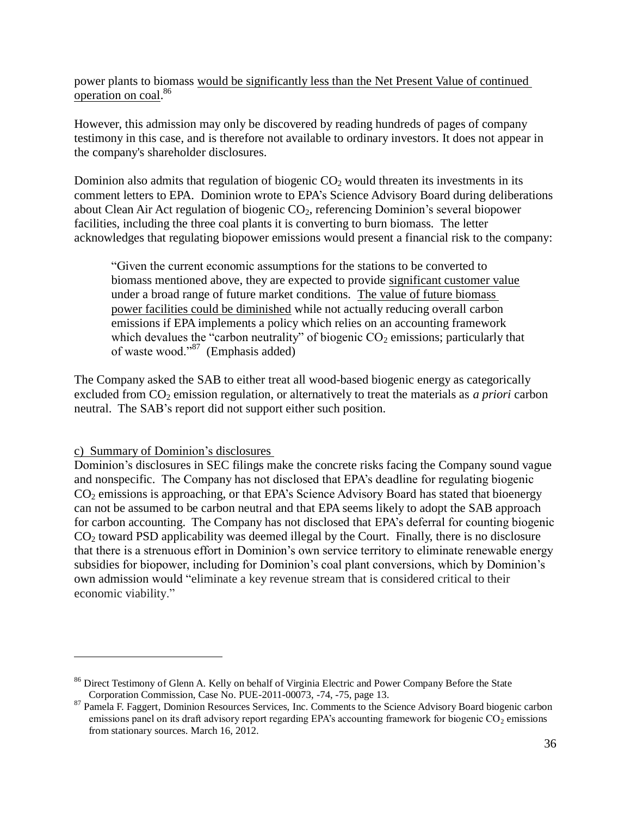power plants to biomass would be significantly less than the Net Present Value of continued operation on coal.<sup>86</sup>

However, this admission may only be discovered by reading hundreds of pages of company testimony in this case, and is therefore not available to ordinary investors. It does not appear in the company's shareholder disclosures.

Dominion also admits that regulation of biogenic  $CO<sub>2</sub>$  would threaten its investments in its comment letters to EPA. Dominion wrote to EPA's Science Advisory Board during deliberations about Clean Air Act regulation of biogenic  $CO<sub>2</sub>$ , referencing Dominion's several biopower facilities, including the three coal plants it is converting to burn biomass. The letter acknowledges that regulating biopower emissions would present a financial risk to the company:

"Given the current economic assumptions for the stations to be converted to biomass mentioned above, they are expected to provide significant customer value under a broad range of future market conditions. The value of future biomass power facilities could be diminished while not actually reducing overall carbon emissions if EPA implements a policy which relies on an accounting framework which devalues the "carbon neutrality" of biogenic  $CO_2$  emissions; particularly that of waste wood."<sup>87</sup> (Emphasis added)

The Company asked the SAB to either treat all wood-based biogenic energy as categorically excluded from CO<sub>2</sub> emission regulation, or alternatively to treat the materials as *a priori* carbon neutral. The SAB's report did not support either such position.

<span id="page-35-0"></span>c) Summary of Dominion's disclosures

 $\overline{a}$ 

Dominion's disclosures in SEC filings make the concrete risks facing the Company sound vague and nonspecific. The Company has not disclosed that EPA's deadline for regulating biogenic CO<sub>2</sub> emissions is approaching, or that EPA's Science Advisory Board has stated that bioenergy can not be assumed to be carbon neutral and that EPA seems likely to adopt the SAB approach for carbon accounting. The Company has not disclosed that EPA's deferral for counting biogenic  $CO<sub>2</sub>$  toward PSD applicability was deemed illegal by the Court. Finally, there is no disclosure that there is a strenuous effort in Dominion's own service territory to eliminate renewable energy subsidies for biopower, including for Dominion's coal plant conversions, which by Dominion's own admission would "eliminate a key revenue stream that is considered critical to their economic viability."

<sup>&</sup>lt;sup>86</sup> Direct Testimony of Glenn A. Kelly on behalf of Virginia Electric and Power Company Before the State Corporation Commission, Case No. PUE-2011-00073, -74, -75, page 13.

<sup>&</sup>lt;sup>87</sup> Pamela F. Faggert, Dominion Resources Services, Inc. Comments to the Science Advisory Board biogenic carbon emissions panel on its draft advisory report regarding EPA's accounting framework for biogenic  $CO<sub>2</sub>$  emissions from stationary sources. March 16, 2012.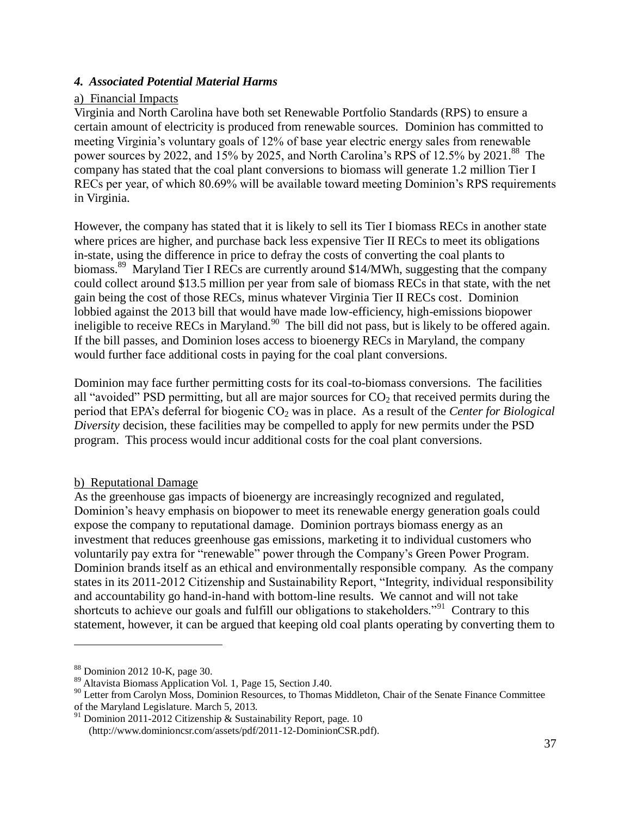## <span id="page-36-0"></span>*4. Associated Potential Material Harms*

### <span id="page-36-1"></span>a) Financial Impacts

Virginia and North Carolina have both set Renewable Portfolio Standards (RPS) to ensure a certain amount of electricity is produced from renewable sources. Dominion has committed to meeting Virginia's voluntary goals of 12% of base year electric energy sales from renewable power sources by 2022, and 15% by 2025, and North Carolina's RPS of 12.5% by 2021.<sup>88</sup> The company has stated that the coal plant conversions to biomass will generate 1.2 million Tier I RECs per year, of which 80.69% will be available toward meeting Dominion's RPS requirements in Virginia.

However, the company has stated that it is likely to sell its Tier I biomass RECs in another state where prices are higher, and purchase back less expensive Tier II RECs to meet its obligations in-state, using the difference in price to defray the costs of converting the coal plants to biomass.<sup>89</sup> Maryland Tier I RECs are currently around \$14/MWh, suggesting that the company could collect around \$13.5 million per year from sale of biomass RECs in that state, with the net gain being the cost of those RECs, minus whatever Virginia Tier II RECs cost. Dominion lobbied against the 2013 bill that would have made low-efficiency, high-emissions biopower ineligible to receive RECs in Maryland.<sup>90</sup> The bill did not pass, but is likely to be offered again. If the bill passes, and Dominion loses access to bioenergy RECs in Maryland, the company would further face additional costs in paying for the coal plant conversions.

Dominion may face further permitting costs for its coal-to-biomass conversions. The facilities all "avoided" PSD permitting, but all are major sources for  $CO<sub>2</sub>$  that received permits during the period that EPA's deferral for biogenic CO<sub>2</sub> was in place. As a result of the *Center for Biological Diversity* decision, these facilities may be compelled to apply for new permits under the PSD program. This process would incur additional costs for the coal plant conversions.

#### <span id="page-36-2"></span>b) Reputational Damage

As the greenhouse gas impacts of bioenergy are increasingly recognized and regulated, Dominion's heavy emphasis on biopower to meet its renewable energy generation goals could expose the company to reputational damage. Dominion portrays biomass energy as an investment that reduces greenhouse gas emissions, marketing it to individual customers who voluntarily pay extra for "renewable" power through the Company's Green Power Program. Dominion brands itself as an ethical and environmentally responsible company. As the company states in its 2011-2012 Citizenship and Sustainability Report, "Integrity, individual responsibility and accountability go hand-in-hand with bottom-line results. We cannot and will not take shortcuts to achieve our goals and fulfill our obligations to stakeholders."<sup>91</sup> Contrary to this statement, however, it can be argued that keeping old coal plants operating by converting them to

<sup>88</sup> Dominion 2012 10-K, page 30.

<sup>89</sup> Altavista Biomass Application Vol. 1, Page 15, Section J.40.

<sup>&</sup>lt;sup>90</sup> Letter from Carolyn Moss, Dominion Resources, to Thomas Middleton, Chair of the Senate Finance Committee of the Maryland Legislature. March 5, 2013.

<sup>&</sup>lt;sup>91</sup> Dominion 2011-2012 Citizenship & Sustainability Report, page. 10 (http://www.dominioncsr.com/assets/pdf/2011-12-DominionCSR.pdf).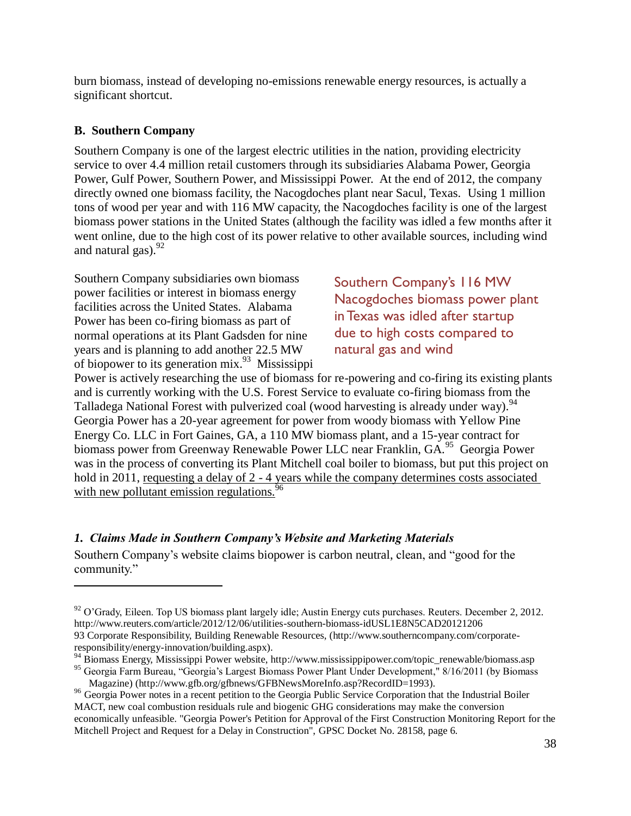burn biomass, instead of developing no-emissions renewable energy resources, is actually a significant shortcut.

## <span id="page-37-0"></span>**B. Southern Company**

 $\overline{a}$ 

Southern Company is one of the largest electric utilities in the nation, providing electricity service to over 4.4 million retail customers through its subsidiaries Alabama Power, Georgia Power, Gulf Power, Southern Power, and Mississippi Power. At the end of 2012, the company directly owned one biomass facility, the Nacogdoches plant near Sacul, Texas. Using 1 million tons of wood per year and with 116 MW capacity, the Nacogdoches facility is one of the largest biomass power stations in the United States (although the facility was idled a few months after it went online, due to the high cost of its power relative to other available sources, including wind and natural gas). $92$ 

Southern Company subsidiaries own biomass power facilities or interest in biomass energy facilities across the United States. Alabama Power has been co-firing biomass as part of normal operations at its Plant Gadsden for nine years and is planning to add another 22.5 MW of biopower to its generation mix. $^{93}$  Mississippi

Southern Company's 116 MW Nacogdoches biomass power plant in Texas was idled after startup due to high costs compared to natural gas and wind

Power is actively researching the use of biomass for re-powering and co-firing its existing plants and is currently working with the U.S. Forest Service to evaluate co-firing biomass from the Talladega National Forest with pulverized coal (wood harvesting is already under way).<sup>94</sup> Georgia Power has a 20-year agreement for power from woody biomass with Yellow Pine Energy Co. LLC in Fort Gaines, GA, a 110 MW biomass plant, and a 15-year contract for biomass power from Greenway Renewable Power LLC near Franklin, GA.<sup>95</sup> Georgia Power was in the process of converting its Plant Mitchell coal boiler to biomass, but put this project on hold in 2011, requesting a delay of 2 - 4 years while the company determines costs associated with new pollutant emission regulations.<sup>9</sup>

## <span id="page-37-1"></span>*1. Claims Made in Southern Company's Website and Marketing Materials*

Southern Company's website claims biopower is carbon neutral, clean, and "good for the community."

 $92$  O'Grady, Eileen. Top US biomass plant largely idle; Austin Energy cuts purchases. Reuters. December 2, 2012. <http://www.reuters.com/article/2012/12/06/utilities-southern-biomass-idUSL1E8N5CAD20121206> 93 Corporate Responsibility, Building Renewable Resources, [\(http://www.southerncompany.com/corporate](http://www.southerncompany.com/corporate-responsibility/energy-innovation/building.aspx)[responsibility/energy-innovation/building.aspx\)](http://www.southerncompany.com/corporate-responsibility/energy-innovation/building.aspx).

<sup>&</sup>lt;sup>94</sup> Biomass Energy, Mississippi Power website, http://www.mississippipower.com/topic\_renewable/biomass.asp <sup>95</sup> Georgia Farm Bureau, "Georgia's Largest Biomass Power Plant Under Development," 8/16/2011 (by Biomass Magazine) [\(http://www.gfb.org/gfbnews/GFBNewsMoreInfo.asp?RecordID=1993\)](http://www.gfb.org/gfbnews/GFBNewsMoreInfo.asp?RecordID=1993).

<sup>&</sup>lt;sup>96</sup> Georgia Power notes in a recent petition to the Georgia Public Service Corporation that the Industrial Boiler MACT, new coal combustion residuals rule and biogenic GHG considerations may make the conversion economically unfeasible. "Georgia Power's Petition for Approval of the First Construction Monitoring Report for the Mitchell Project and Request for a Delay in Construction", GPSC Docket No. 28158, page 6.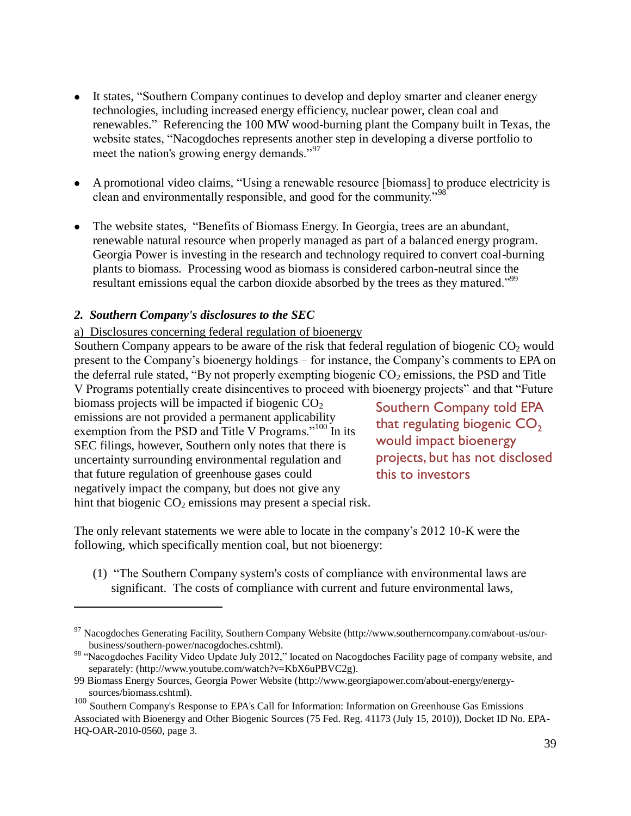- It states, "Southern Company continues to develop and deploy smarter and cleaner energy technologies, including increased energy efficiency, nuclear power, clean coal and renewables." Referencing the 100 MW wood-burning plant the Company built in Texas, the website states, "Nacogdoches represents another step in developing a diverse portfolio to meet the nation's growing energy demands."<sup>97</sup>
- A promotional video claims, "Using a renewable resource [biomass] to produce electricity is clean and environmentally responsible, and good for the community."<sup>98</sup>
- The website states, "Benefits of Biomass Energy. In Georgia, trees are an abundant, renewable natural resource when properly managed as part of a balanced energy program. Georgia Power is investing in the research and technology required to convert coal-burning plants to biomass. Processing wood as biomass is considered carbon-neutral since the resultant emissions equal the carbon dioxide absorbed by the trees as they matured."<sup>99</sup>

## <span id="page-38-0"></span>*2. Southern Company's disclosures to the SEC*

### <span id="page-38-1"></span>a) Disclosures concerning federal regulation of bioenergy

Southern Company appears to be aware of the risk that federal regulation of biogenic  $CO<sub>2</sub>$  would present to the Company's bioenergy holdings – for instance, the Company's comments to EPA on the deferral rule stated, "By not properly exempting biogenic  $CO<sub>2</sub>$  emissions, the PSD and Title V Programs potentially create disincentives to proceed with bioenergy projects" and that "Future

biomass projects will be impacted if biogenic  $CO<sub>2</sub>$ emissions are not provided a permanent applicability exemption from the PSD and Title V Programs."<sup>100</sup> In its SEC filings, however, Southern only notes that there is uncertainty surrounding environmental regulation and that future regulation of greenhouse gases could negatively impact the company, but does not give any hint that biogenic  $CO<sub>2</sub>$  emissions may present a special risk.

 $\overline{a}$ 

Southern Company told EPA that regulating biogenic  $CO<sub>2</sub>$ would impact bioenergy projects, but has not disclosed this to investors

The only relevant statements we were able to locate in the company's 2012 10-K were the following, which specifically mention coal, but not bioenergy:

(1) "The Southern Company system's costs of compliance with environmental laws are significant. The costs of compliance with current and future environmental laws,

<sup>&</sup>lt;sup>97</sup> Nacogdoches Generating Facility, Southern Company Website (http://www.southerncompany.com/about-us/ourbusiness/southern-power/nacogdoches.cshtml).

<sup>&</sup>lt;sup>98</sup> "Nacogdoches Facility Video Update July 2012," located on [Nacogdoches Facility page of company website,](http://www.southerncompany.com/about-us/our-business/southern-power/nacogdoches.cshtml) and separately: [\(http://www.youtube.com/watch?v=KbX6uPBVC2g\)](http://www.youtube.com/watch?v=KbX6uPBVC2g).

<sup>99</sup> Biomass Energy Sources, Georgia Power Website [\(http://www.georgiapower.com/about-energy/energy](http://www.georgiapower.com/about-energy/energy-sources/biomass.cshtml)[sources/biomass.cshtml\)](http://www.georgiapower.com/about-energy/energy-sources/biomass.cshtml).

<sup>&</sup>lt;sup>100</sup> Southern Company's Response to EPA's Call for Information: Information on Greenhouse Gas Emissions Associated with Bioenergy and Other Biogenic Sources (75 Fed. Reg. 41173 (July 15, 2010)), Docket ID No. EPA-HQ-OAR-2010-0560, page 3.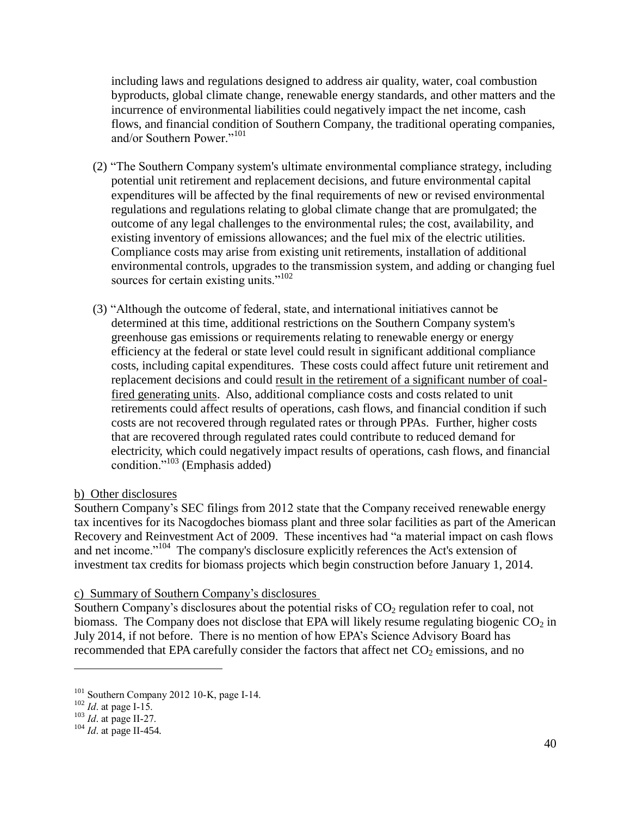including laws and regulations designed to address air quality, water, coal combustion byproducts, global climate change, renewable energy standards, and other matters and the incurrence of environmental liabilities could negatively impact the net income, cash flows, and financial condition of Southern Company, the traditional operating companies, and/or Southern Power."<sup>101</sup>

- (2) "The Southern Company system's ultimate environmental compliance strategy, including potential unit retirement and replacement decisions, and future environmental capital expenditures will be affected by the final requirements of new or revised environmental regulations and regulations relating to global climate change that are promulgated; the outcome of any legal challenges to the environmental rules; the cost, availability, and existing inventory of emissions allowances; and the fuel mix of the electric utilities. Compliance costs may arise from existing unit retirements, installation of additional environmental controls, upgrades to the transmission system, and adding or changing fuel sources for certain existing units."<sup>102</sup>
- (3) "Although the outcome of federal, state, and international initiatives cannot be determined at this time, additional restrictions on the Southern Company system's greenhouse gas emissions or requirements relating to renewable energy or energy efficiency at the federal or state level could result in significant additional compliance costs, including capital expenditures. These costs could affect future unit retirement and replacement decisions and could result in the retirement of a significant number of coalfired generating units. Also, additional compliance costs and costs related to unit retirements could affect results of operations, cash flows, and financial condition if such costs are not recovered through regulated rates or through PPAs. Further, higher costs that are recovered through regulated rates could contribute to reduced demand for electricity, which could negatively impact results of operations, cash flows, and financial condition."<sup>103</sup> (Emphasis added)

## <span id="page-39-0"></span>b) Other disclosures

Southern Company's SEC filings from 2012 state that the Company received renewable energy tax incentives for its Nacogdoches biomass plant and three solar facilities as part of the American Recovery and Reinvestment Act of 2009. These incentives had "a material impact on cash flows and net income."<sup>104</sup> The company's disclosure explicitly references the Act's extension of investment tax credits for biomass projects which begin construction before January 1, 2014.

## <span id="page-39-1"></span>c) Summary of Southern Company's disclosures

Southern Company's disclosures about the potential risks of  $CO<sub>2</sub>$  regulation refer to coal, not biomass. The Company does not disclose that EPA will likely resume regulating biogenic  $CO<sub>2</sub>$  in July 2014, if not before. There is no mention of how EPA's Science Advisory Board has recommended that EPA carefully consider the factors that affect net  $CO<sub>2</sub>$  emissions, and no

<sup>&</sup>lt;sup>101</sup> Southern Company 2012 10-K, page I-14.

<sup>102</sup> *Id*. at page I-15.

<sup>103</sup> *Id*. at page II-27.

<sup>104</sup> *Id*. at page II-454.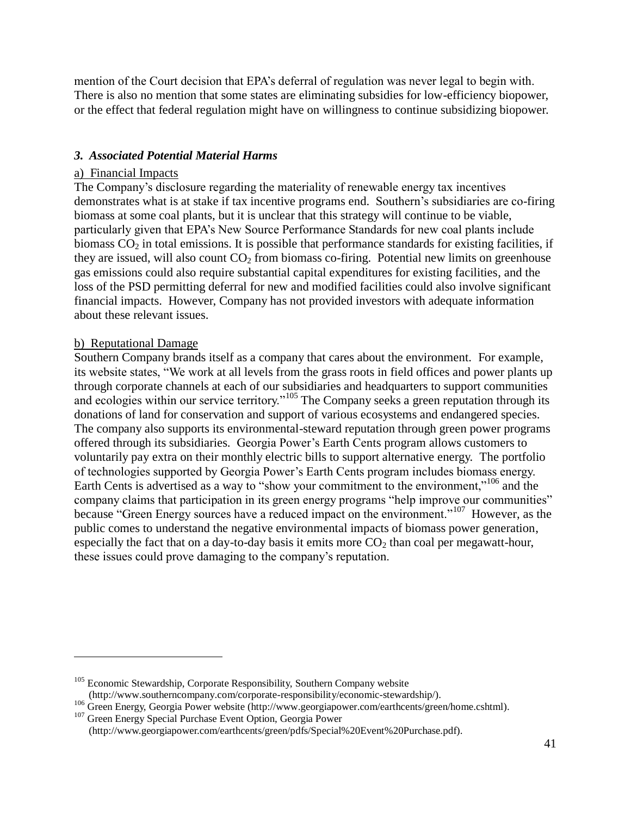mention of the Court decision that EPA's deferral of regulation was never legal to begin with. There is also no mention that some states are eliminating subsidies for low-efficiency biopower, or the effect that federal regulation might have on willingness to continue subsidizing biopower.

### <span id="page-40-0"></span>*3. Associated Potential Material Harms*

### <span id="page-40-1"></span>a) Financial Impacts

The Company's disclosure regarding the materiality of renewable energy tax incentives demonstrates what is at stake if tax incentive programs end. Southern's subsidiaries are co-firing biomass at some coal plants, but it is unclear that this strategy will continue to be viable, particularly given that EPA's New Source Performance Standards for new coal plants include biomass  $CO<sub>2</sub>$  in total emissions. It is possible that performance standards for existing facilities, if they are issued, will also count  $CO<sub>2</sub>$  from biomass co-firing. Potential new limits on greenhouse gas emissions could also require substantial capital expenditures for existing facilities, and the loss of the PSD permitting deferral for new and modified facilities could also involve significant financial impacts. However, Company has not provided investors with adequate information about these relevant issues.

### <span id="page-40-2"></span>b) Reputational Damage

 $\overline{a}$ 

Southern Company brands itself as a company that cares about the environment. For example, its website states, "We work at all levels from the grass roots in field offices and power plants up through corporate channels at each of our subsidiaries and headquarters to support communities and ecologies within our service territory."<sup>105</sup> The Company seeks a green reputation through its donations of land for conservation and support of various ecosystems and endangered species. The company also supports its environmental-steward reputation through green power programs offered through its subsidiaries. Georgia Power's Earth Cents program allows customers to voluntarily pay extra on their monthly electric bills to support alternative energy. The portfolio of technologies supported by Georgia Power's Earth Cents program includes biomass energy. Earth Cents is advertised as a way to "show your commitment to the environment,"<sup>106</sup> and the company claims that participation in its green energy programs "help improve our communities" because "Green Energy sources have a reduced impact on the environment."<sup>107</sup> However, as the public comes to understand the negative environmental impacts of biomass power generation, especially the fact that on a day-to-day basis it emits more  $CO<sub>2</sub>$  than coal per megawatt-hour, these issues could prove damaging to the company's reputation.

 $105$  Economic Stewardship, Corporate Responsibility, Southern Company website [\(http://www.southerncompany.com/corporate-responsibility/economic-stewardship/\)](http://www.southerncompany.com/corporate-responsibility/economic-stewardship/).

<sup>106</sup> Green Energy, Georgia Power website [\(http://www.georgiapower.com/earthcents/green/home.cshtml\)](http://www.georgiapower.com/earthcents/green/home.cshtml).

<sup>&</sup>lt;sup>107</sup> Green Energy Special Purchase Event Option, Georgia Power (http://www.georgiapower.com/earthcents/green/pdfs/Special%20Event%20Purchase.pdf).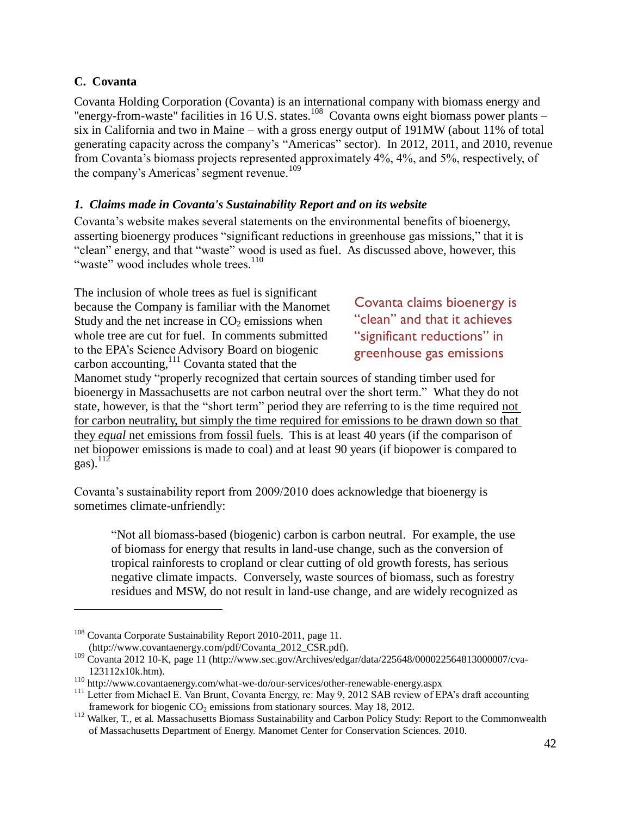## <span id="page-41-0"></span>**C. Covanta**

 $\overline{a}$ 

Covanta Holding Corporation (Covanta) is an international company with biomass energy and "energy-from-waste" facilities in 16 U.S. states.<sup>108</sup> Covanta owns eight biomass power plants – six in California and two in Maine – with a gross energy output of 191MW (about 11% of total generating capacity across the company's "Americas" sector). In 2012, 2011, and 2010, revenue from Covanta's biomass projects represented approximately 4%, 4%, and 5%, respectively, of the company's Americas' segment revenue.<sup>109</sup>

## <span id="page-41-1"></span>*1. Claims made in Covanta's Sustainability Report and on its website*

Covanta's website makes several statements on the environmental benefits of bioenergy, asserting bioenergy produces "significant reductions in greenhouse gas missions," that it is "clean" energy, and that "waste" wood is used as fuel. As discussed above, however, this "waste" wood includes whole trees.<sup>110</sup>

The inclusion of whole trees as fuel is significant because the Company is familiar with the Manomet Study and the net increase in  $CO<sub>2</sub>$  emissions when whole tree are cut for fuel. In comments submitted to the EPA's Science Advisory Board on biogenic carbon accounting,<sup>111</sup> Covanta stated that the

Covanta claims bioenergy is "clean" and that it achieves "significant reductions" in greenhouse gas emissions

Manomet study "properly recognized that certain sources of standing timber used for bioenergy in Massachusetts are not carbon neutral over the short term." What they do not state, however, is that the "short term" period they are referring to is the time required not for carbon neutrality, but simply the time required for emissions to be drawn down so that they *equal* net emissions from fossil fuels. This is at least 40 years (if the comparison of net biopower emissions is made to coal) and at least 90 years (if biopower is compared to gas). $^{112}$ 

Covanta's sustainability report from 2009/2010 does acknowledge that bioenergy is sometimes climate-unfriendly:

"Not all biomass-based (biogenic) carbon is carbon neutral. For example, the use of biomass for energy that results in land-use change, such as the conversion of tropical rainforests to cropland or clear cutting of old growth forests, has serious negative climate impacts. Conversely, waste sources of biomass, such as forestry residues and MSW, do not result in land-use change, and are widely recognized as

<sup>&</sup>lt;sup>108</sup> Covanta Corporate Sustainability Report 2010-2011, page 11.

[<sup>\(</sup>http://www.covantaenergy.com/pdf/Covanta\\_2012\\_CSR.pdf\)](http://www.covantaenergy.com/pdf/Covanta_2012_CSR.pdf).

<sup>109</sup> Covanta 2012 10-K, page 11 [\(http://www.sec.gov/Archives/edgar/data/225648/000022564813000007/cva-](http://www.sec.gov/Archives/edgar/data/225648/000022564813000007/cva-123112x10k.htm)[123112x10k.htm\)](http://www.sec.gov/Archives/edgar/data/225648/000022564813000007/cva-123112x10k.htm).

<sup>110</sup> <http://www.covantaenergy.com/what-we-do/our-services/other-renewable-energy.aspx>

<sup>&</sup>lt;sup>111</sup> Letter from Michael E. Van Brunt, Covanta Energy, re: May 9, 2012 SAB review of EPA's draft accounting framework for biogenic  $CO<sub>2</sub>$  emissions from stationary sources. May 18, 2012.

<sup>&</sup>lt;sup>112</sup> Walker, T., et al. Massachusetts Biomass Sustainability and Carbon Policy Study: Report to the Commonwealth of Massachusetts Department of Energy. Manomet Center for Conservation Sciences. 2010.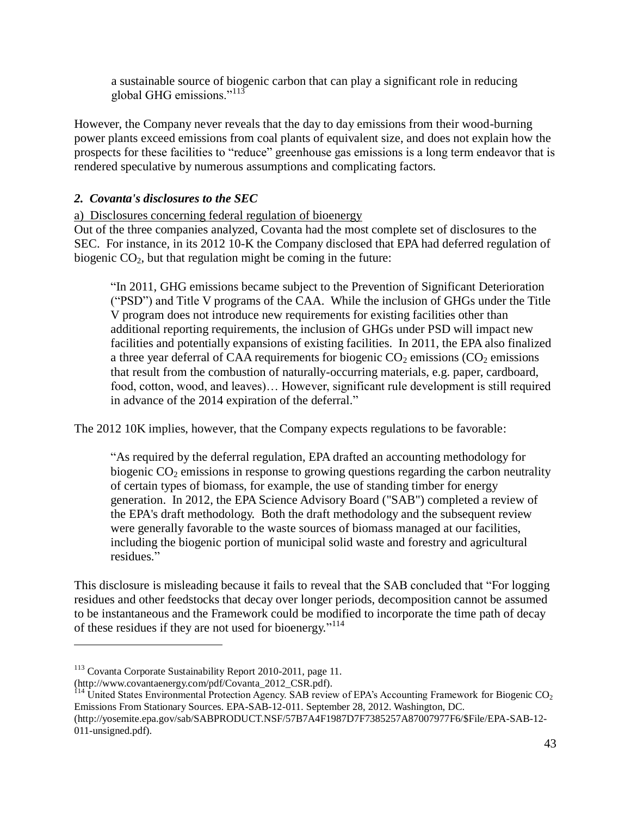a sustainable source of biogenic carbon that can play a significant role in reducing global GHG emissions."<sup>113</sup>

However, the Company never reveals that the day to day emissions from their wood-burning power plants exceed emissions from coal plants of equivalent size, and does not explain how the prospects for these facilities to "reduce" greenhouse gas emissions is a long term endeavor that is rendered speculative by numerous assumptions and complicating factors.

## <span id="page-42-0"></span>*2. Covanta's disclosures to the SEC*

<span id="page-42-1"></span>a) Disclosures concerning federal regulation of bioenergy

Out of the three companies analyzed, Covanta had the most complete set of disclosures to the SEC. For instance, in its 2012 10-K the Company disclosed that EPA had deferred regulation of biogenic  $CO<sub>2</sub>$ , but that regulation might be coming in the future:

"In 2011, GHG emissions became subject to the Prevention of Significant Deterioration ("PSD") and Title V programs of the CAA. While the inclusion of GHGs under the Title V program does not introduce new requirements for existing facilities other than additional reporting requirements, the inclusion of GHGs under PSD will impact new facilities and potentially expansions of existing facilities. In 2011, the EPA also finalized a three year deferral of CAA requirements for biogenic  $CO<sub>2</sub>$  emissions ( $CO<sub>2</sub>$  emissions that result from the combustion of naturally-occurring materials, e.g. paper, cardboard, food, cotton, wood, and leaves)… However, significant rule development is still required in advance of the 2014 expiration of the deferral."

The 2012 10K implies, however, that the Company expects regulations to be favorable:

"As required by the deferral regulation, EPA drafted an accounting methodology for biogenic  $CO<sub>2</sub>$  emissions in response to growing questions regarding the carbon neutrality of certain types of biomass, for example, the use of standing timber for energy generation. In 2012, the EPA Science Advisory Board ("SAB") completed a review of the EPA's draft methodology. Both the draft methodology and the subsequent review were generally favorable to the waste sources of biomass managed at our facilities, including the biogenic portion of municipal solid waste and forestry and agricultural residues."

This disclosure is misleading because it fails to reveal that the SAB concluded that "For logging residues and other feedstocks that decay over longer periods, decomposition cannot be assumed to be instantaneous and the Framework could be modified to incorporate the time path of decay of these residues if they are not used for bioenergy."<sup>114</sup>

<sup>113</sup> Covanta Corporate Sustainability Report 2010-2011, page 11.

[<sup>\(</sup>http://www.covantaenergy.com/pdf/Covanta\\_2012\\_CSR.pdf\)](http://www.covantaenergy.com/pdf/Covanta_2012_CSR.pdf).

<sup>&</sup>lt;sup>114</sup> United States Environmental Protection Agency. SAB review of EPA's Accounting Framework for Biogenic CO<sub>2</sub> Emissions From Stationary Sources. EPA-SAB-12-011. September 28, 2012. Washington, DC.

[<sup>\(</sup>http://yosemite.epa.gov/sab/SABPRODUCT.NSF/57B7A4F1987D7F7385257A87007977F6/\\$File/EPA-SAB-12-](http://yosemite.epa.gov/sab/SABPRODUCT.NSF/57B7A4F1987D7F7385257A87007977F6/$File/EPA-SAB-12-011-unsigned.pdf) [011-unsigned.pdf\)](http://yosemite.epa.gov/sab/SABPRODUCT.NSF/57B7A4F1987D7F7385257A87007977F6/$File/EPA-SAB-12-011-unsigned.pdf).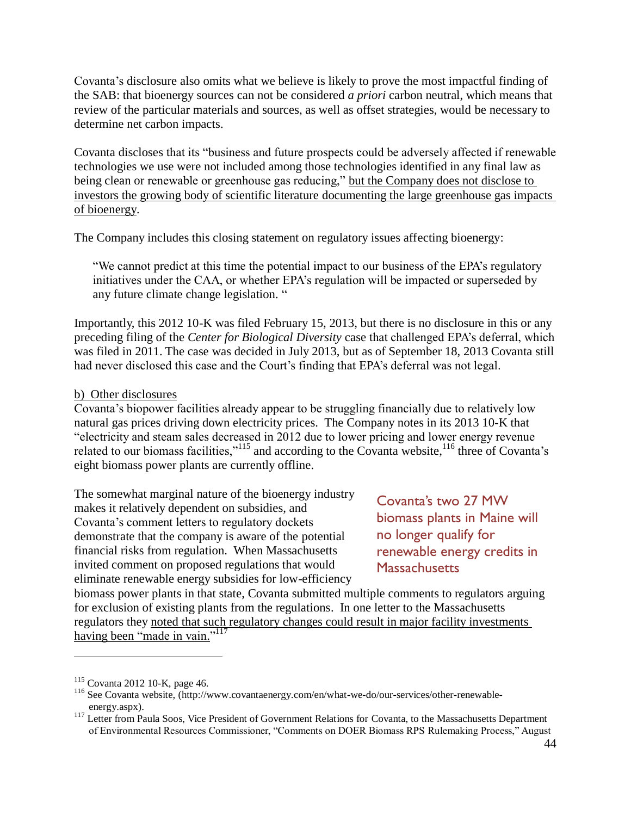Covanta's disclosure also omits what we believe is likely to prove the most impactful finding of the SAB: that bioenergy sources can not be considered *a priori* carbon neutral, which means that review of the particular materials and sources, as well as offset strategies, would be necessary to determine net carbon impacts.

Covanta discloses that its "business and future prospects could be adversely affected if renewable technologies we use were not included among those technologies identified in any final law as being clean or renewable or greenhouse gas reducing," but the Company does not disclose to investors the growing body of scientific literature documenting the large greenhouse gas impacts of bioenergy.

The Company includes this closing statement on regulatory issues affecting bioenergy:

"We cannot predict at this time the potential impact to our business of the EPA's regulatory initiatives under the CAA, or whether EPA's regulation will be impacted or superseded by any future climate change legislation. "

Importantly, this 2012 10-K was filed February 15, 2013, but there is no disclosure in this or any preceding filing of the *Center for Biological Diversity* case that challenged EPA's deferral, which was filed in 2011. The case was decided in July 2013, but as of September 18, 2013 Covanta still had never disclosed this case and the Court's finding that EPA's deferral was not legal.

## <span id="page-43-0"></span>b) Other disclosures

Covanta's biopower facilities already appear to be struggling financially due to relatively low natural gas prices driving down electricity prices. The Company notes in its 2013 10-K that "electricity and steam sales decreased in 2012 due to lower pricing and lower energy revenue related to our biomass facilities," $115$  and according to the Covanta website, $116$  three of Covanta's eight biomass power plants are currently offline.

The somewhat marginal nature of the bioenergy industry makes it relatively dependent on subsidies, and Covanta's comment letters to regulatory dockets demonstrate that the company is aware of the potential financial risks from regulation. When Massachusetts invited comment on proposed regulations that would eliminate renewable energy subsidies for low-efficiency

Covanta's two 27 MW biomass plants in Maine will no longer qualify for renewable energy credits in **Massachusetts** 

biomass power plants in that state, Covanta submitted multiple comments to regulators arguing for exclusion of existing plants from the regulations. In one letter to the Massachusetts regulators they noted that such regulatory changes could result in major facility investments having been "made in vain."<sup>117</sup>

 $115$  Covanta 2012 10-K, page 46.

<sup>116</sup> See Covanta website, [\(http://www.covantaenergy.com/en/what-we-do/our-services/other-renewable](http://www.covantaenergy.com/en/what-we-do/our-services/other-renewable-energy.aspx)[energy.aspx\)](http://www.covantaenergy.com/en/what-we-do/our-services/other-renewable-energy.aspx).

<sup>&</sup>lt;sup>117</sup> Letter from Paula Soos, Vice President of Government Relations for Covanta, to the Massachusetts Department of Environmental Resources Commissioner, "Comments on DOER Biomass RPS Rulemaking Process," August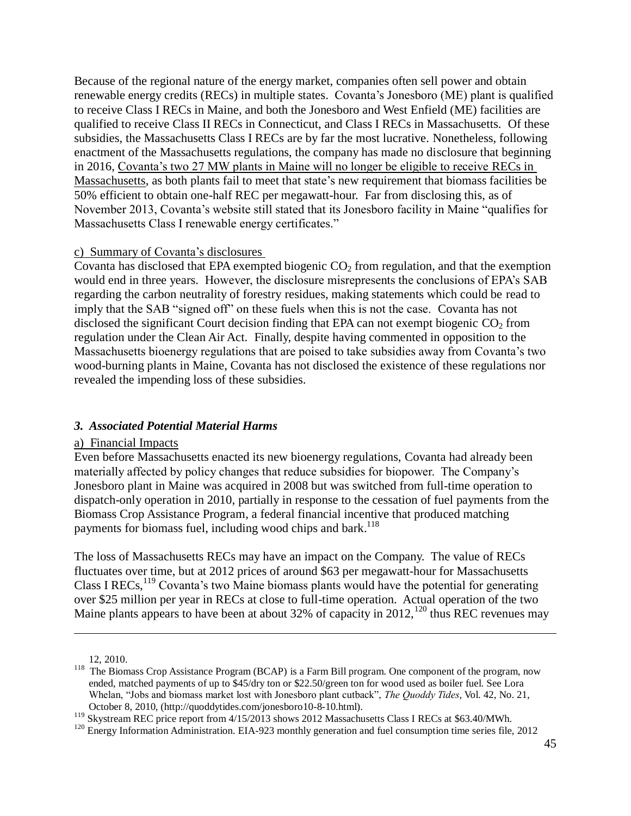Because of the regional nature of the energy market, companies often sell power and obtain renewable energy credits (RECs) in multiple states. Covanta's Jonesboro (ME) plant is qualified to receive Class I RECs in Maine, and both the Jonesboro and West Enfield (ME) facilities are qualified to receive Class II RECs in Connecticut, and Class I RECs in Massachusetts. Of these subsidies, the Massachusetts Class I RECs are by far the most lucrative. Nonetheless, following enactment of the Massachusetts regulations, the company has made no disclosure that beginning in 2016, Covanta's two 27 MW plants in Maine will no longer be eligible to receive RECs in Massachusetts, as both plants fail to meet that state's new requirement that biomass facilities be 50% efficient to obtain one-half REC per megawatt-hour. Far from disclosing this, as of November 2013, Covanta's website still stated that its Jonesboro facility in Maine "qualifies for Massachusetts Class I renewable energy certificates."

#### <span id="page-44-0"></span>c) Summary of Covanta's disclosures

Covanta has disclosed that EPA exempted biogenic  $CO<sub>2</sub>$  from regulation, and that the exemption would end in three years. However, the disclosure misrepresents the conclusions of EPA's SAB regarding the carbon neutrality of forestry residues, making statements which could be read to imply that the SAB "signed off" on these fuels when this is not the case. Covanta has not disclosed the significant Court decision finding that EPA can not exempt biogenic  $CO<sub>2</sub>$  from regulation under the Clean Air Act. Finally, despite having commented in opposition to the Massachusetts bioenergy regulations that are poised to take subsidies away from Covanta's two wood-burning plants in Maine, Covanta has not disclosed the existence of these regulations nor revealed the impending loss of these subsidies.

#### <span id="page-44-1"></span>*3. Associated Potential Material Harms*

#### <span id="page-44-2"></span>a) Financial Impacts

Even before Massachusetts enacted its new bioenergy regulations, Covanta had already been materially affected by policy changes that reduce subsidies for biopower. The Company's Jonesboro plant in Maine was acquired in 2008 but was switched from full-time operation to dispatch-only operation in 2010, partially in response to the cessation of fuel payments from the Biomass Crop Assistance Program, a federal financial incentive that produced matching payments for biomass fuel, including wood chips and bark.<sup>118</sup>

The loss of Massachusetts RECs may have an impact on the Company. The value of RECs fluctuates over time, but at 2012 prices of around \$63 per megawatt-hour for Massachusetts Class I RECs,  $^{119}$  Covanta's two Maine biomass plants would have the potential for generating over \$25 million per year in RECs at close to full-time operation. Actual operation of the two Maine plants appears to have been at about 32% of capacity in 2012,  $120$  thus REC revenues may

12, 2010.

<sup>&</sup>lt;sup>118</sup> The Biomass Crop Assistance Program (BCAP) is a Farm Bill program. One component of the program, now ended, matched payments of up to \$45/dry ton or \$22.50/green ton for wood used as boiler fuel. See Lora Whelan, "Jobs and biomass market lost with Jonesboro plant cutback", *The Quoddy Tides*, Vol. 42, No. 21, October 8, 2010, [\(http://quoddytides.com/jonesboro10-8-10.html\)](http://quoddytides.com/jonesboro10-8-10.html).

<sup>&</sup>lt;sup>119</sup> Skystream REC price report from 4/15/2013 shows 2012 Massachusetts Class I RECs at \$63.40/MWh.

 $120$  Energy Information Administration. EIA-923 monthly generation and fuel consumption time series file, 2012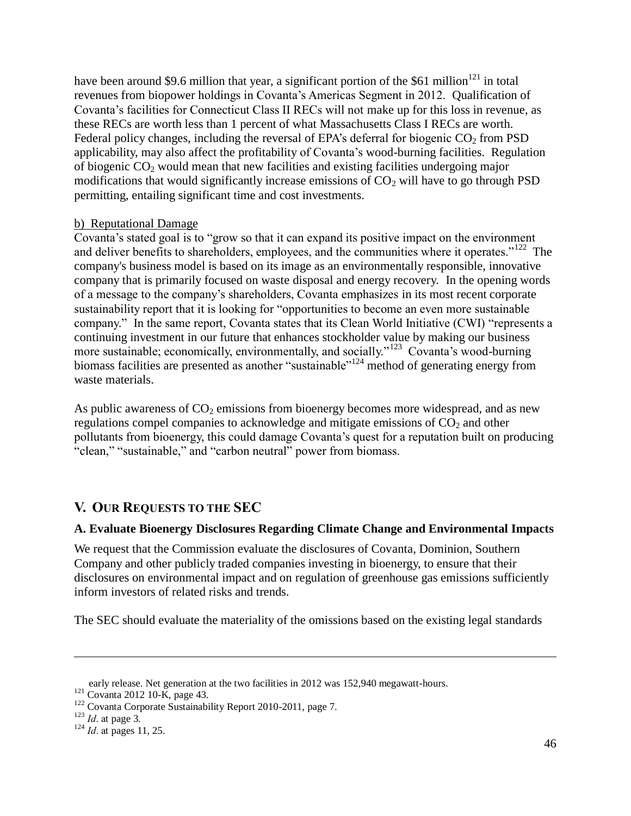have been around \$9.6 million that year, a significant portion of the \$61 million<sup>121</sup> in total revenues from biopower holdings in Covanta's Americas Segment in 2012. Qualification of Covanta's facilities for Connecticut Class II RECs will not make up for this loss in revenue, as these RECs are worth less than 1 percent of what Massachusetts Class I RECs are worth. Federal policy changes, including the reversal of EPA's deferral for biogenic  $CO<sub>2</sub>$  from PSD applicability, may also affect the profitability of Covanta's wood-burning facilities. Regulation of biogenic  $CO<sub>2</sub>$  would mean that new facilities and existing facilities undergoing major modifications that would significantly increase emissions of  $CO<sub>2</sub>$  will have to go through PSD permitting, entailing significant time and cost investments.

### <span id="page-45-0"></span>b) Reputational Damage

Covanta's stated goal is to "grow so that it can expand its positive impact on the environment and deliver benefits to shareholders, employees, and the communities where it operates."<sup>122</sup> The company's business model is based on its image as an environmentally responsible, innovative company that is primarily focused on waste disposal and energy recovery. In the opening words of a message to the company's shareholders, Covanta emphasizes in its most recent corporate sustainability report that it is looking for "opportunities to become an even more sustainable company." In the same report, Covanta states that its Clean World Initiative (CWI) "represents a continuing investment in our future that enhances stockholder value by making our business more sustainable; economically, environmentally, and socially."<sup>123</sup> Covanta's wood-burning biomass facilities are presented as another "sustainable"<sup>124</sup> method of generating energy from waste materials.

As public awareness of  $CO<sub>2</sub>$  emissions from bioenergy becomes more widespread, and as new regulations compel companies to acknowledge and mitigate emissions of  $CO<sub>2</sub>$  and other pollutants from bioenergy, this could damage Covanta's quest for a reputation built on producing "clean," "sustainable," and "carbon neutral" power from biomass.

## <span id="page-45-1"></span>**V. OUR REQUESTS TO THE SEC**

## <span id="page-45-2"></span>**A. Evaluate Bioenergy Disclosures Regarding Climate Change and Environmental Impacts**

We request that the Commission evaluate the disclosures of Covanta, Dominion, Southern Company and other publicly traded companies investing in bioenergy, to ensure that their disclosures on environmental impact and on regulation of greenhouse gas emissions sufficiently inform investors of related risks and trends.

The SEC should evaluate the materiality of the omissions based on the existing legal standards

early release. Net generation at the two facilities in 2012 was 152,940 megawatt-hours.

<sup>121</sup> Covanta 2012 10-K, page 43.

<sup>&</sup>lt;sup>122</sup> Covanta Corporate Sustainability Report 2010-2011, page 7.

<sup>123</sup> *Id*. at page 3.

<sup>124</sup> *Id*. at pages 11, 25.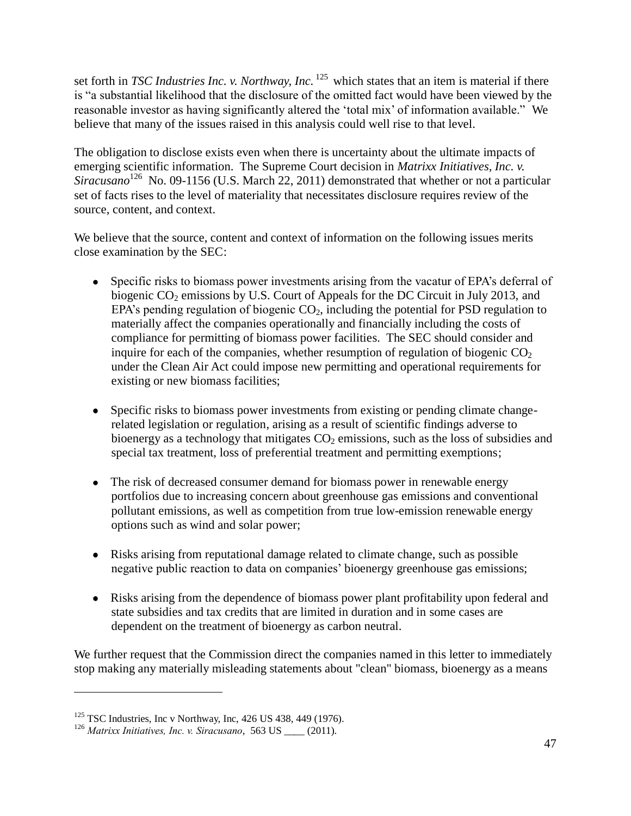set forth in *TSC Industries Inc. v. Northway, Inc.* <sup>125</sup> which states that an item is material if there is "a substantial likelihood that the disclosure of the omitted fact would have been viewed by the reasonable investor as having significantly altered the 'total mix' of information available." We believe that many of the issues raised in this analysis could well rise to that level.

The obligation to disclose exists even when there is uncertainty about the ultimate impacts of emerging scientific information. The Supreme Court decision in *Matrixx Initiatives, Inc. v.*  Siracusano<sup>126</sup> No. 09-1156 (U.S. March 22, 2011) demonstrated that whether or not a particular set of facts rises to the level of materiality that necessitates disclosure requires review of the source, content, and context.

We believe that the source, content and context of information on the following issues merits close examination by the SEC:

- Specific risks to biomass power investments arising from the vacatur of EPA's deferral of biogenic  $CO_2$  emissions by U.S. Court of Appeals for the DC Circuit in July 2013, and EPA's pending regulation of biogenic  $CO<sub>2</sub>$ , including the potential for PSD regulation to materially affect the companies operationally and financially including the costs of compliance for permitting of biomass power facilities. The SEC should consider and inquire for each of the companies, whether resumption of regulation of biogenic  $CO<sub>2</sub>$ under the Clean Air Act could impose new permitting and operational requirements for existing or new biomass facilities;
- Specific risks to biomass power investments from existing or pending climate changerelated legislation or regulation, arising as a result of scientific findings adverse to bioenergy as a technology that mitigates  $CO<sub>2</sub>$  emissions, such as the loss of subsidies and special tax treatment, loss of preferential treatment and permitting exemptions;
- The risk of decreased consumer demand for biomass power in renewable energy portfolios due to increasing concern about greenhouse gas emissions and conventional pollutant emissions, as well as competition from true low-emission renewable energy options such as wind and solar power;
- Risks arising from reputational damage related to climate change, such as possible negative public reaction to data on companies' bioenergy greenhouse gas emissions;
- Risks arising from the dependence of biomass power plant profitability upon federal and state subsidies and tax credits that are limited in duration and in some cases are dependent on the treatment of bioenergy as carbon neutral.

We further request that the Commission direct the companies named in this letter to immediately stop making any materially misleading statements about "clean" biomass, bioenergy as a means

 $125$  TSC Industries, Inc v Northway, Inc, 426 US 438, 449 (1976).

<sup>126</sup> *Matrixx Initiatives, Inc. v. Siracusano*, 563 US \_\_\_\_ (2011).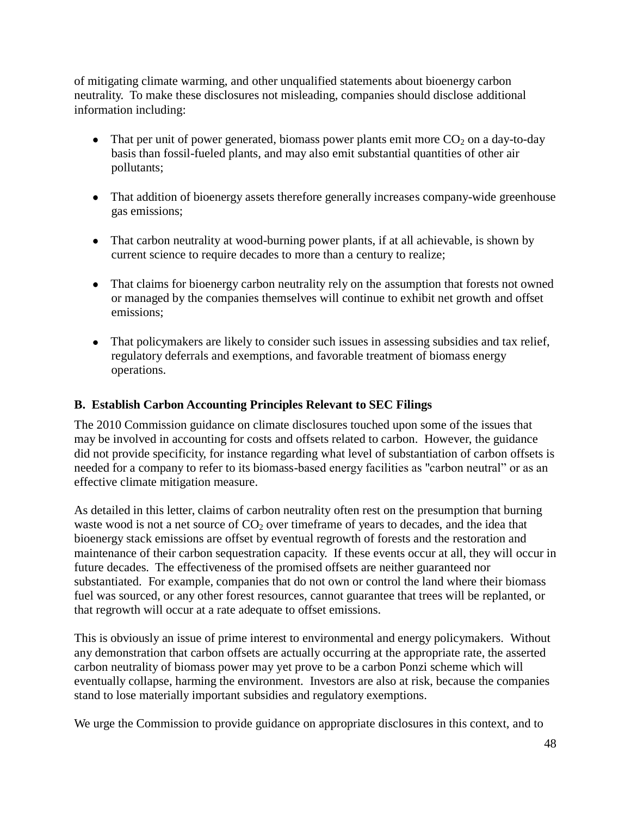of mitigating climate warming, and other unqualified statements about bioenergy carbon neutrality. To make these disclosures not misleading, companies should disclose additional information including:

- That per unit of power generated, biomass power plants emit more  $CO<sub>2</sub>$  on a day-to-day basis than fossil-fueled plants, and may also emit substantial quantities of other air pollutants;
- That addition of bioenergy assets therefore generally increases company-wide greenhouse gas emissions;
- That carbon neutrality at wood-burning power plants, if at all achievable, is shown by current science to require decades to more than a century to realize;
- That claims for bioenergy carbon neutrality rely on the assumption that forests not owned or managed by the companies themselves will continue to exhibit net growth and offset emissions;
- That policymakers are likely to consider such issues in assessing subsidies and tax relief, regulatory deferrals and exemptions, and favorable treatment of biomass energy operations.

## <span id="page-47-0"></span>**B. Establish Carbon Accounting Principles Relevant to SEC Filings**

The 2010 Commission guidance on climate disclosures touched upon some of the issues that may be involved in accounting for costs and offsets related to carbon. However, the guidance did not provide specificity, for instance regarding what level of substantiation of carbon offsets is needed for a company to refer to its biomass-based energy facilities as "carbon neutral" or as an effective climate mitigation measure.

As detailed in this letter, claims of carbon neutrality often rest on the presumption that burning waste wood is not a net source of  $CO<sub>2</sub>$  over timeframe of years to decades, and the idea that bioenergy stack emissions are offset by eventual regrowth of forests and the restoration and maintenance of their carbon sequestration capacity. If these events occur at all, they will occur in future decades. The effectiveness of the promised offsets are neither guaranteed nor substantiated. For example, companies that do not own or control the land where their biomass fuel was sourced, or any other forest resources, cannot guarantee that trees will be replanted, or that regrowth will occur at a rate adequate to offset emissions.

This is obviously an issue of prime interest to environmental and energy policymakers. Without any demonstration that carbon offsets are actually occurring at the appropriate rate, the asserted carbon neutrality of biomass power may yet prove to be a carbon Ponzi scheme which will eventually collapse, harming the environment. Investors are also at risk, because the companies stand to lose materially important subsidies and regulatory exemptions.

We urge the Commission to provide guidance on appropriate disclosures in this context, and to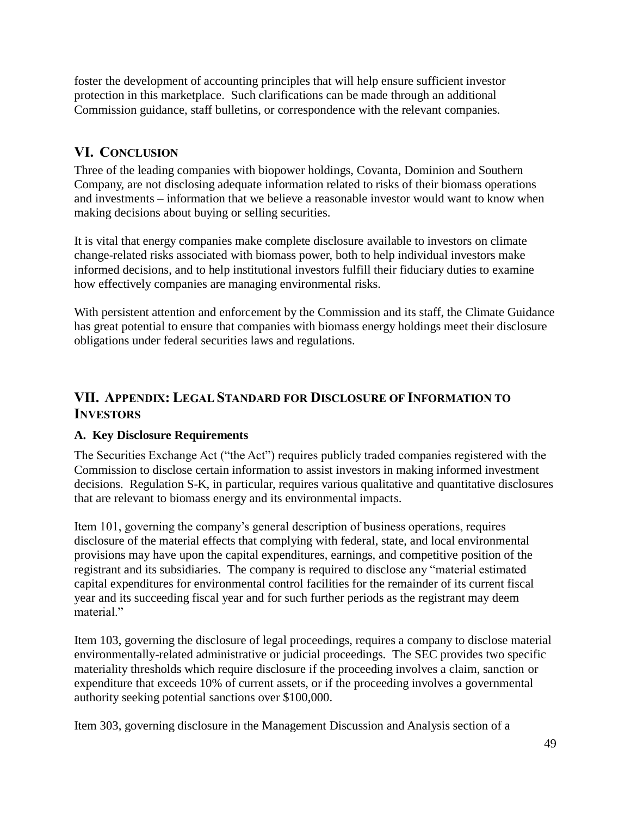foster the development of accounting principles that will help ensure sufficient investor protection in this marketplace. Such clarifications can be made through an additional Commission guidance, staff bulletins, or correspondence with the relevant companies.

# <span id="page-48-0"></span>**VI. CONCLUSION**

Three of the leading companies with biopower holdings, Covanta, Dominion and Southern Company, are not disclosing adequate information related to risks of their biomass operations and investments – information that we believe a reasonable investor would want to know when making decisions about buying or selling securities.

It is vital that energy companies make complete disclosure available to investors on climate change-related risks associated with biomass power, both to help individual investors make informed decisions, and to help institutional investors fulfill their fiduciary duties to examine how effectively companies are managing environmental risks.

With persistent attention and enforcement by the Commission and its staff, the Climate Guidance has great potential to ensure that companies with biomass energy holdings meet their disclosure obligations under federal securities laws and regulations.

## <span id="page-48-1"></span>**VII. APPENDIX: LEGAL STANDARD FOR DISCLOSURE OF INFORMATION TO INVESTORS**

## <span id="page-48-2"></span>**A. Key Disclosure Requirements**

The Securities Exchange Act ("the Act") requires publicly traded companies registered with the Commission to disclose certain information to assist investors in making informed investment decisions. Regulation S-K, in particular, requires various qualitative and quantitative disclosures that are relevant to biomass energy and its environmental impacts.

Item 101, governing the company's general description of business operations, requires disclosure of the material effects that complying with federal, state, and local environmental provisions may have upon the capital expenditures, earnings, and competitive position of the registrant and its subsidiaries. The company is required to disclose any "material estimated capital expenditures for environmental control facilities for the remainder of its current fiscal year and its succeeding fiscal year and for such further periods as the registrant may deem material"

Item 103, governing the disclosure of legal proceedings, requires a company to disclose material environmentally-related administrative or judicial proceedings. The SEC provides two specific materiality thresholds which require disclosure if the proceeding involves a claim, sanction or expenditure that exceeds 10% of current assets, or if the proceeding involves a governmental authority seeking potential sanctions over \$100,000.

Item 303, governing disclosure in the Management Discussion and Analysis section of a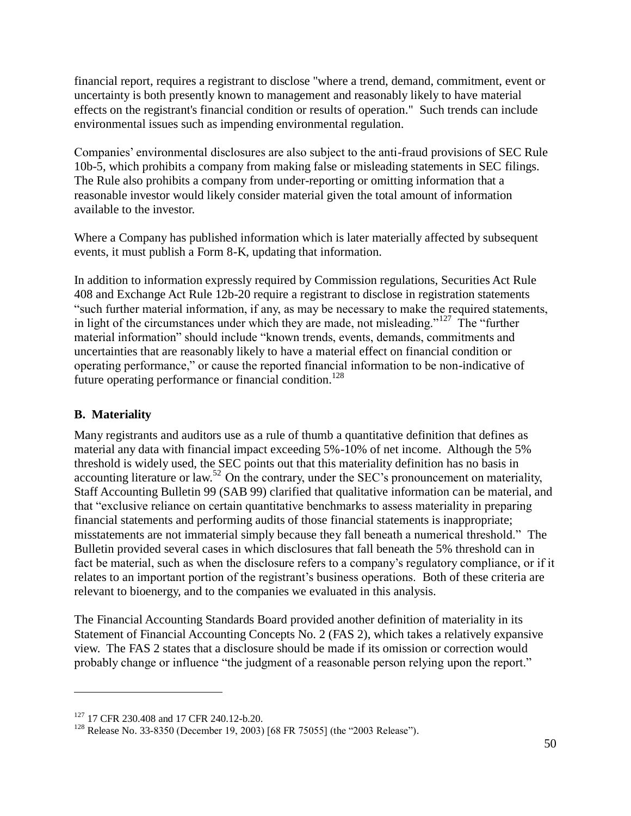financial report, requires a registrant to disclose "where a trend, demand, commitment, event or uncertainty is both presently known to management and reasonably likely to have material effects on the registrant's financial condition or results of operation." Such trends can include environmental issues such as impending environmental regulation.

Companies' environmental disclosures are also subject to the anti-fraud provisions of SEC Rule 10b-5, which prohibits a company from making false or misleading statements in SEC filings. The Rule also prohibits a company from under-reporting or omitting information that a reasonable investor would likely consider material given the total amount of information available to the investor.

Where a Company has published information which is later materially affected by subsequent events, it must publish a Form 8-K, updating that information.

In addition to information expressly required by Commission regulations, Securities Act Rule 408 and Exchange Act Rule 12b-20 require a registrant to disclose in registration statements "such further material information, if any, as may be necessary to make the required statements, in light of the circumstances under which they are made, not misleading."<sup>127</sup> The "further" material information" should include "known trends, events, demands, commitments and uncertainties that are reasonably likely to have a material effect on financial condition or operating performance," or cause the reported financial information to be non-indicative of future operating performance or financial condition.<sup>128</sup>

## <span id="page-49-0"></span>**B. Materiality**

 $\overline{a}$ 

Many registrants and auditors use as a rule of thumb a quantitative definition that defines as material any data with financial impact exceeding 5%-10% of net income. Although the 5% threshold is widely used, the SEC points out that this materiality definition has no basis in accounting literature or law.<sup>52</sup> On the contrary, under the SEC's pronouncement on materiality, Staff Accounting Bulletin 99 (SAB 99) clarified that qualitative information can be material, and that "exclusive reliance on certain quantitative benchmarks to assess materiality in preparing financial statements and performing audits of those financial statements is inappropriate; misstatements are not immaterial simply because they fall beneath a numerical threshold." The Bulletin provided several cases in which disclosures that fall beneath the 5% threshold can in fact be material, such as when the disclosure refers to a company's regulatory compliance, or if it relates to an important portion of the registrant's business operations. Both of these criteria are relevant to bioenergy, and to the companies we evaluated in this analysis.

The Financial Accounting Standards Board provided another definition of materiality in its Statement of Financial Accounting Concepts No. 2 (FAS 2), which takes a relatively expansive view. The FAS 2 states that a disclosure should be made if its omission or correction would probably change or influence "the judgment of a reasonable person relying upon the report."

<sup>&</sup>lt;sup>127</sup> 17 CFR 230.408 and 17 CFR 240.12-b.20.

<sup>&</sup>lt;sup>128</sup> Release No. 33-8350 (December 19, 2003) [68 FR 75055] (the "2003 Release").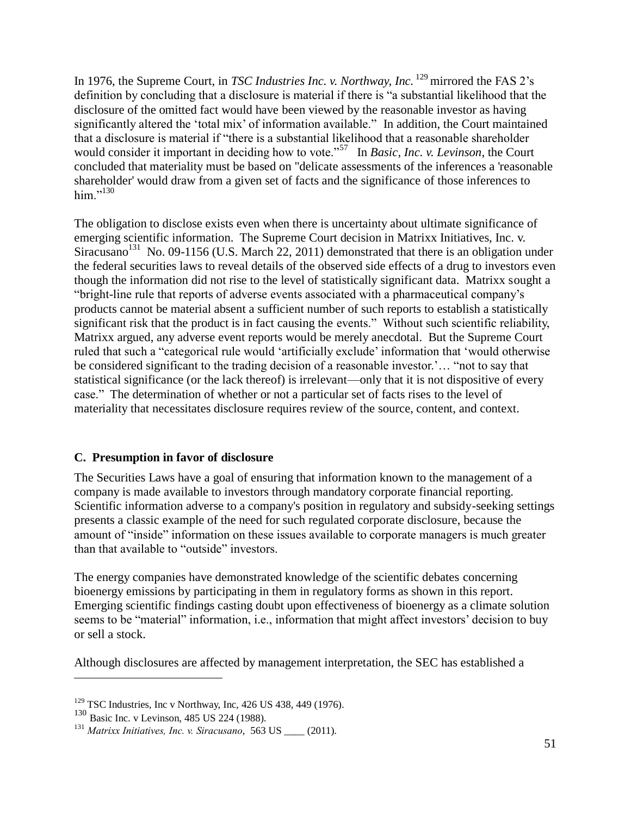In 1976, the Supreme Court, in *TSC Industries Inc. v. Northway, Inc.* <sup>129</sup> mirrored the FAS 2's definition by concluding that a disclosure is material if there is "a substantial likelihood that the disclosure of the omitted fact would have been viewed by the reasonable investor as having significantly altered the 'total mix' of information available." In addition, the Court maintained that a disclosure is material if "there is a substantial likelihood that a reasonable shareholder would consider it important in deciding how to vote."<sup>57</sup> In *Basic, Inc. v. Levinson*, the Court concluded that materiality must be based on "delicate assessments of the inferences a 'reasonable shareholder' would draw from a given set of facts and the significance of those inferences to him."<sup>130</sup>

The obligation to disclose exists even when there is uncertainty about ultimate significance of emerging scientific information. The Supreme Court decision in Matrixx Initiatives, Inc. v. Siracusano<sup>131</sup> No. 09-1156 (U.S. March 22, 2011) demonstrated that there is an obligation under the federal securities laws to reveal details of the observed side effects of a drug to investors even though the information did not rise to the level of statistically significant data. Matrixx sought a "bright-line rule that reports of adverse events associated with a pharmaceutical company's products cannot be material absent a sufficient number of such reports to establish a statistically significant risk that the product is in fact causing the events." Without such scientific reliability, Matrixx argued, any adverse event reports would be merely anecdotal. But the Supreme Court ruled that such a "categorical rule would 'artificially exclude' information that 'would otherwise be considered significant to the trading decision of a reasonable investor.'… "not to say that statistical significance (or the lack thereof) is irrelevant—only that it is not dispositive of every case." The determination of whether or not a particular set of facts rises to the level of materiality that necessitates disclosure requires review of the source, content, and context.

## <span id="page-50-0"></span>**C. Presumption in favor of disclosure**

The Securities Laws have a goal of ensuring that information known to the management of a company is made available to investors through mandatory corporate financial reporting. Scientific information adverse to a company's position in regulatory and subsidy-seeking settings presents a classic example of the need for such regulated corporate disclosure, because the amount of "inside" information on these issues available to corporate managers is much greater than that available to "outside" investors.

The energy companies have demonstrated knowledge of the scientific debates concerning bioenergy emissions by participating in them in regulatory forms as shown in this report. Emerging scientific findings casting doubt upon effectiveness of bioenergy as a climate solution seems to be "material" information, i.e., information that might affect investors' decision to buy or sell a stock.

Although disclosures are affected by management interpretation, the SEC has established a

<sup>129</sup> TSC Industries, Inc v Northway, Inc, 426 US 438, 449 (1976).

<sup>130</sup> Basic Inc. v Levinson, 485 US 224 (1988).

<sup>&</sup>lt;sup>131</sup> *Matrixx Initiatives, Inc. v. Siracusano,* 563 US (2011).